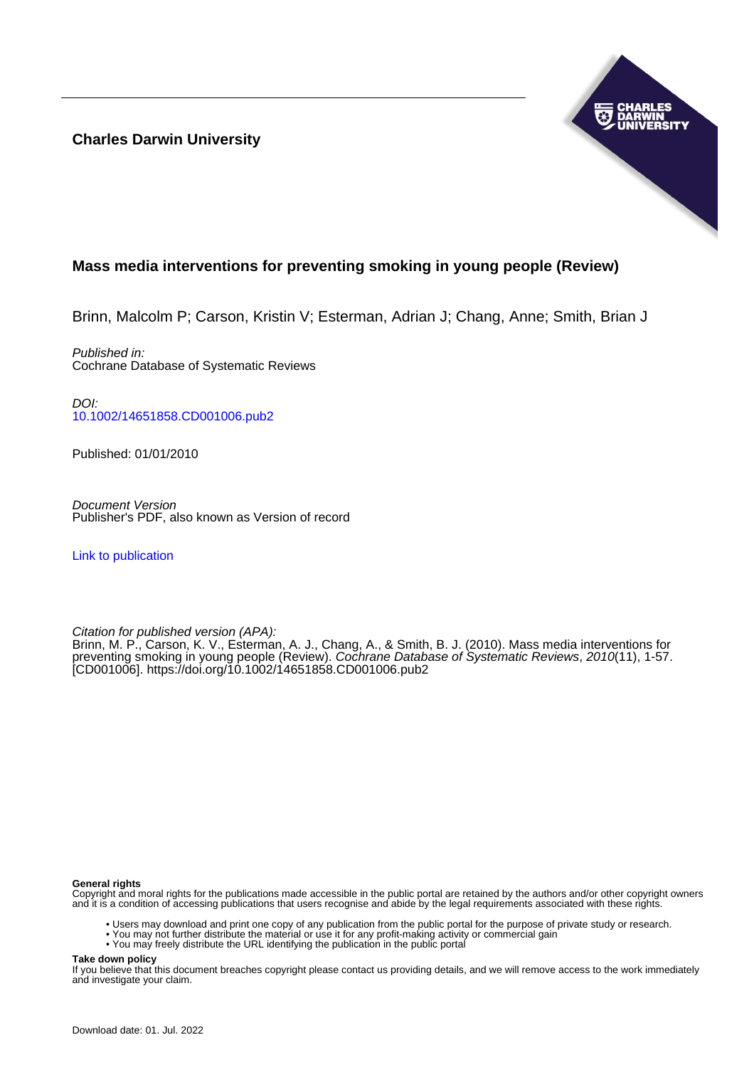**Charles Darwin University**



# **Mass media interventions for preventing smoking in young people (Review)**

Brinn, Malcolm P; Carson, Kristin V; Esterman, Adrian J; Chang, Anne; Smith, Brian J

Published in: Cochrane Database of Systematic Reviews

DOI: [10.1002/14651858.CD001006.pub2](https://doi.org/10.1002/14651858.CD001006.pub2)

Published: 01/01/2010

Document Version Publisher's PDF, also known as Version of record

[Link to publication](https://researchers.cdu.edu.au/en/publications/952c80f2-ea1b-4021-b3b9-b1c37cc150a5)

Citation for published version (APA):

Brinn, M. P., Carson, K. V., Esterman, A. J., Chang, A., & Smith, B. J. (2010). Mass media interventions for preventing smoking in young people (Review). Cochrane Database of Systematic Reviews, 2010(11), 1-57. [CD001006]. <https://doi.org/10.1002/14651858.CD001006.pub2>

### **General rights**

Copyright and moral rights for the publications made accessible in the public portal are retained by the authors and/or other copyright owners and it is a condition of accessing publications that users recognise and abide by the legal requirements associated with these rights.

- Users may download and print one copy of any publication from the public portal for the purpose of private study or research.
- You may not further distribute the material or use it for any profit-making activity or commercial gain
- You may freely distribute the URL identifying the publication in the public portal

**Take down policy**

If you believe that this document breaches copyright please contact us providing details, and we will remove access to the work immediately and investigate your claim.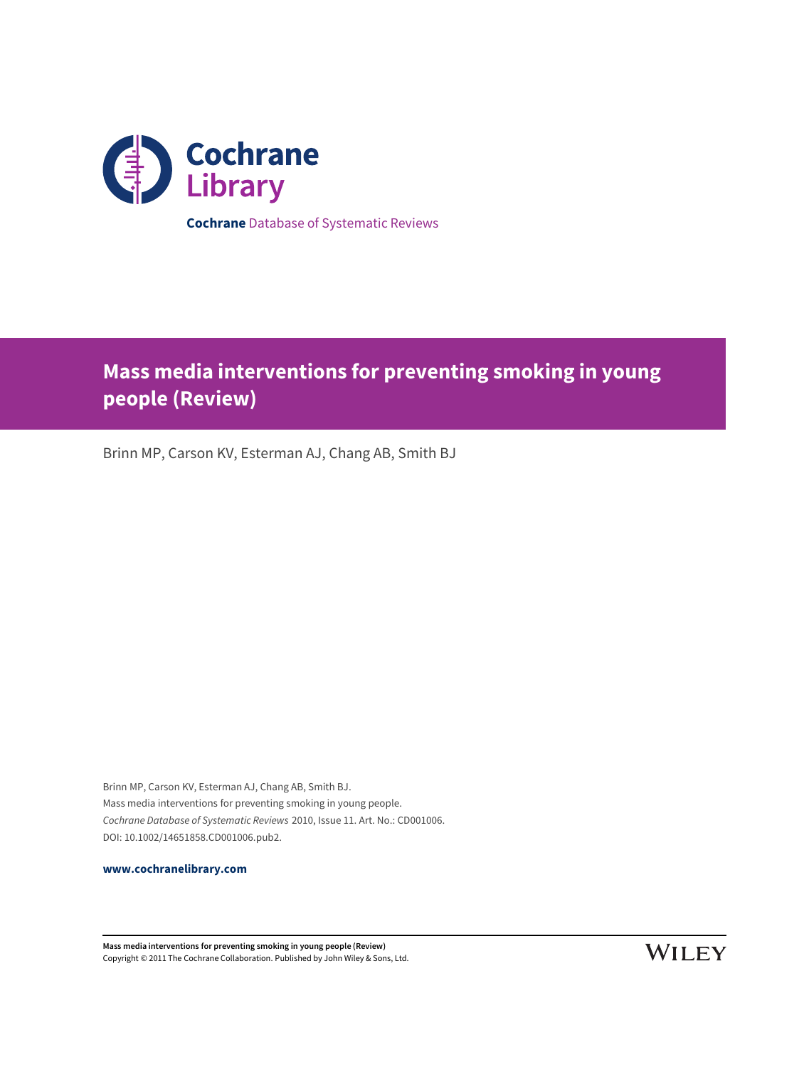

**Mass media interventions for preventing smoking in young people (Review)**

Brinn MP, Carson KV, Esterman AJ, Chang AB, Smith BJ

Brinn MP, Carson KV, Esterman AJ, Chang AB, Smith BJ. Mass media interventions for preventing smoking in young people. Cochrane Database of Systematic Reviews 2010, Issue 11. Art. No.: CD001006. DOI: 10.1002/14651858.CD001006.pub2.

**[www.cochranelibrary.com](http://www.cochranelibrary.com)**

**Mass media interventions for preventing smoking in young people (Review)** Copyright © 2011 The Cochrane Collaboration. Published by John Wiley & Sons, Ltd.

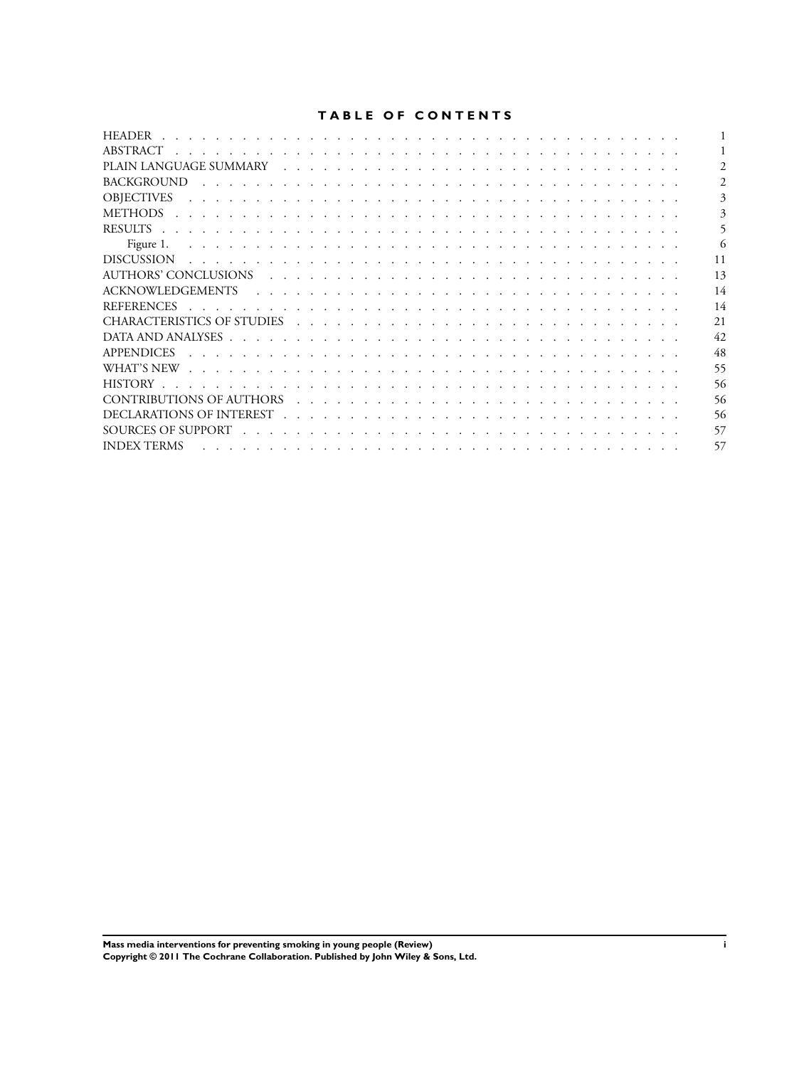## **TABLE OF CONTENTS**

| <b>HEADER</b>                                                                                                                                                                                                                                      |     |
|----------------------------------------------------------------------------------------------------------------------------------------------------------------------------------------------------------------------------------------------------|-----|
| ABSTRACT                                                                                                                                                                                                                                           |     |
|                                                                                                                                                                                                                                                    |     |
| <b>BACKGROUND</b>                                                                                                                                                                                                                                  |     |
| <b>OBIECTIVES</b>                                                                                                                                                                                                                                  |     |
| <b>METHODS</b>                                                                                                                                                                                                                                     |     |
| <b>RESULTS</b>                                                                                                                                                                                                                                     |     |
| Figure 1.                                                                                                                                                                                                                                          |     |
| <b>DISCUSSION</b>                                                                                                                                                                                                                                  | 11  |
| AUTHORS' CONCLUSIONS                                                                                                                                                                                                                               | 13  |
| <b>ACKNOWLEDGEMENTS</b>                                                                                                                                                                                                                            | 14  |
| <b>REFERENCES</b><br>a constitution of the constitution of the constitution of the constitution of the constitution of the constitution of the constitution of the constitution of the constitution of the constitution of the constitution of the | 14  |
| <b>CHARACTERISTICS OF STUDIES</b><br>the contract of the contract of the contract of the contract of the contract of the contract of the contract of                                                                                               | 2.1 |
|                                                                                                                                                                                                                                                    | 42  |
| <b>APPENDICES</b>                                                                                                                                                                                                                                  | 48  |
| WHAT'S NEW                                                                                                                                                                                                                                         | 55  |
| <b>HISTORY</b><br>the contract of the contract of the contract of the contract of the contract of the contract of                                                                                                                                  | 56  |
| CONTRIBUTIONS OF AUTHORS<br>the contract of the contract of the contract of the contract of the contract of the contract of the contract of                                                                                                        | 56  |
| DECLARATIONS OF INTEREST                                                                                                                                                                                                                           | 56  |
|                                                                                                                                                                                                                                                    | 57  |
| <b>INDEX TERMS</b>                                                                                                                                                                                                                                 | 57  |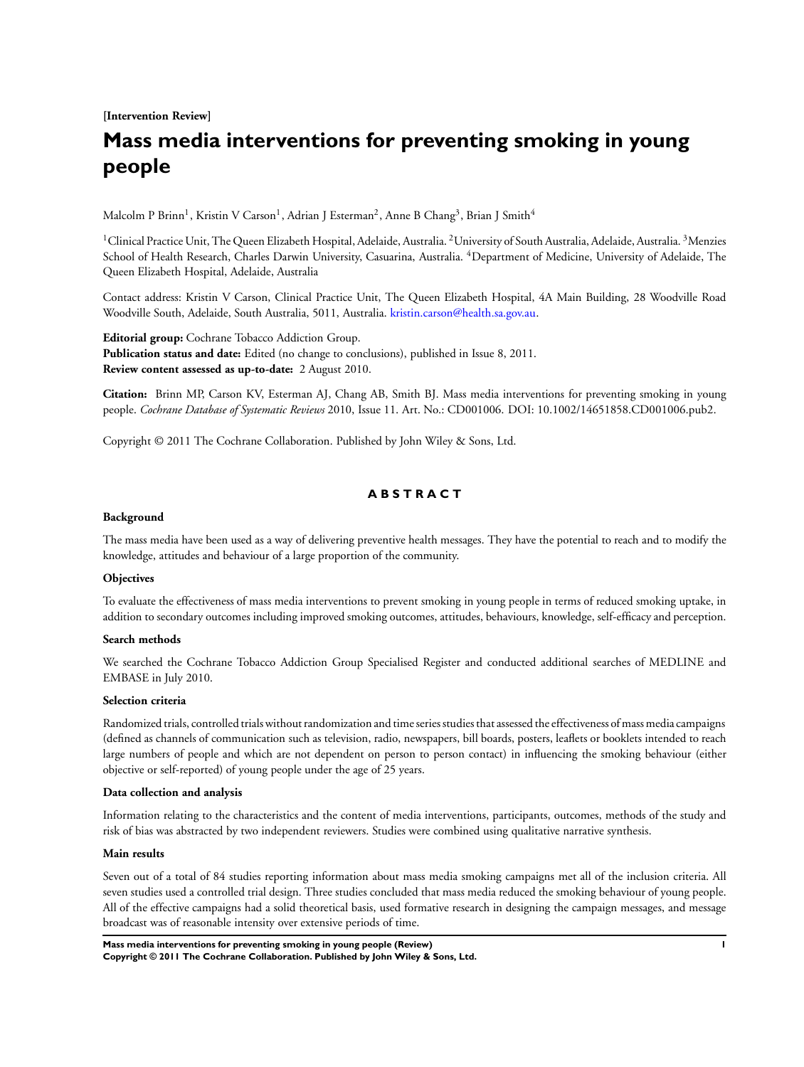**[Intervention Review]**

# **Mass media interventions for preventing smoking in young people**

Malcolm P Brinn<sup>1</sup>, Kristin V Carson<sup>1</sup>, Adrian J Esterman<sup>2</sup>, Anne B Chang<sup>3</sup>, Brian J Smith<sup>4</sup>

<sup>1</sup> Clinical Practice Unit, The Queen Elizabeth Hospital, Adelaide, Australia. <sup>2</sup>University of South Australia, Adelaide, Australia. <sup>3</sup>Menzies School of Health Research, Charles Darwin University, Casuarina, Australia. <sup>4</sup>Department of Medicine, University of Adelaide, The Queen Elizabeth Hospital, Adelaide, Australia

Contact address: Kristin V Carson, Clinical Practice Unit, The Queen Elizabeth Hospital, 4A Main Building, 28 Woodville Road Woodville South, Adelaide, South Australia, 5011, Australia. [kristin.carson@health.sa.gov.au](mailto:kristin.carson@health.sa.gov.au).

**Editorial group:** Cochrane Tobacco Addiction Group. **Publication status and date:** Edited (no change to conclusions), published in Issue 8, 2011. **Review content assessed as up-to-date:** 2 August 2010.

**Citation:** Brinn MP, Carson KV, Esterman AJ, Chang AB, Smith BJ. Mass media interventions for preventing smoking in young people. *Cochrane Database of Systematic Reviews* 2010, Issue 11. Art. No.: CD001006. DOI: 10.1002/14651858.CD001006.pub2.

Copyright © 2011 The Cochrane Collaboration. Published by John Wiley & Sons, Ltd.

## **A B S T R A C T**

#### **Background**

The mass media have been used as a way of delivering preventive health messages. They have the potential to reach and to modify the knowledge, attitudes and behaviour of a large proportion of the community.

### **Objectives**

To evaluate the effectiveness of mass media interventions to prevent smoking in young people in terms of reduced smoking uptake, in addition to secondary outcomes including improved smoking outcomes, attitudes, behaviours, knowledge, self-efficacy and perception.

### **Search methods**

We searched the Cochrane Tobacco Addiction Group Specialised Register and conducted additional searches of MEDLINE and EMBASE in July 2010.

### **Selection criteria**

Randomized trials, controlled trials without randomization and time series studies that assessed the effectiveness of mass media campaigns (defined as channels of communication such as television, radio, newspapers, bill boards, posters, leaflets or booklets intended to reach large numbers of people and which are not dependent on person to person contact) in influencing the smoking behaviour (either objective or self-reported) of young people under the age of 25 years.

### **Data collection and analysis**

Information relating to the characteristics and the content of media interventions, participants, outcomes, methods of the study and risk of bias was abstracted by two independent reviewers. Studies were combined using qualitative narrative synthesis.

### **Main results**

Seven out of a total of 84 studies reporting information about mass media smoking campaigns met all of the inclusion criteria. All seven studies used a controlled trial design. Three studies concluded that mass media reduced the smoking behaviour of young people. All of the effective campaigns had a solid theoretical basis, used formative research in designing the campaign messages, and message broadcast was of reasonable intensity over extensive periods of time.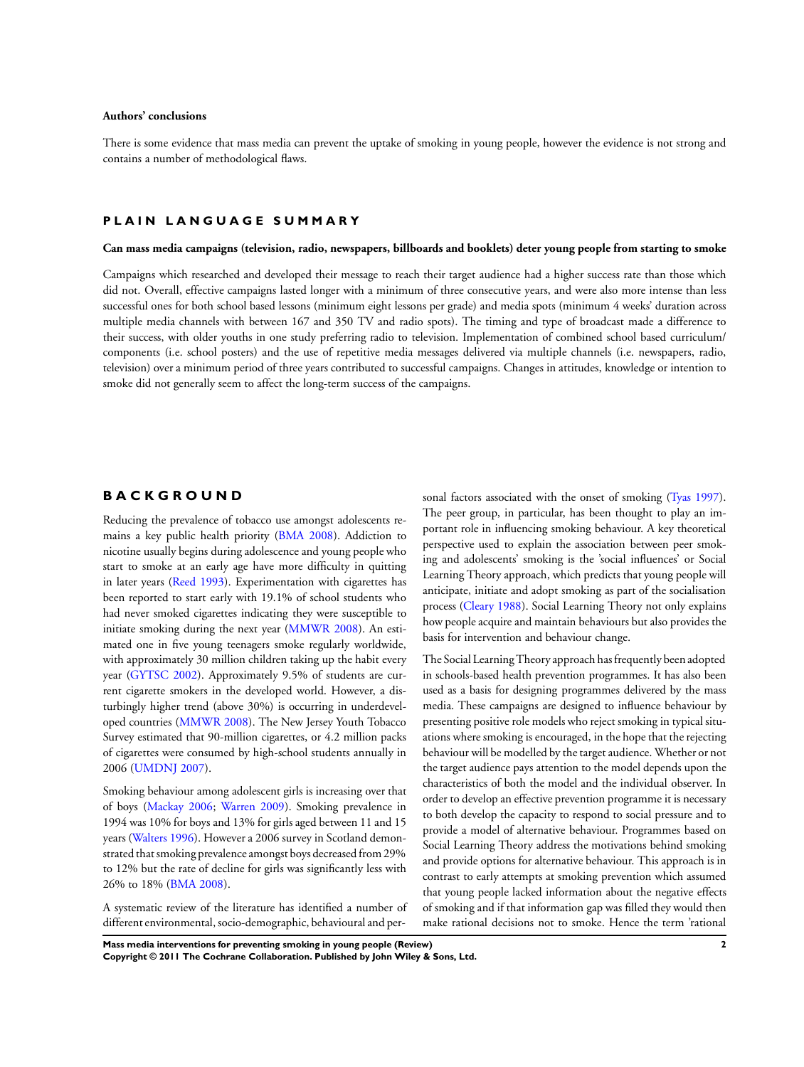#### <span id="page-4-0"></span>**Authors' conclusions**

There is some evidence that mass media can prevent the uptake of smoking in young people, however the evidence is not strong and contains a number of methodological flaws.

## **P L A I N L A N G U A G E S U M M A R Y**

#### **Can mass media campaigns (television, radio, newspapers, billboards and booklets) deter young people from starting to smoke**

Campaigns which researched and developed their message to reach their target audience had a higher success rate than those which did not. Overall, effective campaigns lasted longer with a minimum of three consecutive years, and were also more intense than less successful ones for both school based lessons (minimum eight lessons per grade) and media spots (minimum 4 weeks' duration across multiple media channels with between 167 and 350 TV and radio spots). The timing and type of broadcast made a difference to their success, with older youths in one study preferring radio to television. Implementation of combined school based curriculum/ components (i.e. school posters) and the use of repetitive media messages delivered via multiple channels (i.e. newspapers, radio, television) over a minimum period of three years contributed to successful campaigns. Changes in attitudes, knowledge or intention to smoke did not generally seem to affect the long-term success of the campaigns.

## **B A C K G R O U N D**

Reducing the prevalence of tobacco use amongst adolescents remains a key public health priority [\(BMA 2008](#page-16-0)). Addiction to nicotine usually begins during adolescence and young people who start to smoke at an early age have more difficulty in quitting in later years ([Reed 1993](#page-16-0)). Experimentation with cigarettes has been reported to start early with 19.1% of school students who had never smoked cigarettes indicating they were susceptible to initiate smoking during the next year ([MMWR 2008\)](#page-16-0). An estimated one in five young teenagers smoke regularly worldwide, with approximately 30 million children taking up the habit every year [\(GYTSC 2002](#page-16-0)). Approximately 9.5% of students are current cigarette smokers in the developed world. However, a disturbingly higher trend (above 30%) is occurring in underdeveloped countries ([MMWR 2008](#page-16-0)). The New Jersey Youth Tobacco Survey estimated that 90-million cigarettes, or 4.2 million packs of cigarettes were consumed by high-school students annually in 2006 [\(UMDNJ 2007\)](#page-16-0).

Smoking behaviour among adolescent girls is increasing over that of boys ([Mackay 2006;](#page-16-0) [Warren 2009\)](#page-16-0). Smoking prevalence in 1994 was 10% for boys and 13% for girls aged between 11 and 15 years ([Walters 1996\)](#page-16-0). However a 2006 survey in Scotland demonstrated that smoking prevalence amongst boys decreased from 29% to 12% but the rate of decline for girls was significantly less with 26% to 18% [\(BMA 2008\)](#page-16-0).

A systematic review of the literature has identified a number of different environmental, socio-demographic, behavioural and per-

sonal factors associated with the onset of smoking ([Tyas 1997](#page-16-0)). The peer group, in particular, has been thought to play an important role in influencing smoking behaviour. A key theoretical perspective used to explain the association between peer smoking and adolescents' smoking is the 'social influences' or Social Learning Theory approach, which predicts that young people will anticipate, initiate and adopt smoking as part of the socialisation process [\(Cleary 1988\)](#page-16-0). Social Learning Theory not only explains how people acquire and maintain behaviours but also provides the basis for intervention and behaviour change.

The Social Learning Theory approach has frequently been adopted in schools-based health prevention programmes. It has also been used as a basis for designing programmes delivered by the mass media. These campaigns are designed to influence behaviour by presenting positive role models who reject smoking in typical situations where smoking is encouraged, in the hope that the rejecting behaviour will be modelled by the target audience. Whether or not the target audience pays attention to the model depends upon the characteristics of both the model and the individual observer. In order to develop an effective prevention programme it is necessary to both develop the capacity to respond to social pressure and to provide a model of alternative behaviour. Programmes based on Social Learning Theory address the motivations behind smoking and provide options for alternative behaviour. This approach is in contrast to early attempts at smoking prevention which assumed that young people lacked information about the negative effects of smoking and if that information gap was filled they would then make rational decisions not to smoke. Hence the term 'rational

**Mass media interventions for preventing smoking in young people (Review) 2 Copyright © 2011 The Cochrane Collaboration. Published by John Wiley & Sons, Ltd.**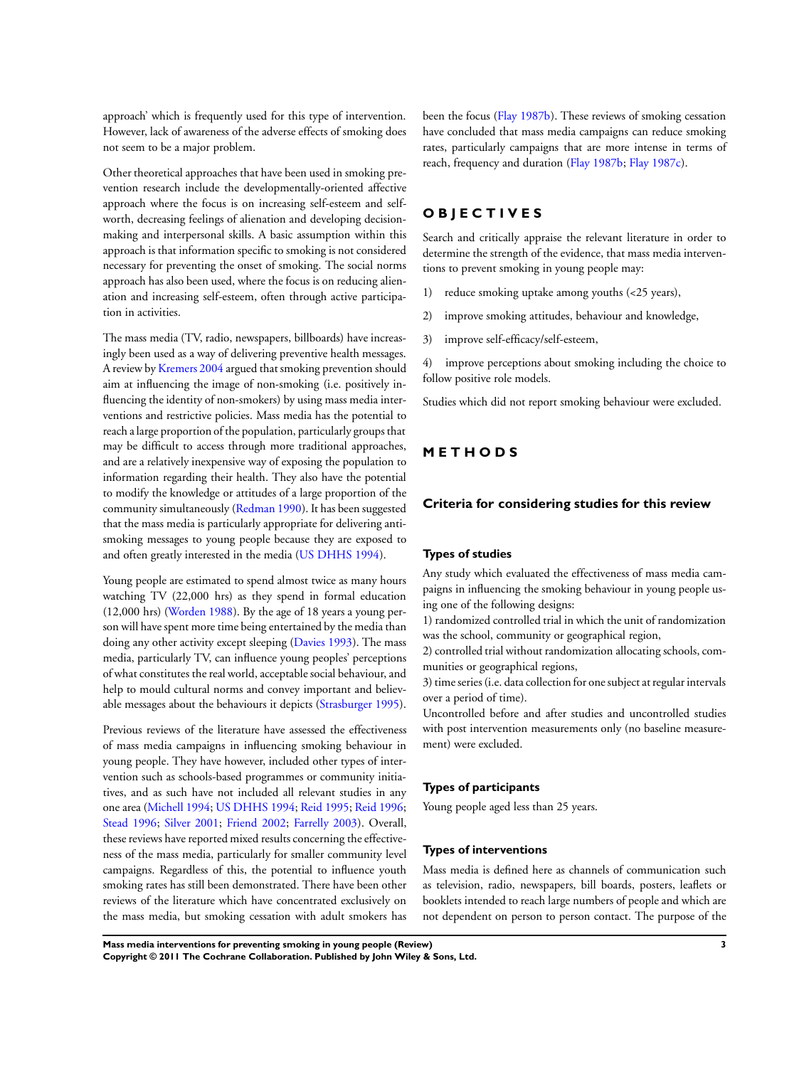approach' which is frequently used for this type of intervention. However, lack of awareness of the adverse effects of smoking does not seem to be a major problem.

Other theoretical approaches that have been used in smoking prevention research include the developmentally-oriented affective approach where the focus is on increasing self-esteem and selfworth, decreasing feelings of alienation and developing decisionmaking and interpersonal skills. A basic assumption within this approach is that information specific to smoking is not considered necessary for preventing the onset of smoking. The social norms approach has also been used, where the focus is on reducing alienation and increasing self-esteem, often through active participation in activities.

The mass media (TV, radio, newspapers, billboards) have increasingly been used as a way of delivering preventive health messages. A review by [Kremers 2004](#page-16-0) argued that smoking prevention should aim at influencing the image of non-smoking (i.e. positively influencing the identity of non-smokers) by using mass media interventions and restrictive policies. Mass media has the potential to reach a large proportion of the population, particularly groups that may be difficult to access through more traditional approaches, and are a relatively inexpensive way of exposing the population to information regarding their health. They also have the potential to modify the knowledge or attitudes of a large proportion of the community simultaneously ([Redman 1990\)](#page-16-0). It has been suggested that the mass media is particularly appropriate for delivering antismoking messages to young people because they are exposed to and often greatly interested in the media ([US DHHS 1994](#page-16-0)).

Young people are estimated to spend almost twice as many hours watching TV (22,000 hrs) as they spend in formal education (12,000 hrs) ([Worden 1988\)](#page-16-0). By the age of 18 years a young person will have spent more time being entertained by the media than doing any other activity except sleeping ([Davies 1993](#page-16-0)). The mass media, particularly TV, can influence young peoples' perceptions of what constitutes the real world, acceptable social behaviour, and help to mould cultural norms and convey important and believable messages about the behaviours it depicts ([Strasburger 1995](#page-16-0)).

Previous reviews of the literature have assessed the effectiveness of mass media campaigns in influencing smoking behaviour in young people. They have however, included other types of intervention such as schools-based programmes or community initiatives, and as such have not included all relevant studies in any one area [\(Michell 1994;](#page-16-0) [US DHHS 1994;](#page-16-0) [Reid 1995;](#page-16-0) [Reid 1996;](#page-16-0) [Stead 1996](#page-16-0); [Silver 2001](#page-16-0); [Friend 2002](#page-16-0); [Farrelly 2003\)](#page-16-0). Overall, these reviews have reported mixed results concerning the effectiveness of the mass media, particularly for smaller community level campaigns. Regardless of this, the potential to influence youth smoking rates has still been demonstrated. There have been other reviews of the literature which have concentrated exclusively on the mass media, but smoking cessation with adult smokers has

been the focus ([Flay 1987b](#page-16-0)). These reviews of smoking cessation have concluded that mass media campaigns can reduce smoking rates, particularly campaigns that are more intense in terms of reach, frequency and duration ([Flay 1987b;](#page-16-0) [Flay 1987c\)](#page-16-0).

## **O B J E C T I V E S**

Search and critically appraise the relevant literature in order to determine the strength of the evidence, that mass media interventions to prevent smoking in young people may:

- 1) reduce smoking uptake among youths (<25 years),
- 2) improve smoking attitudes, behaviour and knowledge,
- 3) improve self-efficacy/self-esteem,

4) improve perceptions about smoking including the choice to follow positive role models.

Studies which did not report smoking behaviour were excluded.

## **M E T H O D S**

#### **Criteria for considering studies for this review**

### **Types of studies**

Any study which evaluated the effectiveness of mass media campaigns in influencing the smoking behaviour in young people using one of the following designs:

1) randomized controlled trial in which the unit of randomization was the school, community or geographical region,

2) controlled trial without randomization allocating schools, communities or geographical regions,

3) time series (i.e. data collection for one subject at regular intervals over a period of time).

Uncontrolled before and after studies and uncontrolled studies with post intervention measurements only (no baseline measurement) were excluded.

## **Types of participants**

Young people aged less than 25 years.

#### **Types of interventions**

Mass media is defined here as channels of communication such as television, radio, newspapers, bill boards, posters, leaflets or booklets intended to reach large numbers of people and which are not dependent on person to person contact. The purpose of the

**Mass media interventions for preventing smoking in young people (Review) 3 Copyright © 2011 The Cochrane Collaboration. Published by John Wiley & Sons, Ltd.**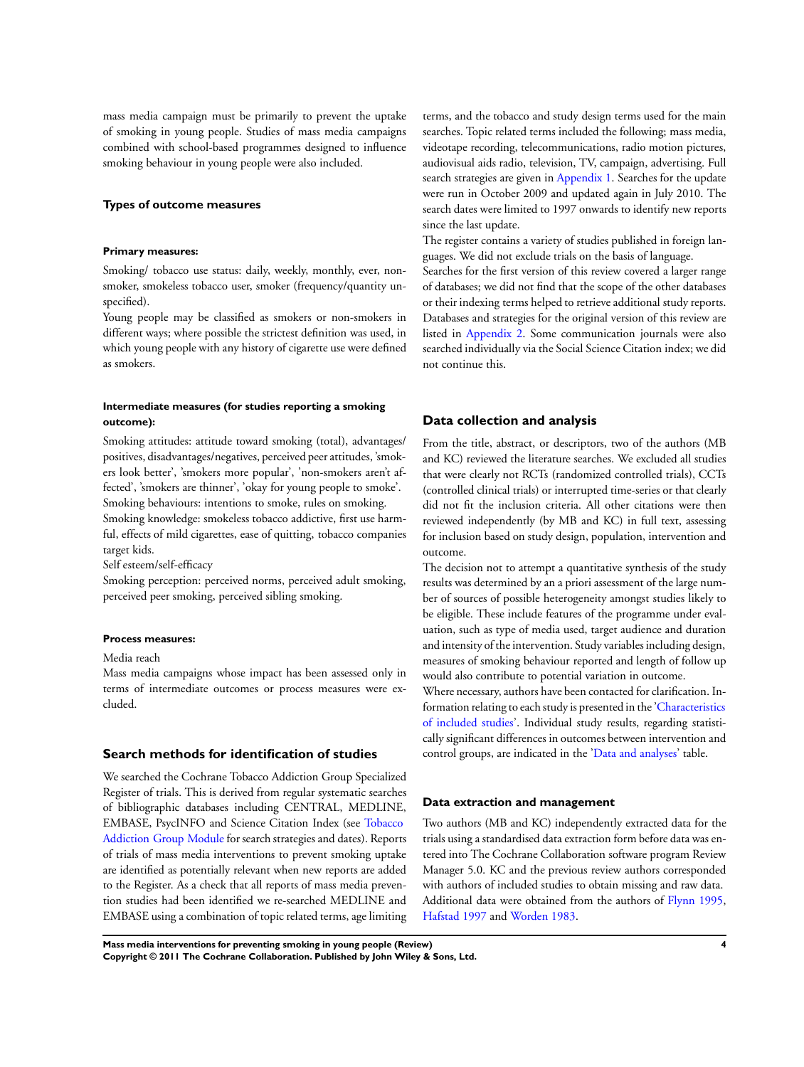mass media campaign must be primarily to prevent the uptake of smoking in young people. Studies of mass media campaigns combined with school-based programmes designed to influence smoking behaviour in young people were also included.

#### **Types of outcome measures**

#### **Primary measures:**

Smoking/ tobacco use status: daily, weekly, monthly, ever, nonsmoker, smokeless tobacco user, smoker (frequency/quantity unspecified).

Young people may be classified as smokers or non-smokers in different ways; where possible the strictest definition was used, in which young people with any history of cigarette use were defined as smokers.

## **Intermediate measures (for studies reporting a smoking outcome):**

Smoking attitudes: attitude toward smoking (total), advantages/ positives, disadvantages/negatives, perceived peer attitudes, 'smokers look better', 'smokers more popular', 'non-smokers aren't affected', 'smokers are thinner', 'okay for young people to smoke'. Smoking behaviours: intentions to smoke, rules on smoking.

Smoking knowledge: smokeless tobacco addictive, first use harmful, effects of mild cigarettes, ease of quitting, tobacco companies target kids.

Self esteem/self-efficacy

Smoking perception: perceived norms, perceived adult smoking, perceived peer smoking, perceived sibling smoking.

### **Process measures:**

Media reach

Mass media campaigns whose impact has been assessed only in terms of intermediate outcomes or process measures were excluded.

### **Search methods for identification of studies**

We searched the Cochrane Tobacco Addiction Group Specialized Register of trials. This is derived from regular systematic searches of bibliographic databases including CENTRAL, MEDLINE, EMBASE, PsycINFO and Science Citation Index (see [Tobacco](http://onlinelibrary.wiley.com/o/cochrane/clabout/articles/TOBACCO/) [Addiction Group Module](http://onlinelibrary.wiley.com/o/cochrane/clabout/articles/TOBACCO/) for search strategies and dates). Reports of trials of mass media interventions to prevent smoking uptake are identified as potentially relevant when new reports are added to the Register. As a check that all reports of mass media prevention studies had been identified we re-searched MEDLINE and EMBASE using a combination of topic related terms, age limiting

terms, and the tobacco and study design terms used for the main searches. Topic related terms included the following; mass media, videotape recording, telecommunications, radio motion pictures, audiovisual aids radio, television, TV, campaign, advertising. Full search strategies are given in [Appendix 1](#page-50-0). Searches for the update were run in October 2009 and updated again in July 2010. The search dates were limited to 1997 onwards to identify new reports since the last update.

The register contains a variety of studies published in foreign languages. We did not exclude trials on the basis of language.

Searches for the first version of this review covered a larger range of databases; we did not find that the scope of the other databases or their indexing terms helped to retrieve additional study reports. Databases and strategies for the original version of this review are listed in [Appendix 2](#page-52-0). Some communication journals were also searched individually via the Social Science Citation index; we did not continue this.

### **Data collection and analysis**

From the title, abstract, or descriptors, two of the authors (MB and KC) reviewed the literature searches. We excluded all studies that were clearly not RCTs (randomized controlled trials), CCTs (controlled clinical trials) or interrupted time-series or that clearly did not fit the inclusion criteria. All other citations were then reviewed independently (by MB and KC) in full text, assessing for inclusion based on study design, population, intervention and outcome.

The decision not to attempt a quantitative synthesis of the study results was determined by an a priori assessment of the large number of sources of possible heterogeneity amongst studies likely to be eligible. These include features of the programme under evaluation, such as type of media used, target audience and duration and intensity of the intervention. Study variables including design, measures of smoking behaviour reported and length of follow up would also contribute to potential variation in outcome.

Where necessary, authors have been contacted for clarification. Information relating to each study is presented in the '[Characteristics](#page-24-0) [of included studies'](#page-24-0). Individual study results, regarding statistically significant differences in outcomes between intervention and control groups, are indicated in the '[Data and analyses'](#page-44-0) table.

#### **Data extraction and management**

Two authors (MB and KC) independently extracted data for the trials using a standardised data extraction form before data was entered into The Cochrane Collaboration software program Review Manager 5.0. KC and the previous review authors corresponded with authors of included studies to obtain missing and raw data. Additional data were obtained from the authors of [Flynn 1995,](#page-16-0) [Hafstad 1997](#page-16-0) and [Worden 1983](#page-16-0).

**Mass media interventions for preventing smoking in young people (Review) 4 Copyright © 2011 The Cochrane Collaboration. Published by John Wiley & Sons, Ltd.**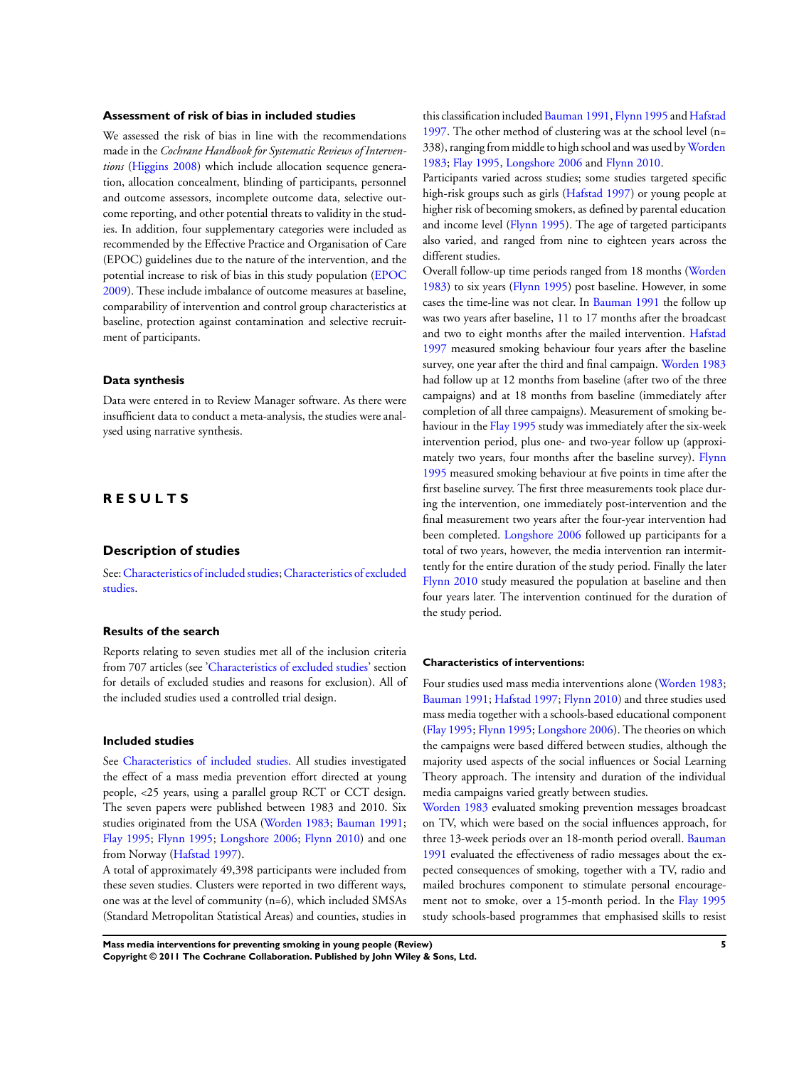#### **Assessment of risk of bias in included studies**

We assessed the risk of bias in line with the recommendations made in the *Cochrane Handbook for Systematic Reviews of Interventions* ([Higgins 2008](#page-16-0)) which include allocation sequence generation, allocation concealment, blinding of participants, personnel and outcome assessors, incomplete outcome data, selective outcome reporting, and other potential threats to validity in the studies. In addition, four supplementary categories were included as recommended by the Effective Practice and Organisation of Care (EPOC) guidelines due to the nature of the intervention, and the potential increase to risk of bias in this study population ([EPOC](#page-16-0) [2009](#page-16-0)). These include imbalance of outcome measures at baseline, comparability of intervention and control group characteristics at baseline, protection against contamination and selective recruitment of participants.

#### **Data synthesis**

Data were entered in to Review Manager software. As there were insufficient data to conduct a meta-analysis, the studies were analysed using narrative synthesis.

## **R E S U L T S**

### **Description of studies**

See:[Characteristics of included studies;](#page-24-0)[Characteristics of excluded](#page-38-0) [studies.](#page-38-0)

### **Results of the search**

Reports relating to seven studies met all of the inclusion criteria from 707 articles (see ['Characteristics of excluded studies'](#page-38-0) section for details of excluded studies and reasons for exclusion). All of the included studies used a controlled trial design.

### **Included studies**

See [Characteristics of included studies.](#page-24-0) All studies investigated the effect of a mass media prevention effort directed at young people, <25 years, using a parallel group RCT or CCT design. The seven papers were published between 1983 and 2010. Six studies originated from the USA ([Worden 1983](#page-16-0); [Bauman 1991;](#page-16-0) [Flay 1995;](#page-16-0) [Flynn 1995;](#page-16-0) [Longshore 2006;](#page-16-0) [Flynn 2010\)](#page-16-0) and one from Norway [\(Hafstad 1997](#page-16-0)).

A total of approximately 49,398 participants were included from these seven studies. Clusters were reported in two different ways, one was at the level of community (n=6), which included SMSAs (Standard Metropolitan Statistical Areas) and counties, studies in

this classification included [Bauman 1991](#page-16-0), [Flynn 1995](#page-16-0) and [Hafstad](#page-16-0) [1997](#page-16-0). The other method of clustering was at the school level (n= 338), ranging from middle to high school and was used by [Worden](#page-16-0) [1983](#page-16-0); [Flay 1995](#page-16-0), [Longshore 2006](#page-16-0) and [Flynn 2010.](#page-16-0)

Participants varied across studies; some studies targeted specific high-risk groups such as girls ([Hafstad 1997](#page-16-0)) or young people at higher risk of becoming smokers, as defined by parental education and income level ([Flynn 1995\)](#page-16-0). The age of targeted participants also varied, and ranged from nine to eighteen years across the different studies.

Overall follow-up time periods ranged from 18 months [\(Worden](#page-16-0) [1983](#page-16-0)) to six years [\(Flynn 1995\)](#page-16-0) post baseline. However, in some cases the time-line was not clear. In [Bauman 1991](#page-16-0) the follow up was two years after baseline, 11 to 17 months after the broadcast and two to eight months after the mailed intervention. [Hafstad](#page-16-0) [1997](#page-16-0) measured smoking behaviour four years after the baseline survey, one year after the third and final campaign. [Worden 1983](#page-16-0) had follow up at 12 months from baseline (after two of the three campaigns) and at 18 months from baseline (immediately after completion of all three campaigns). Measurement of smoking be-haviour in the [Flay 1995](#page-16-0) study was immediately after the six-week intervention period, plus one- and two-year follow up (approximately two years, four months after the baseline survey). [Flynn](#page-16-0) [1995](#page-16-0) measured smoking behaviour at five points in time after the first baseline survey. The first three measurements took place during the intervention, one immediately post-intervention and the final measurement two years after the four-year intervention had been completed. [Longshore 2006](#page-16-0) followed up participants for a total of two years, however, the media intervention ran intermittently for the entire duration of the study period. Finally the later [Flynn 2010](#page-16-0) study measured the population at baseline and then four years later. The intervention continued for the duration of the study period.

#### **Characteristics of interventions:**

Four studies used mass media interventions alone ([Worden 1983;](#page-16-0) [Bauman 1991](#page-16-0); [Hafstad 1997;](#page-16-0) [Flynn 2010\)](#page-16-0) and three studies used mass media together with a schools-based educational component [\(Flay 1995](#page-16-0); [Flynn 1995](#page-16-0); [Longshore 2006\)](#page-16-0). The theories on which the campaigns were based differed between studies, although the majority used aspects of the social influences or Social Learning Theory approach. The intensity and duration of the individual media campaigns varied greatly between studies.

[Worden 1983](#page-16-0) evaluated smoking prevention messages broadcast on TV, which were based on the social influences approach, for three 13-week periods over an 18-month period overall. [Bauman](#page-16-0) [1991](#page-16-0) evaluated the effectiveness of radio messages about the expected consequences of smoking, together with a TV, radio and mailed brochures component to stimulate personal encouragement not to smoke, over a 15-month period. In the [Flay 1995](#page-16-0) study schools-based programmes that emphasised skills to resist

**Mass media interventions for preventing smoking in young people (Review) 5 Copyright © 2011 The Cochrane Collaboration. Published by John Wiley & Sons, Ltd.**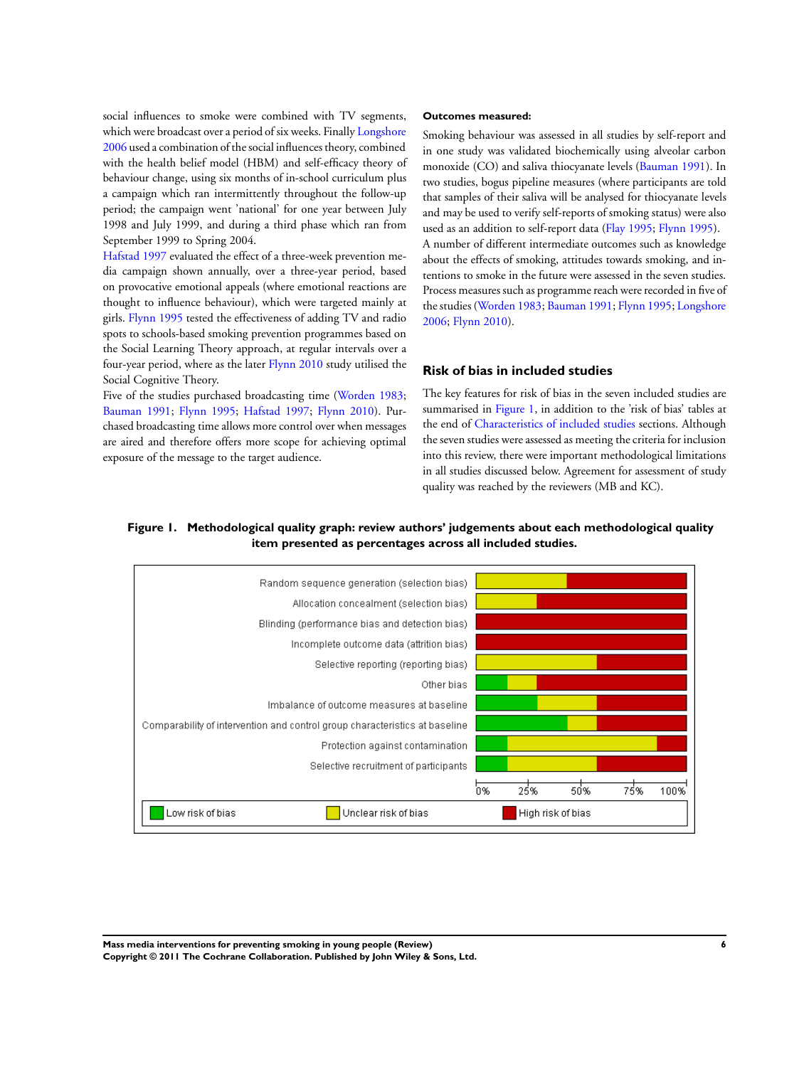<span id="page-8-0"></span>social influences to smoke were combined with TV segments, which were broadcast over a period of six weeks. Finally [Longshore](#page-16-0) [2006](#page-16-0) used a combination of the social influences theory, combined with the health belief model (HBM) and self-efficacy theory of behaviour change, using six months of in-school curriculum plus a campaign which ran intermittently throughout the follow-up period; the campaign went 'national' for one year between July 1998 and July 1999, and during a third phase which ran from September 1999 to Spring 2004.

[Hafstad 1997](#page-16-0) evaluated the effect of a three-week prevention media campaign shown annually, over a three-year period, based on provocative emotional appeals (where emotional reactions are thought to influence behaviour), which were targeted mainly at girls. [Flynn 1995](#page-16-0) tested the effectiveness of adding TV and radio spots to schools-based smoking prevention programmes based on the Social Learning Theory approach, at regular intervals over a four-year period, where as the later [Flynn 2010](#page-16-0) study utilised the Social Cognitive Theory.

Five of the studies purchased broadcasting time ([Worden 1983;](#page-16-0) [Bauman 1991;](#page-16-0) [Flynn 1995;](#page-16-0) [Hafstad 1997](#page-16-0); [Flynn 2010](#page-16-0)). Purchased broadcasting time allows more control over when messages are aired and therefore offers more scope for achieving optimal exposure of the message to the target audience.

#### **Outcomes measured:**

Smoking behaviour was assessed in all studies by self-report and in one study was validated biochemically using alveolar carbon monoxide (CO) and saliva thiocyanate levels ([Bauman 1991](#page-16-0)). In two studies, bogus pipeline measures (where participants are told that samples of their saliva will be analysed for thiocyanate levels and may be used to verify self-reports of smoking status) were also used as an addition to self-report data ([Flay 1995;](#page-16-0) [Flynn 1995\)](#page-16-0). A number of different intermediate outcomes such as knowledge about the effects of smoking, attitudes towards smoking, and intentions to smoke in the future were assessed in the seven studies. Process measures such as programme reach were recorded in five of the studies ([Worden 1983;](#page-16-0) [Bauman 1991](#page-16-0); [Flynn 1995;](#page-16-0) [Longshore](#page-16-0) [2006](#page-16-0); [Flynn 2010](#page-16-0)).

## **Risk of bias in included studies**

The key features for risk of bias in the seven included studies are summarised in Figure 1, in addition to the 'risk of bias' tables at the end of [Characteristics of included studies](#page-24-0) sections. Although the seven studies were assessed as meeting the criteria for inclusion into this review, there were important methodological limitations in all studies discussed below. Agreement for assessment of study quality was reached by the reviewers (MB and KC).

## **Figure 1. Methodological quality graph: review authors' judgements about each methodological quality item presented as percentages across all included studies.**



**Mass media interventions for preventing smoking in young people (Review) 6 Copyright © 2011 The Cochrane Collaboration. Published by John Wiley & Sons, Ltd.**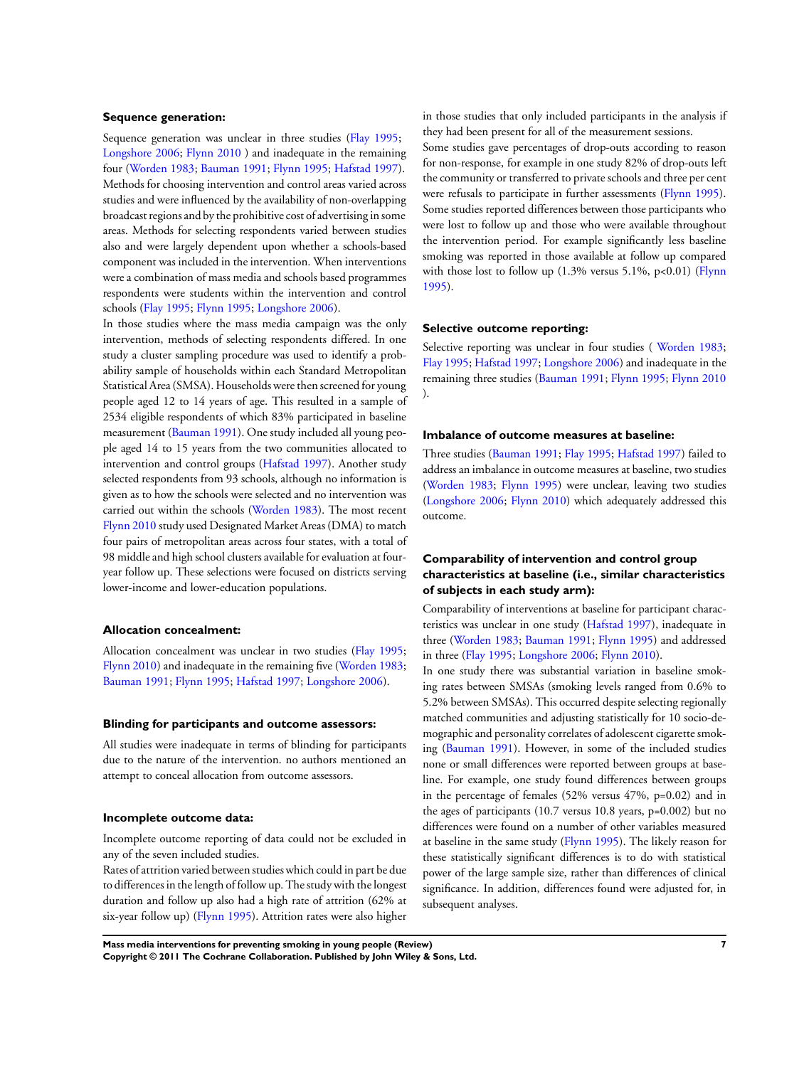#### **Sequence generation:**

Sequence generation was unclear in three studies [\(Flay 1995](#page-16-0); [Longshore 2006](#page-16-0); [Flynn 2010](#page-16-0) ) and inadequate in the remaining four ([Worden 1983](#page-16-0); [Bauman 1991](#page-16-0); [Flynn 1995](#page-16-0); [Hafstad 1997](#page-16-0)). Methods for choosing intervention and control areas varied across studies and were influenced by the availability of non-overlapping broadcast regions and by the prohibitive cost of advertising in some areas. Methods for selecting respondents varied between studies also and were largely dependent upon whether a schools-based component was included in the intervention. When interventions were a combination of mass media and schools based programmes respondents were students within the intervention and control schools [\(Flay 1995](#page-16-0); [Flynn 1995](#page-16-0); [Longshore 2006](#page-16-0)).

In those studies where the mass media campaign was the only intervention, methods of selecting respondents differed. In one study a cluster sampling procedure was used to identify a probability sample of households within each Standard Metropolitan Statistical Area (SMSA). Households were then screened for young people aged 12 to 14 years of age. This resulted in a sample of 2534 eligible respondents of which 83% participated in baseline measurement [\(Bauman 1991](#page-16-0)). One study included all young people aged 14 to 15 years from the two communities allocated to intervention and control groups ([Hafstad 1997\)](#page-16-0). Another study selected respondents from 93 schools, although no information is given as to how the schools were selected and no intervention was carried out within the schools ([Worden 1983\)](#page-16-0). The most recent [Flynn 2010](#page-16-0) study used Designated Market Areas (DMA) to match four pairs of metropolitan areas across four states, with a total of 98 middle and high school clusters available for evaluation at fouryear follow up. These selections were focused on districts serving lower-income and lower-education populations.

#### **Allocation concealment:**

Allocation concealment was unclear in two studies [\(Flay 1995;](#page-16-0) [Flynn 2010](#page-16-0)) and inadequate in the remaining five [\(Worden 1983;](#page-16-0) [Bauman 1991;](#page-16-0) [Flynn 1995;](#page-16-0) [Hafstad 1997;](#page-16-0) [Longshore 2006\)](#page-16-0).

#### **Blinding for participants and outcome assessors:**

All studies were inadequate in terms of blinding for participants due to the nature of the intervention. no authors mentioned an attempt to conceal allocation from outcome assessors.

### **Incomplete outcome data:**

Incomplete outcome reporting of data could not be excluded in any of the seven included studies.

Rates of attrition varied between studies which could in part be due to differences in the length of follow up. The study with the longest duration and follow up also had a high rate of attrition (62% at six-year follow up) ([Flynn 1995\)](#page-16-0). Attrition rates were also higher

in those studies that only included participants in the analysis if they had been present for all of the measurement sessions. Some studies gave percentages of drop-outs according to reason for non-response, for example in one study 82% of drop-outs left the community or transferred to private schools and three per cent were refusals to participate in further assessments [\(Flynn 1995](#page-16-0)). Some studies reported differences between those participants who were lost to follow up and those who were available throughout the intervention period. For example significantly less baseline smoking was reported in those available at follow up compared with those lost to follow up  $(1.3\% \text{ versus } 5.1\%, \text{ p}<0.01)$  ([Flynn](#page-16-0) [1995](#page-16-0)).

#### **Selective outcome reporting:**

Selective reporting was unclear in four studies ([Worden 1983;](#page-16-0) [Flay 1995;](#page-16-0) [Hafstad 1997;](#page-16-0) [Longshore 2006](#page-16-0)) and inadequate in the remaining three studies [\(Bauman 1991](#page-16-0); [Flynn 1995](#page-16-0); [Flynn 2010](#page-16-0) ).

### **Imbalance of outcome measures at baseline:**

Three studies ([Bauman 1991;](#page-16-0) [Flay 1995](#page-16-0); [Hafstad 1997\)](#page-16-0) failed to address an imbalance in outcome measures at baseline, two studies [\(Worden 1983;](#page-16-0) [Flynn 1995](#page-16-0)) were unclear, leaving two studies [\(Longshore 2006](#page-16-0); [Flynn 2010\)](#page-16-0) which adequately addressed this outcome.

## **Comparability of intervention and control group characteristics at baseline (i.e., similar characteristics of subjects in each study arm):**

Comparability of interventions at baseline for participant characteristics was unclear in one study ([Hafstad 1997\)](#page-16-0), inadequate in three ([Worden 1983](#page-16-0); [Bauman 1991;](#page-16-0) [Flynn 1995](#page-16-0)) and addressed in three ([Flay 1995;](#page-16-0) [Longshore 2006](#page-16-0); [Flynn 2010](#page-16-0)).

In one study there was substantial variation in baseline smoking rates between SMSAs (smoking levels ranged from 0.6% to 5.2% between SMSAs). This occurred despite selecting regionally matched communities and adjusting statistically for 10 socio-demographic and personality correlates of adolescent cigarette smoking [\(Bauman 1991\)](#page-16-0). However, in some of the included studies none or small differences were reported between groups at baseline. For example, one study found differences between groups in the percentage of females (52% versus 47%, p=0.02) and in the ages of participants (10.7 versus 10.8 years, p=0.002) but no differences were found on a number of other variables measured at baseline in the same study [\(Flynn 1995\)](#page-16-0). The likely reason for these statistically significant differences is to do with statistical power of the large sample size, rather than differences of clinical significance. In addition, differences found were adjusted for, in subsequent analyses.

**Mass media interventions for preventing smoking in young people (Review) 7 Copyright © 2011 The Cochrane Collaboration. Published by John Wiley & Sons, Ltd.**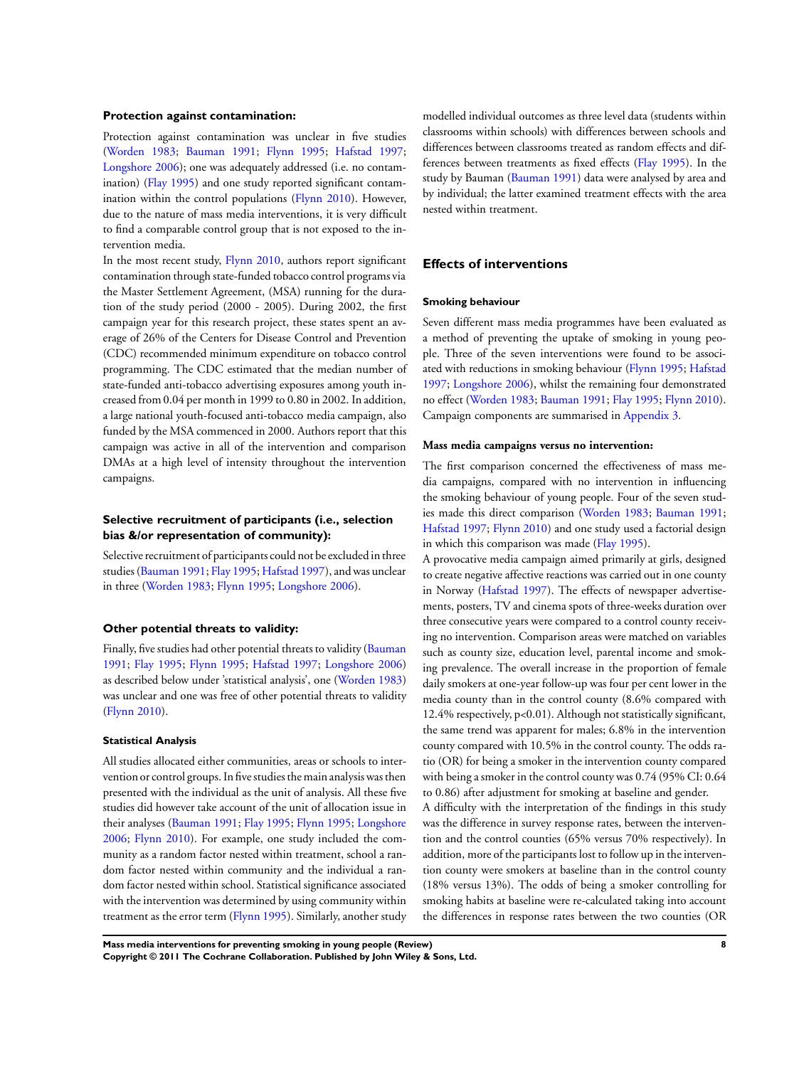#### **Protection against contamination:**

Protection against contamination was unclear in five studies [\(Worden 1983](#page-16-0); [Bauman 1991;](#page-16-0) [Flynn 1995;](#page-16-0) [Hafstad 1997;](#page-16-0) [Longshore 2006\)](#page-16-0); one was adequately addressed (i.e. no contamination) [\(Flay 1995](#page-16-0)) and one study reported significant contamination within the control populations ([Flynn 2010](#page-16-0)). However, due to the nature of mass media interventions, it is very difficult to find a comparable control group that is not exposed to the intervention media.

In the most recent study, [Flynn 2010,](#page-16-0) authors report significant contamination through state-funded tobacco control programs via the Master Settlement Agreement, (MSA) running for the duration of the study period (2000 - 2005). During 2002, the first campaign year for this research project, these states spent an average of 26% of the Centers for Disease Control and Prevention (CDC) recommended minimum expenditure on tobacco control programming. The CDC estimated that the median number of state-funded anti-tobacco advertising exposures among youth increased from 0.04 per month in 1999 to 0.80 in 2002. In addition, a large national youth-focused anti-tobacco media campaign, also funded by the MSA commenced in 2000. Authors report that this campaign was active in all of the intervention and comparison DMAs at a high level of intensity throughout the intervention campaigns.

### **Selective recruitment of participants (i.e., selection bias &/or representation of community):**

Selective recruitment of participants could not be excluded in three studies [\(Bauman 1991;](#page-16-0) [Flay 1995](#page-16-0); [Hafstad 1997\)](#page-16-0), and was unclear in three ([Worden 1983](#page-16-0); [Flynn 1995](#page-16-0); [Longshore 2006\)](#page-16-0).

#### **Other potential threats to validity:**

Finally, five studies had other potential threats to validity [\(Bauman](#page-16-0) [1991](#page-16-0); [Flay 1995](#page-16-0); [Flynn 1995;](#page-16-0) [Hafstad 1997](#page-16-0); [Longshore 2006](#page-16-0)) as described below under 'statistical analysis', one [\(Worden 1983](#page-16-0)) was unclear and one was free of other potential threats to validity [\(Flynn 2010\)](#page-16-0).

### **Statistical Analysis**

All studies allocated either communities, areas or schools to intervention or control groups. In five studies the main analysis was then presented with the individual as the unit of analysis. All these five studies did however take account of the unit of allocation issue in their analyses [\(Bauman 1991](#page-16-0); [Flay 1995](#page-16-0); [Flynn 1995](#page-16-0); [Longshore](#page-16-0) [2006](#page-16-0); [Flynn 2010](#page-16-0)). For example, one study included the community as a random factor nested within treatment, school a random factor nested within community and the individual a random factor nested within school. Statistical significance associated with the intervention was determined by using community within treatment as the error term ([Flynn 1995\)](#page-16-0). Similarly, another study

modelled individual outcomes as three level data (students within classrooms within schools) with differences between schools and differences between classrooms treated as random effects and differences between treatments as fixed effects [\(Flay 1995](#page-16-0)). In the study by Bauman ([Bauman 1991\)](#page-16-0) data were analysed by area and by individual; the latter examined treatment effects with the area nested within treatment.

### **Effects of interventions**

#### **Smoking behaviour**

Seven different mass media programmes have been evaluated as a method of preventing the uptake of smoking in young people. Three of the seven interventions were found to be associated with reductions in smoking behaviour [\(Flynn 1995;](#page-16-0) [Hafstad](#page-16-0) [1997](#page-16-0); [Longshore 2006\)](#page-16-0), whilst the remaining four demonstrated no effect [\(Worden 1983](#page-16-0); [Bauman 1991;](#page-16-0) [Flay 1995](#page-16-0); [Flynn 2010](#page-16-0)). Campaign components are summarised in [Appendix 3.](#page-54-0)

#### **Mass media campaigns versus no intervention:**

The first comparison concerned the effectiveness of mass media campaigns, compared with no intervention in influencing the smoking behaviour of young people. Four of the seven studies made this direct comparison ([Worden 1983;](#page-16-0) [Bauman 1991;](#page-16-0) [Hafstad 1997;](#page-16-0) [Flynn 2010\)](#page-16-0) and one study used a factorial design in which this comparison was made [\(Flay 1995](#page-16-0)).

A provocative media campaign aimed primarily at girls, designed to create negative affective reactions was carried out in one county in Norway ([Hafstad 1997](#page-16-0)). The effects of newspaper advertisements, posters, TV and cinema spots of three-weeks duration over three consecutive years were compared to a control county receiving no intervention. Comparison areas were matched on variables such as county size, education level, parental income and smoking prevalence. The overall increase in the proportion of female daily smokers at one-year follow-up was four per cent lower in the media county than in the control county (8.6% compared with 12.4% respectively, p<0.01). Although not statistically significant, the same trend was apparent for males; 6.8% in the intervention county compared with 10.5% in the control county. The odds ratio (OR) for being a smoker in the intervention county compared with being a smoker in the control county was 0.74 (95% CI: 0.64 to 0.86) after adjustment for smoking at baseline and gender.

A difficulty with the interpretation of the findings in this study was the difference in survey response rates, between the intervention and the control counties (65% versus 70% respectively). In addition, more of the participants lost to follow up in the intervention county were smokers at baseline than in the control county (18% versus 13%). The odds of being a smoker controlling for smoking habits at baseline were re-calculated taking into account the differences in response rates between the two counties (OR

**Mass media interventions for preventing smoking in young people (Review) 8 Copyright © 2011 The Cochrane Collaboration. Published by John Wiley & Sons, Ltd.**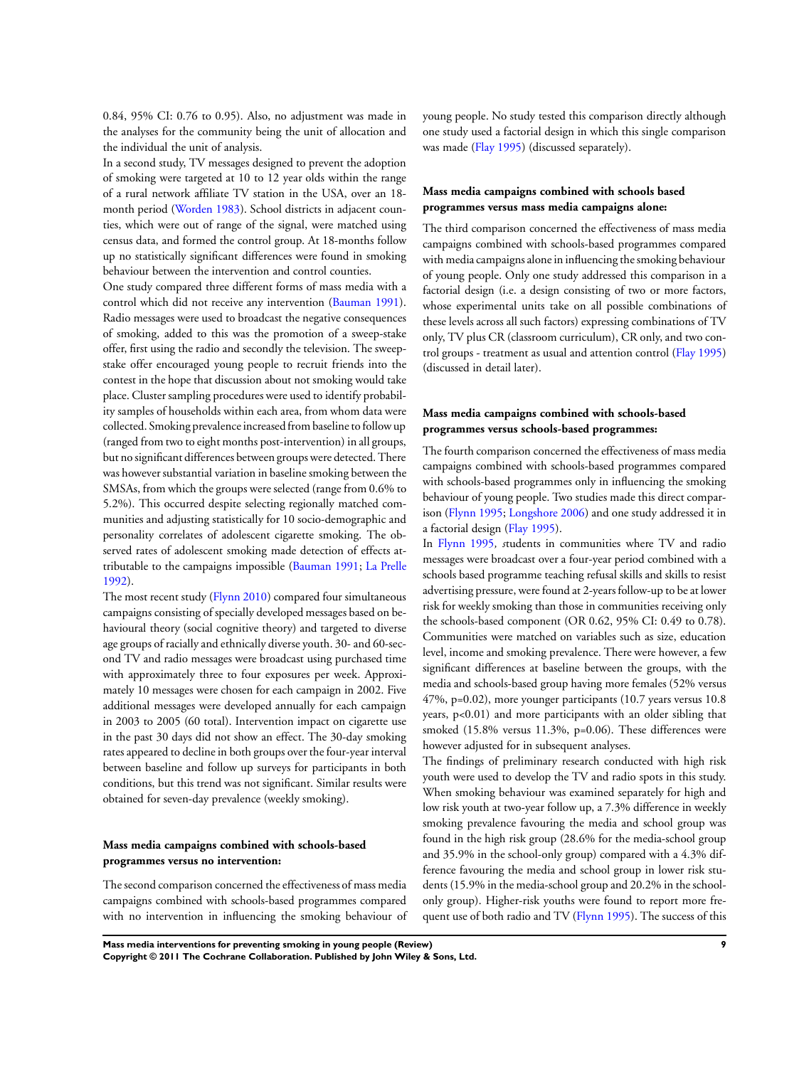0.84, 95% CI: 0.76 to 0.95). Also, no adjustment was made in the analyses for the community being the unit of allocation and the individual the unit of analysis.

In a second study, TV messages designed to prevent the adoption of smoking were targeted at 10 to 12 year olds within the range of a rural network affiliate TV station in the USA, over an 18 month period ([Worden 1983\)](#page-16-0). School districts in adjacent counties, which were out of range of the signal, were matched using census data, and formed the control group. At 18-months follow up no statistically significant differences were found in smoking behaviour between the intervention and control counties.

One study compared three different forms of mass media with a control which did not receive any intervention [\(Bauman 1991](#page-16-0)). Radio messages were used to broadcast the negative consequences of smoking, added to this was the promotion of a sweep-stake offer, first using the radio and secondly the television. The sweepstake offer encouraged young people to recruit friends into the contest in the hope that discussion about not smoking would take place. Cluster sampling procedures were used to identify probability samples of households within each area, from whom data were collected. Smoking prevalence increased from baseline to follow up (ranged from two to eight months post-intervention) in all groups, but no significant differences between groups were detected. There was however substantial variation in baseline smoking between the SMSAs, from which the groups were selected (range from 0.6% to 5.2%). This occurred despite selecting regionally matched communities and adjusting statistically for 10 socio-demographic and personality correlates of adolescent cigarette smoking. The observed rates of adolescent smoking made detection of effects attributable to the campaigns impossible ([Bauman 1991](#page-16-0); [La Prelle](#page-16-0) [1992](#page-16-0)).

The most recent study ([Flynn 2010](#page-16-0)) compared four simultaneous campaigns consisting of specially developed messages based on behavioural theory (social cognitive theory) and targeted to diverse age groups of racially and ethnically diverse youth. 30- and 60-second TV and radio messages were broadcast using purchased time with approximately three to four exposures per week. Approximately 10 messages were chosen for each campaign in 2002. Five additional messages were developed annually for each campaign in 2003 to 2005 (60 total). Intervention impact on cigarette use in the past 30 days did not show an effect. The 30-day smoking rates appeared to decline in both groups over the four-year interval between baseline and follow up surveys for participants in both conditions, but this trend was not significant. Similar results were obtained for seven-day prevalence (weekly smoking).

## **Mass media campaigns combined with schools-based programmes versus no intervention:**

The second comparison concerned the effectiveness of mass media campaigns combined with schools-based programmes compared with no intervention in influencing the smoking behaviour of young people. No study tested this comparison directly although one study used a factorial design in which this single comparison was made ([Flay 1995\)](#page-16-0) (discussed separately).

### **Mass media campaigns combined with schools based programmes versus mass media campaigns alone:**

The third comparison concerned the effectiveness of mass media campaigns combined with schools-based programmes compared with media campaigns alone in influencing the smoking behaviour of young people. Only one study addressed this comparison in a factorial design (i.e. a design consisting of two or more factors, whose experimental units take on all possible combinations of these levels across all such factors) expressing combinations of TV only, TV plus CR (classroom curriculum), CR only, and two control groups - treatment as usual and attention control ([Flay 1995](#page-16-0)) (discussed in detail later).

## **Mass media campaigns combined with schools-based programmes versus schools-based programmes:**

The fourth comparison concerned the effectiveness of mass media campaigns combined with schools-based programmes compared with schools-based programmes only in influencing the smoking behaviour of young people. Two studies made this direct comparison [\(Flynn 1995;](#page-16-0) [Longshore 2006](#page-16-0)) and one study addressed it in a factorial design ([Flay 1995](#page-16-0)).

In [Flynn 1995](#page-16-0)*, s*tudents in communities where TV and radio messages were broadcast over a four-year period combined with a schools based programme teaching refusal skills and skills to resist advertising pressure, were found at 2-years follow-up to be at lower risk for weekly smoking than those in communities receiving only the schools-based component (OR 0.62, 95% CI: 0.49 to 0.78). Communities were matched on variables such as size, education level, income and smoking prevalence. There were however, a few significant differences at baseline between the groups, with the media and schools-based group having more females (52% versus 47%, p=0.02), more younger participants (10.7 years versus 10.8 years, p<0.01) and more participants with an older sibling that smoked (15.8% versus 11.3%, p=0.06). These differences were however adjusted for in subsequent analyses.

The findings of preliminary research conducted with high risk youth were used to develop the TV and radio spots in this study. When smoking behaviour was examined separately for high and low risk youth at two-year follow up, a 7.3% difference in weekly smoking prevalence favouring the media and school group was found in the high risk group (28.6% for the media-school group and 35.9% in the school-only group) compared with a 4.3% difference favouring the media and school group in lower risk students (15.9% in the media-school group and 20.2% in the schoolonly group). Higher-risk youths were found to report more frequent use of both radio and TV [\(Flynn 1995](#page-16-0)). The success of this

**Mass media interventions for preventing smoking in young people (Review) 9 Copyright © 2011 The Cochrane Collaboration. Published by John Wiley & Sons, Ltd.**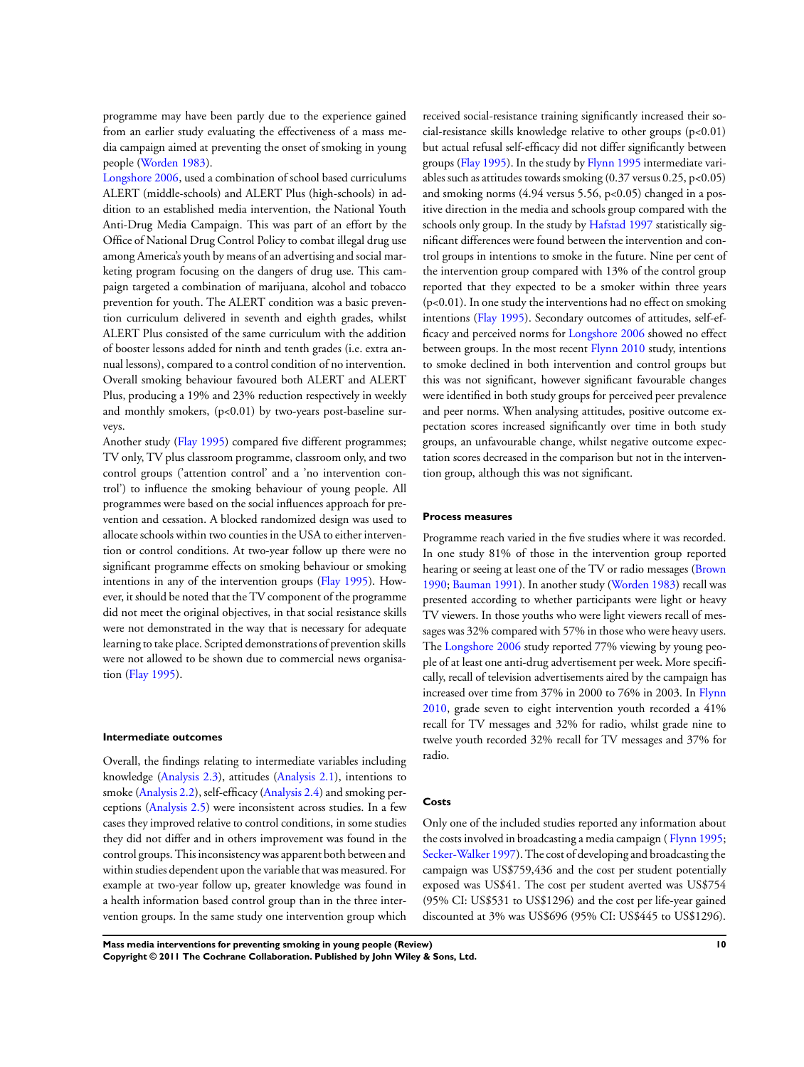programme may have been partly due to the experience gained from an earlier study evaluating the effectiveness of a mass media campaign aimed at preventing the onset of smoking in young people [\(Worden 1983\)](#page-16-0).

[Longshore 2006](#page-16-0), used a combination of school based curriculums ALERT (middle-schools) and ALERT Plus (high-schools) in addition to an established media intervention, the National Youth Anti-Drug Media Campaign. This was part of an effort by the Office of National Drug Control Policy to combat illegal drug use among America's youth by means of an advertising and social marketing program focusing on the dangers of drug use. This campaign targeted a combination of marijuana, alcohol and tobacco prevention for youth. The ALERT condition was a basic prevention curriculum delivered in seventh and eighth grades, whilst ALERT Plus consisted of the same curriculum with the addition of booster lessons added for ninth and tenth grades (i.e. extra annual lessons), compared to a control condition of no intervention. Overall smoking behaviour favoured both ALERT and ALERT Plus, producing a 19% and 23% reduction respectively in weekly and monthly smokers,  $(p<0.01)$  by two-years post-baseline surveys.

Another study ([Flay 1995\)](#page-16-0) compared five different programmes; TV only, TV plus classroom programme, classroom only, and two control groups ('attention control' and a 'no intervention control') to influence the smoking behaviour of young people. All programmes were based on the social influences approach for prevention and cessation. A blocked randomized design was used to allocate schools within two counties in the USA to either intervention or control conditions. At two-year follow up there were no significant programme effects on smoking behaviour or smoking intentions in any of the intervention groups ([Flay 1995](#page-16-0)). However, it should be noted that the TV component of the programme did not meet the original objectives, in that social resistance skills were not demonstrated in the way that is necessary for adequate learning to take place. Scripted demonstrations of prevention skills were not allowed to be shown due to commercial news organisation ([Flay 1995](#page-16-0)).

#### **Intermediate outcomes**

Overall, the findings relating to intermediate variables including knowledge [\(Analysis 2.3\)](#page-47-0), attitudes [\(Analysis 2.1\)](#page-46-0), intentions to smoke [\(Analysis 2.2](#page-47-0)), self-efficacy [\(Analysis 2.4\)](#page-48-0) and smoking perceptions ([Analysis 2.5\)](#page-49-0) were inconsistent across studies. In a few cases they improved relative to control conditions, in some studies they did not differ and in others improvement was found in the control groups. This inconsistency was apparent both between and within studies dependent upon the variable that was measured. For example at two-year follow up, greater knowledge was found in a health information based control group than in the three intervention groups. In the same study one intervention group which received social-resistance training significantly increased their social-resistance skills knowledge relative to other groups (p<0.01) but actual refusal self-efficacy did not differ significantly between groups [\(Flay 1995](#page-16-0)). In the study by [Flynn 1995](#page-16-0) intermediate variables such as attitudes towards smoking  $(0.37 \text{ versus } 0.25, \text{ p} < 0.05)$ and smoking norms  $(4.94 \text{ versus } 5.56, \text{ p} < 0.05)$  changed in a positive direction in the media and schools group compared with the schools only group. In the study by [Hafstad 1997](#page-16-0) statistically significant differences were found between the intervention and control groups in intentions to smoke in the future. Nine per cent of the intervention group compared with 13% of the control group reported that they expected to be a smoker within three years (p<0.01). In one study the interventions had no effect on smoking intentions ([Flay 1995\)](#page-16-0). Secondary outcomes of attitudes, self-efficacy and perceived norms for [Longshore 2006](#page-16-0) showed no effect between groups. In the most recent [Flynn 2010](#page-16-0) study, intentions to smoke declined in both intervention and control groups but this was not significant, however significant favourable changes were identified in both study groups for perceived peer prevalence and peer norms. When analysing attitudes, positive outcome expectation scores increased significantly over time in both study groups, an unfavourable change, whilst negative outcome expectation scores decreased in the comparison but not in the intervention group, although this was not significant.

#### **Process measures**

Programme reach varied in the five studies where it was recorded. In one study 81% of those in the intervention group reported hearing or seeing at least one of the TV or radio messages [\(Brown](#page-16-0) [1990](#page-16-0); [Bauman 1991](#page-16-0)). In another study [\(Worden 1983\)](#page-16-0) recall was presented according to whether participants were light or heavy TV viewers. In those youths who were light viewers recall of messages was 32% compared with 57% in those who were heavy users. The [Longshore 2006](#page-16-0) study reported 77% viewing by young people of at least one anti-drug advertisement per week. More specifically, recall of television advertisements aired by the campaign has increased over time from 37% in 2000 to 76% in 2003. In [Flynn](#page-16-0) [2010](#page-16-0), grade seven to eight intervention youth recorded a 41% recall for TV messages and 32% for radio, whilst grade nine to twelve youth recorded 32% recall for TV messages and 37% for radio.

## **Costs**

Only one of the included studies reported any information about the costs involved in broadcasting a media campaign ( [Flynn 1995;](#page-16-0) [Secker-Walker 1997](#page-16-0)). The cost of developing and broadcasting the campaign was US\$759,436 and the cost per student potentially exposed was US\$41. The cost per student averted was US\$754 (95% CI: US\$531 to US\$1296) and the cost per life-year gained discounted at 3% was US\$696 (95% CI: US\$445 to US\$1296).

**Mass media interventions for preventing smoking in young people (Review) 10 Copyright © 2011 The Cochrane Collaboration. Published by John Wiley & Sons, Ltd.**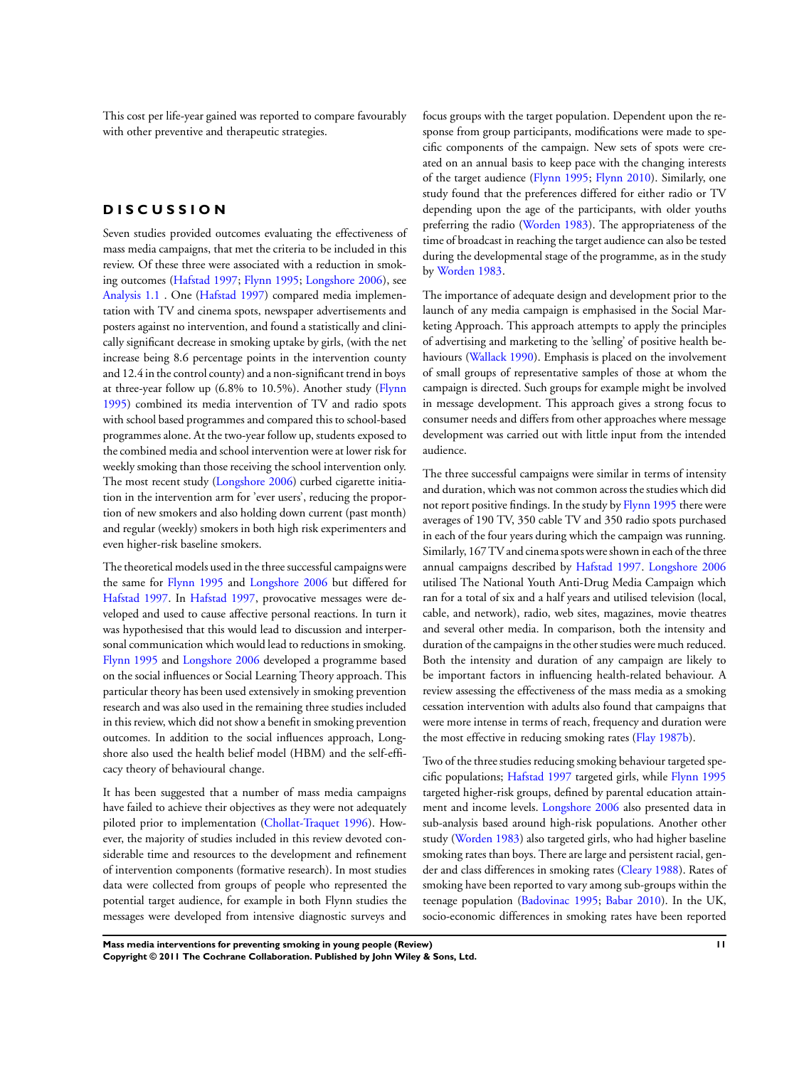This cost per life-year gained was reported to compare favourably with other preventive and therapeutic strategies.

## **D I S C U S S I O N**

Seven studies provided outcomes evaluating the effectiveness of mass media campaigns, that met the criteria to be included in this review. Of these three were associated with a reduction in smoking outcomes [\(Hafstad 1997](#page-16-0); [Flynn 1995;](#page-16-0) [Longshore 2006\)](#page-16-0), see [Analysis 1.1](#page-44-0) . One ([Hafstad 1997](#page-16-0)) compared media implementation with TV and cinema spots, newspaper advertisements and posters against no intervention, and found a statistically and clinically significant decrease in smoking uptake by girls, (with the net increase being 8.6 percentage points in the intervention county and 12.4 in the control county) and a non-significant trend in boys at three-year follow up (6.8% to 10.5%). Another study ([Flynn](#page-16-0) [1995](#page-16-0)) combined its media intervention of TV and radio spots with school based programmes and compared this to school-based programmes alone. At the two-year follow up, students exposed to the combined media and school intervention were at lower risk for weekly smoking than those receiving the school intervention only. The most recent study [\(Longshore 2006](#page-16-0)) curbed cigarette initiation in the intervention arm for 'ever users', reducing the proportion of new smokers and also holding down current (past month) and regular (weekly) smokers in both high risk experimenters and even higher-risk baseline smokers.

The theoretical models used in the three successful campaigns were the same for [Flynn 1995](#page-16-0) and [Longshore 2006](#page-16-0) but differed for [Hafstad 1997.](#page-16-0) In [Hafstad 1997](#page-16-0), provocative messages were developed and used to cause affective personal reactions. In turn it was hypothesised that this would lead to discussion and interpersonal communication which would lead to reductions in smoking. [Flynn 1995](#page-16-0) and [Longshore 2006](#page-16-0) developed a programme based on the social influences or Social Learning Theory approach. This particular theory has been used extensively in smoking prevention research and was also used in the remaining three studies included in this review, which did not show a benefit in smoking prevention outcomes. In addition to the social influences approach, Longshore also used the health belief model (HBM) and the self-efficacy theory of behavioural change.

It has been suggested that a number of mass media campaigns have failed to achieve their objectives as they were not adequately piloted prior to implementation ([Chollat-Traquet 1996\)](#page-16-0). However, the majority of studies included in this review devoted considerable time and resources to the development and refinement of intervention components (formative research). In most studies data were collected from groups of people who represented the potential target audience, for example in both Flynn studies the messages were developed from intensive diagnostic surveys and

focus groups with the target population. Dependent upon the response from group participants, modifications were made to specific components of the campaign. New sets of spots were created on an annual basis to keep pace with the changing interests of the target audience [\(Flynn 1995](#page-16-0); [Flynn 2010](#page-16-0)). Similarly, one study found that the preferences differed for either radio or TV depending upon the age of the participants, with older youths preferring the radio [\(Worden 1983](#page-16-0)). The appropriateness of the time of broadcast in reaching the target audience can also be tested during the developmental stage of the programme, as in the study by [Worden 1983](#page-16-0).

The importance of adequate design and development prior to the launch of any media campaign is emphasised in the Social Marketing Approach. This approach attempts to apply the principles of advertising and marketing to the 'selling' of positive health behaviours ([Wallack 1990\)](#page-16-0). Emphasis is placed on the involvement of small groups of representative samples of those at whom the campaign is directed. Such groups for example might be involved in message development. This approach gives a strong focus to consumer needs and differs from other approaches where message development was carried out with little input from the intended audience.

The three successful campaigns were similar in terms of intensity and duration, which was not common across the studies which did not report positive findings. In the study by [Flynn 1995](#page-16-0) there were averages of 190 TV, 350 cable TV and 350 radio spots purchased in each of the four years during which the campaign was running. Similarly, 167 TV and cinema spots were shown in each of the three annual campaigns described by [Hafstad 1997](#page-16-0). [Longshore 2006](#page-16-0) utilised The National Youth Anti-Drug Media Campaign which ran for a total of six and a half years and utilised television (local, cable, and network), radio, web sites, magazines, movie theatres and several other media. In comparison, both the intensity and duration of the campaigns in the other studies were much reduced. Both the intensity and duration of any campaign are likely to be important factors in influencing health-related behaviour. A review assessing the effectiveness of the mass media as a smoking cessation intervention with adults also found that campaigns that were more intense in terms of reach, frequency and duration were the most effective in reducing smoking rates [\(Flay 1987b\)](#page-16-0).

Two of the three studies reducing smoking behaviour targeted specific populations; [Hafstad 1997](#page-16-0) targeted girls, while [Flynn 1995](#page-16-0) targeted higher-risk groups, defined by parental education attainment and income levels. [Longshore 2006](#page-16-0) also presented data in sub-analysis based around high-risk populations. Another other study [\(Worden 1983](#page-16-0)) also targeted girls, who had higher baseline smoking rates than boys. There are large and persistent racial, gender and class differences in smoking rates [\(Cleary 1988](#page-16-0)). Rates of smoking have been reported to vary among sub-groups within the teenage population [\(Badovinac 1995](#page-16-0); [Babar 2010\)](#page-16-0). In the UK, socio-economic differences in smoking rates have been reported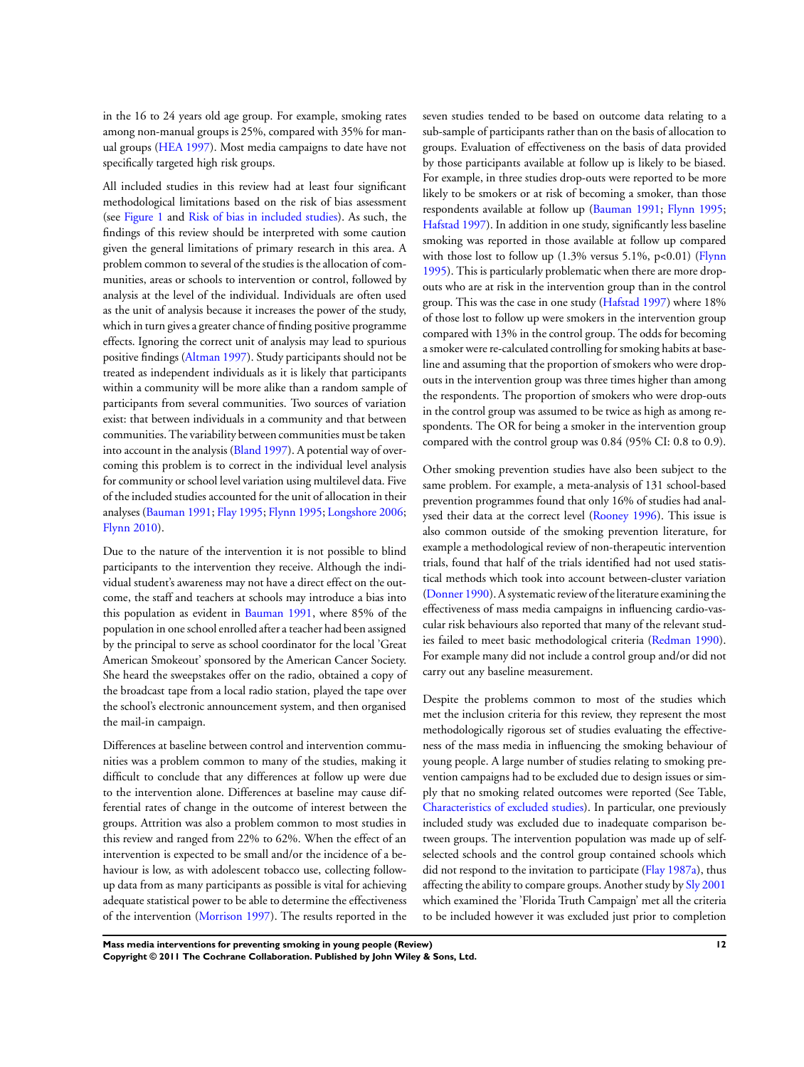in the 16 to 24 years old age group. For example, smoking rates among non-manual groups is 25%, compared with 35% for manual groups [\(HEA 1997\)](#page-16-0). Most media campaigns to date have not specifically targeted high risk groups.

All included studies in this review had at least four significant methodological limitations based on the risk of bias assessment (see [Figure 1](#page-8-0) and [Risk of bias in included studies](#page-4-0)). As such, the findings of this review should be interpreted with some caution given the general limitations of primary research in this area. A problem common to several of the studies is the allocation of communities, areas or schools to intervention or control, followed by analysis at the level of the individual. Individuals are often used as the unit of analysis because it increases the power of the study, which in turn gives a greater chance of finding positive programme effects. Ignoring the correct unit of analysis may lead to spurious positive findings [\(Altman 1997](#page-16-0)). Study participants should not be treated as independent individuals as it is likely that participants within a community will be more alike than a random sample of participants from several communities. Two sources of variation exist: that between individuals in a community and that between communities. The variability between communities must be taken into account in the analysis [\(Bland 1997](#page-16-0)). A potential way of overcoming this problem is to correct in the individual level analysis for community or school level variation using multilevel data. Five of the included studies accounted for the unit of allocation in their analyses [\(Bauman 1991;](#page-16-0) [Flay 1995](#page-16-0); [Flynn 1995;](#page-16-0) [Longshore 2006;](#page-16-0) [Flynn 2010\)](#page-16-0).

Due to the nature of the intervention it is not possible to blind participants to the intervention they receive. Although the individual student's awareness may not have a direct effect on the outcome, the staff and teachers at schools may introduce a bias into this population as evident in [Bauman 1991](#page-16-0), where 85% of the population in one school enrolled after a teacher had been assigned by the principal to serve as school coordinator for the local 'Great American Smokeout' sponsored by the American Cancer Society. She heard the sweepstakes offer on the radio, obtained a copy of the broadcast tape from a local radio station, played the tape over the school's electronic announcement system, and then organised the mail-in campaign.

Differences at baseline between control and intervention communities was a problem common to many of the studies, making it difficult to conclude that any differences at follow up were due to the intervention alone. Differences at baseline may cause differential rates of change in the outcome of interest between the groups. Attrition was also a problem common to most studies in this review and ranged from 22% to 62%. When the effect of an intervention is expected to be small and/or the incidence of a behaviour is low, as with adolescent tobacco use, collecting followup data from as many participants as possible is vital for achieving adequate statistical power to be able to determine the effectiveness of the intervention [\(Morrison 1997](#page-16-0)). The results reported in the

seven studies tended to be based on outcome data relating to a sub-sample of participants rather than on the basis of allocation to groups. Evaluation of effectiveness on the basis of data provided by those participants available at follow up is likely to be biased. For example, in three studies drop-outs were reported to be more likely to be smokers or at risk of becoming a smoker, than those respondents available at follow up [\(Bauman 1991](#page-16-0); [Flynn 1995;](#page-16-0) [Hafstad 1997](#page-16-0)). In addition in one study, significantly less baseline smoking was reported in those available at follow up compared with those lost to follow up  $(1.3\%$  versus 5.1%, p<0.01) ([Flynn](#page-16-0) [1995](#page-16-0)). This is particularly problematic when there are more dropouts who are at risk in the intervention group than in the control group. This was the case in one study ([Hafstad 1997](#page-16-0)) where 18% of those lost to follow up were smokers in the intervention group compared with 13% in the control group. The odds for becoming a smoker were re-calculated controlling for smoking habits at baseline and assuming that the proportion of smokers who were dropouts in the intervention group was three times higher than among the respondents. The proportion of smokers who were drop-outs in the control group was assumed to be twice as high as among respondents. The OR for being a smoker in the intervention group compared with the control group was 0.84 (95% CI: 0.8 to 0.9).

Other smoking prevention studies have also been subject to the same problem. For example, a meta-analysis of 131 school-based prevention programmes found that only 16% of studies had analysed their data at the correct level [\(Rooney 1996\)](#page-16-0). This issue is also common outside of the smoking prevention literature, for example a methodological review of non-therapeutic intervention trials, found that half of the trials identified had not used statistical methods which took into account between-cluster variation [\(Donner 1990\)](#page-16-0). A systematic review of the literature examining the effectiveness of mass media campaigns in influencing cardio-vascular risk behaviours also reported that many of the relevant studies failed to meet basic methodological criteria ([Redman 1990](#page-16-0)). For example many did not include a control group and/or did not carry out any baseline measurement.

Despite the problems common to most of the studies which met the inclusion criteria for this review, they represent the most methodologically rigorous set of studies evaluating the effectiveness of the mass media in influencing the smoking behaviour of young people. A large number of studies relating to smoking prevention campaigns had to be excluded due to design issues or simply that no smoking related outcomes were reported (See Table, [Characteristics of excluded studies\)](#page-38-0). In particular, one previously included study was excluded due to inadequate comparison between groups. The intervention population was made up of selfselected schools and the control group contained schools which did not respond to the invitation to participate [\(Flay 1987a](#page-16-0)), thus affecting the ability to compare groups. Another study by [Sly 2001](#page-16-0) which examined the 'Florida Truth Campaign' met all the criteria to be included however it was excluded just prior to completion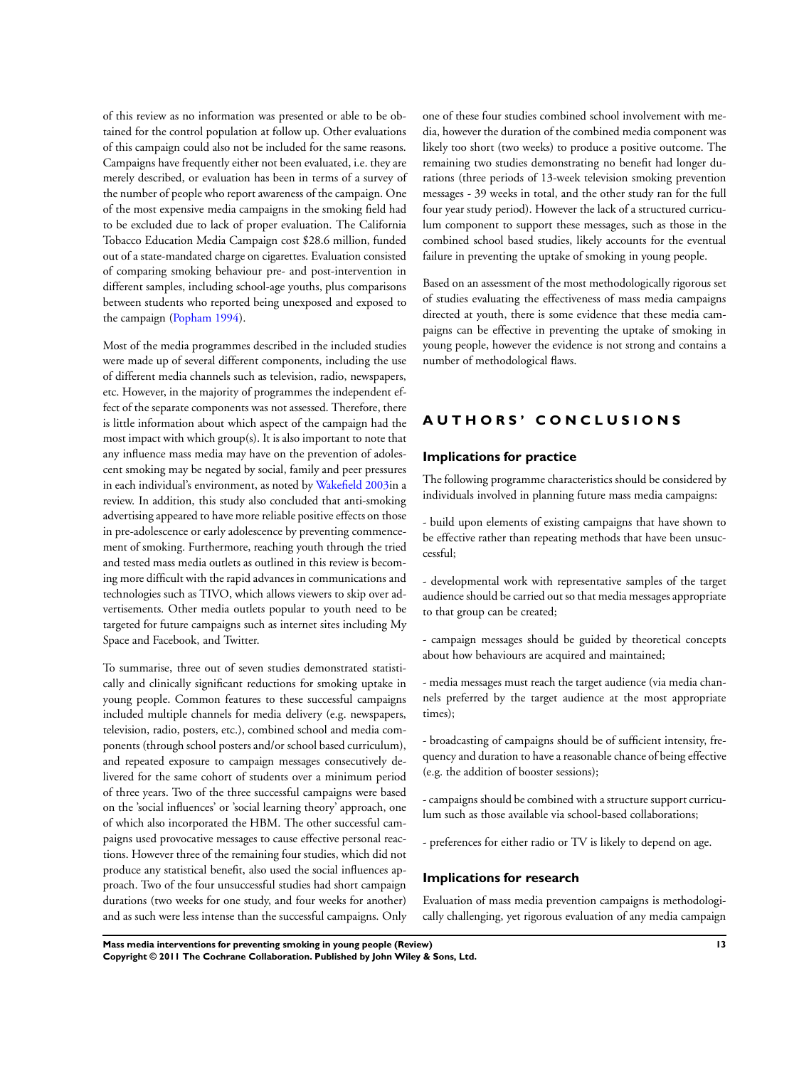of this review as no information was presented or able to be obtained for the control population at follow up. Other evaluations of this campaign could also not be included for the same reasons. Campaigns have frequently either not been evaluated, i.e. they are merely described, or evaluation has been in terms of a survey of the number of people who report awareness of the campaign. One of the most expensive media campaigns in the smoking field had to be excluded due to lack of proper evaluation. The California Tobacco Education Media Campaign cost \$28.6 million, funded out of a state-mandated charge on cigarettes. Evaluation consisted of comparing smoking behaviour pre- and post-intervention in different samples, including school-age youths, plus comparisons between students who reported being unexposed and exposed to the campaign [\(Popham 1994](#page-16-0)).

Most of the media programmes described in the included studies were made up of several different components, including the use of different media channels such as television, radio, newspapers, etc. However, in the majority of programmes the independent effect of the separate components was not assessed. Therefore, there is little information about which aspect of the campaign had the most impact with which group(s). It is also important to note that any influence mass media may have on the prevention of adolescent smoking may be negated by social, family and peer pressures in each individual's environment, as noted by [Wakefield 2003](#page-16-0)in a review. In addition, this study also concluded that anti-smoking advertising appeared to have more reliable positive effects on those in pre-adolescence or early adolescence by preventing commencement of smoking. Furthermore, reaching youth through the tried and tested mass media outlets as outlined in this review is becoming more difficult with the rapid advances in communications and technologies such as TIVO, which allows viewers to skip over advertisements. Other media outlets popular to youth need to be targeted for future campaigns such as internet sites including My Space and Facebook, and Twitter.

To summarise, three out of seven studies demonstrated statistically and clinically significant reductions for smoking uptake in young people. Common features to these successful campaigns included multiple channels for media delivery (e.g. newspapers, television, radio, posters, etc.), combined school and media components (through school posters and/or school based curriculum), and repeated exposure to campaign messages consecutively delivered for the same cohort of students over a minimum period of three years. Two of the three successful campaigns were based on the 'social influences' or 'social learning theory' approach, one of which also incorporated the HBM. The other successful campaigns used provocative messages to cause effective personal reactions. However three of the remaining four studies, which did not produce any statistical benefit, also used the social influences approach. Two of the four unsuccessful studies had short campaign durations (two weeks for one study, and four weeks for another) and as such were less intense than the successful campaigns. Only

one of these four studies combined school involvement with media, however the duration of the combined media component was likely too short (two weeks) to produce a positive outcome. The remaining two studies demonstrating no benefit had longer durations (three periods of 13-week television smoking prevention messages - 39 weeks in total, and the other study ran for the full four year study period). However the lack of a structured curriculum component to support these messages, such as those in the combined school based studies, likely accounts for the eventual failure in preventing the uptake of smoking in young people.

Based on an assessment of the most methodologically rigorous set of studies evaluating the effectiveness of mass media campaigns directed at youth, there is some evidence that these media campaigns can be effective in preventing the uptake of smoking in young people, however the evidence is not strong and contains a number of methodological flaws.

## **A U T H O R S ' C O N C L U S I O N S**

## **Implications for practice**

The following programme characteristics should be considered by individuals involved in planning future mass media campaigns:

- build upon elements of existing campaigns that have shown to be effective rather than repeating methods that have been unsuccessful;

- developmental work with representative samples of the target audience should be carried out so that media messages appropriate to that group can be created;

- campaign messages should be guided by theoretical concepts about how behaviours are acquired and maintained;

- media messages must reach the target audience (via media channels preferred by the target audience at the most appropriate times);

- broadcasting of campaigns should be of sufficient intensity, frequency and duration to have a reasonable chance of being effective (e.g. the addition of booster sessions);

- campaigns should be combined with a structure support curriculum such as those available via school-based collaborations;

- preferences for either radio or TV is likely to depend on age.

## **Implications for research**

Evaluation of mass media prevention campaigns is methodologically challenging, yet rigorous evaluation of any media campaign

**Mass media interventions for preventing smoking in young people (Review) 13 Copyright © 2011 The Cochrane Collaboration. Published by John Wiley & Sons, Ltd.**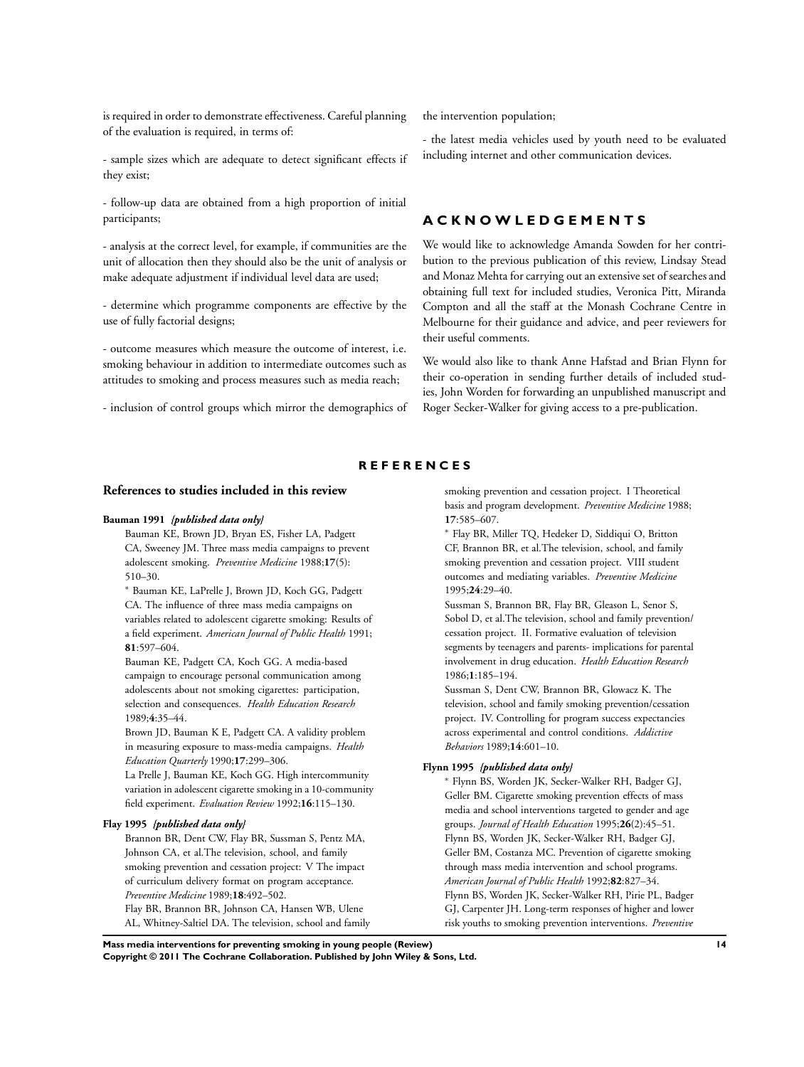<span id="page-16-0"></span>is required in order to demonstrate effectiveness. Careful planning of the evaluation is required, in terms of:

- sample sizes which are adequate to detect significant effects if they exist;

- follow-up data are obtained from a high proportion of initial participants;

- analysis at the correct level, for example, if communities are the unit of allocation then they should also be the unit of analysis or make adequate adjustment if individual level data are used;

- determine which programme components are effective by the use of fully factorial designs;

- outcome measures which measure the outcome of interest, i.e. smoking behaviour in addition to intermediate outcomes such as attitudes to smoking and process measures such as media reach;

- inclusion of control groups which mirror the demographics of

the intervention population;

- the latest media vehicles used by youth need to be evaluated including internet and other communication devices.

## **A C K N O W L E D G E M E N T S**

We would like to acknowledge Amanda Sowden for her contribution to the previous publication of this review, Lindsay Stead and Monaz Mehta for carrying out an extensive set of searches and obtaining full text for included studies, Veronica Pitt, Miranda Compton and all the staff at the Monash Cochrane Centre in Melbourne for their guidance and advice, and peer reviewers for their useful comments.

We would also like to thank Anne Hafstad and Brian Flynn for their co-operation in sending further details of included studies, John Worden for forwarding an unpublished manuscript and Roger Secker-Walker for giving access to a pre-publication.

## **R E F E R E N C E S**

#### **References to studies included in this review**

#### **Bauman 1991** *{published data only}*

Bauman KE, Brown JD, Bryan ES, Fisher LA, Padgett CA, Sweeney JM. Three mass media campaigns to prevent adolescent smoking. *Preventive Medicine* 1988;**17**(5): 510–30.

Bauman KE, LaPrelle J, Brown JD, Koch GG, Padgett CA. The influence of three mass media campaigns on variables related to adolescent cigarette smoking: Results of a field experiment. *American Journal of Public Health* 1991; **81**:597–604.

Bauman KE, Padgett CA, Koch GG. A media-based campaign to encourage personal communication among adolescents about not smoking cigarettes: participation, selection and consequences. *Health Education Research* 1989;**4**:35–44.

Brown JD, Bauman K E, Padgett CA. A validity problem in measuring exposure to mass-media campaigns. *Health Education Quarterly* 1990;**17**:299–306.

La Prelle J, Bauman KE, Koch GG. High intercommunity variation in adolescent cigarette smoking in a 10-community field experiment. *Evaluation Review* 1992;**16**:115–130.

#### **Flay 1995** *{published data only}*

Brannon BR, Dent CW, Flay BR, Sussman S, Pentz MA, Johnson CA, et al.The television, school, and family smoking prevention and cessation project: V The impact of curriculum delivery format on program acceptance. *Preventive Medicine* 1989;**18**:492–502.

Flay BR, Brannon BR, Johnson CA, Hansen WB, Ulene AL, Whitney-Saltiel DA. The television, school and family smoking prevention and cessation project. I Theoretical basis and program development. *Preventive Medicine* 1988; **17**:585–607.

<sup>∗</sup> Flay BR, Miller TQ, Hedeker D, Siddiqui O, Britton CF, Brannon BR, et al.The television, school, and family smoking prevention and cessation project. VIII student outcomes and mediating variables. *Preventive Medicine* 1995;**24**:29–40.

Sussman S, Brannon BR, Flay BR, Gleason L, Senor S, Sobol D, et al.The television, school and family prevention/ cessation project. II. Formative evaluation of television segments by teenagers and parents- implications for parental involvement in drug education. *Health Education Research* 1986;**1**:185–194.

Sussman S, Dent CW, Brannon BR, Glowacz K. The television, school and family smoking prevention/cessation project. IV. Controlling for program success expectancies across experimental and control conditions. *Addictive Behaviors* 1989;**14**:601–10.

### **Flynn 1995** *{published data only}*

<sup>∗</sup> Flynn BS, Worden JK, Secker-Walker RH, Badger GJ, Geller BM. Cigarette smoking prevention effects of mass media and school interventions targeted to gender and age groups. *Journal of Health Education* 1995;**26**(2):45–51. Flynn BS, Worden JK, Secker-Walker RH, Badger GJ, Geller BM, Costanza MC. Prevention of cigarette smoking through mass media intervention and school programs. *American Journal of Public Health* 1992;**82**:827–34. Flynn BS, Worden JK, Secker-Walker RH, Pirie PL, Badger GJ, Carpenter JH. Long-term responses of higher and lower risk youths to smoking prevention interventions. *Preventive*

**Mass media interventions for preventing smoking in young people (Review) 14 Copyright © 2011 The Cochrane Collaboration. Published by John Wiley & Sons, Ltd.**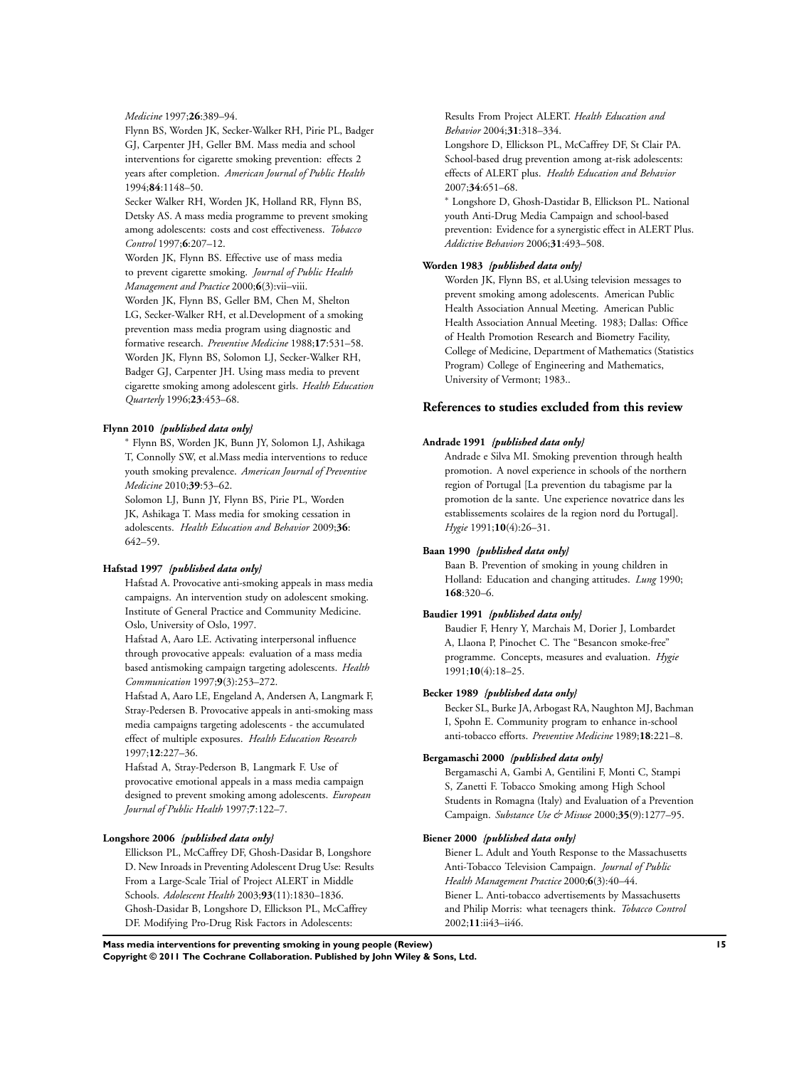*Medicine* 1997;**26**:389–94.

Flynn BS, Worden JK, Secker-Walker RH, Pirie PL, Badger GJ, Carpenter JH, Geller BM. Mass media and school interventions for cigarette smoking prevention: effects 2 years after completion. *American Journal of Public Health* 1994;**84**:1148–50.

Secker Walker RH, Worden JK, Holland RR, Flynn BS, Detsky AS. A mass media programme to prevent smoking among adolescents: costs and cost effectiveness. *Tobacco Control* 1997;**6**:207–12.

Worden JK, Flynn BS. Effective use of mass media to prevent cigarette smoking. *Journal of Public Health Management and Practice* 2000;**6**(3):vii–viii. Worden JK, Flynn BS, Geller BM, Chen M, Shelton LG, Secker-Walker RH, et al.Development of a smoking

prevention mass media program using diagnostic and formative research. *Preventive Medicine* 1988;**17**:531–58. Worden JK, Flynn BS, Solomon LJ, Secker-Walker RH, Badger GJ, Carpenter JH. Using mass media to prevent cigarette smoking among adolescent girls. *Health Education Quarterly* 1996;**23**:453–68.

### **Flynn 2010** *{published data only}*

<sup>∗</sup> Flynn BS, Worden JK, Bunn JY, Solomon LJ, Ashikaga T, Connolly SW, et al.Mass media interventions to reduce youth smoking prevalence. *American Journal of Preventive Medicine* 2010;**39**:53–62.

Solomon LJ, Bunn JY, Flynn BS, Pirie PL, Worden JK, Ashikaga T. Mass media for smoking cessation in adolescents. *Health Education and Behavior* 2009;**36**: 642–59.

### **Hafstad 1997** *{published data only}*

Hafstad A. Provocative anti-smoking appeals in mass media campaigns. An intervention study on adolescent smoking. Institute of General Practice and Community Medicine. Oslo, University of Oslo, 1997.

Hafstad A, Aaro LE. Activating interpersonal influence through provocative appeals: evaluation of a mass media based antismoking campaign targeting adolescents. *Health Communication* 1997;**9**(3):253–272.

Hafstad A, Aaro LE, Engeland A, Andersen A, Langmark F, Stray-Pedersen B. Provocative appeals in anti-smoking mass media campaigns targeting adolescents - the accumulated effect of multiple exposures. *Health Education Research* 1997;**12**:227–36.

Hafstad A, Stray-Pederson B, Langmark F. Use of provocative emotional appeals in a mass media campaign designed to prevent smoking among adolescents. *European Journal of Public Health* 1997;**7**:122–7.

### **Longshore 2006** *{published data only}*

Ellickson PL, McCaffrey DF, Ghosh-Dasidar B, Longshore D. New Inroads in Preventing Adolescent Drug Use: Results From a Large-Scale Trial of Project ALERT in Middle Schools. *Adolescent Health* 2003;**93**(11):1830–1836. Ghosh-Dasidar B, Longshore D, Ellickson PL, McCaffrey DF. Modifying Pro-Drug Risk Factors in Adolescents:

Results From Project ALERT. *Health Education and Behavior* 2004;**31**:318–334.

Longshore D, Ellickson PL, McCaffrey DF, St Clair PA. School-based drug prevention among at-risk adolescents: effects of ALERT plus. *Health Education and Behavior* 2007;**34**:651–68.

<sup>∗</sup> Longshore D, Ghosh-Dastidar B, Ellickson PL. National youth Anti-Drug Media Campaign and school-based prevention: Evidence for a synergistic effect in ALERT Plus. *Addictive Behaviors* 2006;**31**:493–508.

### **Worden 1983** *{published data only}*

Worden JK, Flynn BS, et al.Using television messages to prevent smoking among adolescents. American Public Health Association Annual Meeting. American Public Health Association Annual Meeting. 1983; Dallas: Office of Health Promotion Research and Biometry Facility, College of Medicine, Department of Mathematics (Statistics Program) College of Engineering and Mathematics, University of Vermont; 1983..

## **References to studies excluded from this review**

#### **Andrade 1991** *{published data only}*

Andrade e Silva MI. Smoking prevention through health promotion. A novel experience in schools of the northern region of Portugal [La prevention du tabagisme par la promotion de la sante. Une experience novatrice dans les establissements scolaires de la region nord du Portugal]. *Hygie* 1991;**10**(4):26–31.

#### **Baan 1990** *{published data only}*

Baan B. Prevention of smoking in young children in Holland: Education and changing attitudes. *Lung* 1990; **168**:320–6.

#### **Baudier 1991** *{published data only}*

Baudier F, Henry Y, Marchais M, Dorier J, Lombardet A, Llaona P, Pinochet C. The "Besancon smoke-free" programme. Concepts, measures and evaluation. *Hygie* 1991;**10**(4):18–25.

#### **Becker 1989** *{published data only}*

Becker SL, Burke JA, Arbogast RA, Naughton MJ, Bachman I, Spohn E. Community program to enhance in-school anti-tobacco efforts. *Preventive Medicine* 1989;**18**:221–8.

#### **Bergamaschi 2000** *{published data only}*

Bergamaschi A, Gambi A, Gentilini F, Monti C, Stampi S, Zanetti F. Tobacco Smoking among High School Students in Romagna (Italy) and Evaluation of a Prevention Campaign. *Substance Use & Misuse* 2000;**35**(9):1277–95.

### **Biener 2000** *{published data only}*

Biener L. Adult and Youth Response to the Massachusetts Anti-Tobacco Television Campaign. *Journal of Public Health Management Practice* 2000;**6**(3):40–44. Biener L. Anti-tobacco advertisements by Massachusetts and Philip Morris: what teenagers think. *Tobacco Control* 2002;**11**:ii43–ii46.

**Mass media interventions for preventing smoking in young people (Review) 15 Copyright © 2011 The Cochrane Collaboration. Published by John Wiley & Sons, Ltd.**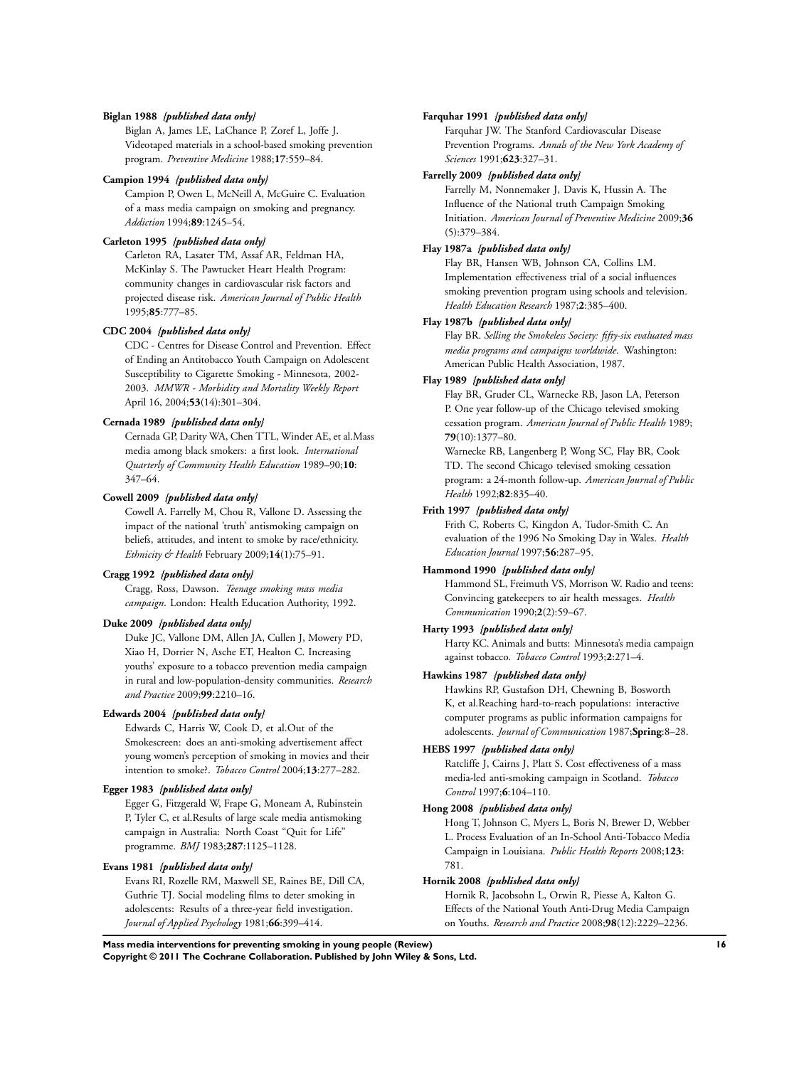### **Biglan 1988** *{published data only}*

Biglan A, James LE, LaChance P, Zoref L, Joffe J. Videotaped materials in a school-based smoking prevention program. *Preventive Medicine* 1988;**17**:559–84.

#### **Campion 1994** *{published data only}*

Campion P, Owen L, McNeill A, McGuire C. Evaluation of a mass media campaign on smoking and pregnancy. *Addiction* 1994;**89**:1245–54.

### **Carleton 1995** *{published data only}*

Carleton RA, Lasater TM, Assaf AR, Feldman HA, McKinlay S. The Pawtucket Heart Health Program: community changes in cardiovascular risk factors and projected disease risk. *American Journal of Public Health* 1995;**85**:777–85.

#### **CDC 2004** *{published data only}*

CDC - Centres for Disease Control and Prevention. Effect of Ending an Antitobacco Youth Campaign on Adolescent Susceptibility to Cigarette Smoking - Minnesota, 2002- 2003. *MMWR - Morbidity and Mortality Weekly Report* April 16, 2004;**53**(14):301–304.

#### **Cernada 1989** *{published data only}*

Cernada GP, Darity WA, Chen TTL, Winder AE, et al.Mass media among black smokers: a first look. *International Quarterly of Community Health Education* 1989–90;**10**: 347–64.

#### **Cowell 2009** *{published data only}*

Cowell A. Farrelly M, Chou R, Vallone D. Assessing the impact of the national 'truth' antismoking campaign on beliefs, attitudes, and intent to smoke by race/ethnicity. *Ethnicity & Health* February 2009;**14**(1):75–91.

#### **Cragg 1992** *{published data only}*

Cragg, Ross, Dawson. *Teenage smoking mass media campaign*. London: Health Education Authority, 1992.

#### **Duke 2009** *{published data only}*

Duke JC, Vallone DM, Allen JA, Cullen J, Mowery PD, Xiao H, Dorrier N, Asche ET, Healton C. Increasing youths' exposure to a tobacco prevention media campaign in rural and low-population-density communities. *Research and Practice* 2009;**99**:2210–16.

#### **Edwards 2004** *{published data only}*

Edwards C, Harris W, Cook D, et al.Out of the Smokescreen: does an anti-smoking advertisement affect young women's perception of smoking in movies and their intention to smoke?. *Tobacco Control* 2004;**13**:277–282.

### **Egger 1983** *{published data only}*

Egger G, Fitzgerald W, Frape G, Moneam A, Rubinstein P, Tyler C, et al.Results of large scale media antismoking campaign in Australia: North Coast "Quit for Life" programme. *BMJ* 1983;**287**:1125–1128.

#### **Evans 1981** *{published data only}*

Evans RI, Rozelle RM, Maxwell SE, Raines BE, Dill CA, Guthrie TJ. Social modeling films to deter smoking in adolescents: Results of a three-year field investigation. *Journal of Applied Psychology* 1981;**66**:399–414.

#### **Farquhar 1991** *{published data only}*

Farquhar JW. The Stanford Cardiovascular Disease Prevention Programs. *Annals of the New York Academy of Sciences* 1991;**623**:327–31.

## **Farrelly 2009** *{published data only}*

Farrelly M, Nonnemaker J, Davis K, Hussin A. The Influence of the National truth Campaign Smoking Initiation. *American Journal of Preventive Medicine* 2009;**36** (5):379–384.

### **Flay 1987a** *{published data only}*

Flay BR, Hansen WB, Johnson CA, Collins LM. Implementation effectiveness trial of a social influences smoking prevention program using schools and television. *Health Education Research* 1987;**2**:385–400.

#### **Flay 1987b** *{published data only}*

Flay BR. *Selling the Smokeless Society: fifty-six evaluated mass media programs and campaigns worldwide*. Washington: American Public Health Association, 1987.

### **Flay 1989** *{published data only}*

Flay BR, Gruder CL, Warnecke RB, Jason LA, Peterson P. One year follow-up of the Chicago televised smoking cessation program. *American Journal of Public Health* 1989; **79**(10):1377–80.

Warnecke RB, Langenberg P, Wong SC, Flay BR, Cook TD. The second Chicago televised smoking cessation program: a 24-month follow-up. *American Journal of Public Health* 1992;**82**:835–40.

#### **Frith 1997** *{published data only}*

Frith C, Roberts C, Kingdon A, Tudor-Smith C. An evaluation of the 1996 No Smoking Day in Wales. *Health Education Journal* 1997;**56**:287–95.

### **Hammond 1990** *{published data only}*

Hammond SL, Freimuth VS, Morrison W. Radio and teens: Convincing gatekeepers to air health messages. *Health Communication* 1990;**2**(2):59–67.

### **Harty 1993** *{published data only}*

Harty KC. Animals and butts: Minnesota's media campaign against tobacco. *Tobacco Control* 1993;**2**:271–4.

#### **Hawkins 1987** *{published data only}*

Hawkins RP, Gustafson DH, Chewning B, Bosworth K, et al.Reaching hard-to-reach populations: interactive computer programs as public information campaigns for adolescents. *Journal of Communication* 1987;**Spring**:8–28.

### **HEBS 1997** *{published data only}*

Ratcliffe J, Cairns J, Platt S. Cost effectiveness of a mass media-led anti-smoking campaign in Scotland. *Tobacco Control* 1997;**6**:104–110.

## **Hong 2008** *{published data only}*

Hong T, Johnson C, Myers L, Boris N, Brewer D, Webber L. Process Evaluation of an In-School Anti-Tobacco Media Campaign in Louisiana. *Public Health Reports* 2008;**123**: 781.

#### **Hornik 2008** *{published data only}*

Hornik R, Jacobsohn L, Orwin R, Piesse A, Kalton G. Effects of the National Youth Anti-Drug Media Campaign on Youths. *Research and Practice* 2008;**98**(12):2229–2236.

**Mass media interventions for preventing smoking in young people (Review) 16 Copyright © 2011 The Cochrane Collaboration. Published by John Wiley & Sons, Ltd.**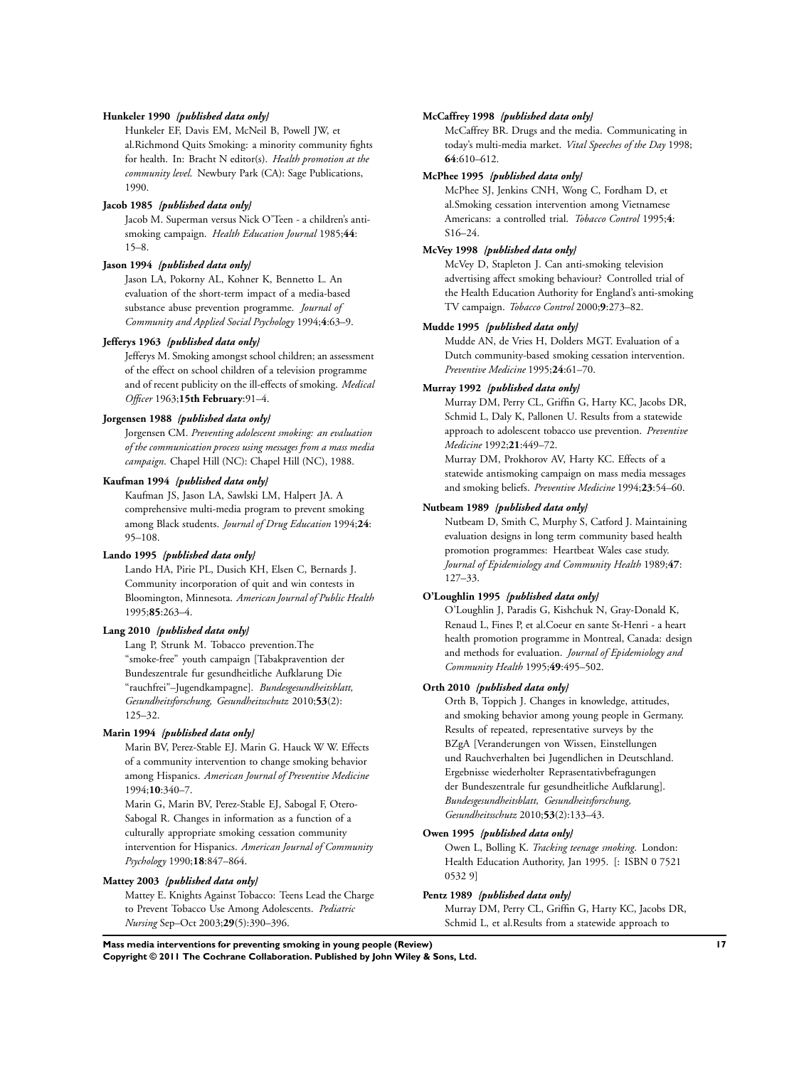### **Hunkeler 1990** *{published data only}*

Hunkeler EF, Davis EM, McNeil B, Powell JW, et al.Richmond Quits Smoking: a minority community fights for health. In: Bracht N editor(s). *Health promotion at the community level*. Newbury Park (CA): Sage Publications, 1990.

#### **Jacob 1985** *{published data only}*

Jacob M. Superman versus Nick O'Teen - a children's antismoking campaign. *Health Education Journal* 1985;**44**: 15–8.

### **Jason 1994** *{published data only}*

Jason LA, Pokorny AL, Kohner K, Bennetto L. An evaluation of the short-term impact of a media-based substance abuse prevention programme. *Journal of Community and Applied Social Psychology* 1994;**4**:63–9.

## **Jefferys 1963** *{published data only}*

Jefferys M. Smoking amongst school children; an assessment of the effect on school children of a television programme and of recent publicity on the ill-effects of smoking. *Medical Officer* 1963;**15th February**:91–4.

## **Jorgensen 1988** *{published data only}*

Jorgensen CM. *Preventing adolescent smoking: an evaluation of the communication process using messages from a mass media campaign*. Chapel Hill (NC): Chapel Hill (NC), 1988.

### **Kaufman 1994** *{published data only}*

Kaufman JS, Jason LA, Sawlski LM, Halpert JA. A comprehensive multi-media program to prevent smoking among Black students. *Journal of Drug Education* 1994;**24**: 95–108.

## **Lando 1995** *{published data only}*

Lando HA, Pirie PL, Dusich KH, Elsen C, Bernards J. Community incorporation of quit and win contests in Bloomington, Minnesota. *American Journal of Public Health* 1995;**85**:263–4.

#### **Lang 2010** *{published data only}*

Lang P, Strunk M. Tobacco prevention.The "smoke-free" youth campaign [Tabakpravention der Bundeszentrale fur gesundheitliche Aufklarung Die "rauchfrei"–Jugendkampagne]. *Bundesgesundheitsblatt, Gesundheitsforschung, Gesundheitsschutz* 2010;**53**(2): 125–32.

## **Marin 1994** *{published data only}*

Marin BV, Perez-Stable EJ. Marin G. Hauck W W. Effects of a community intervention to change smoking behavior among Hispanics. *American Journal of Preventive Medicine* 1994;**10**:340–7.

Marin G, Marin BV, Perez-Stable EJ, Sabogal F, Otero-Sabogal R. Changes in information as a function of a culturally appropriate smoking cessation community intervention for Hispanics. *American Journal of Community Psychology* 1990;**18**:847–864.

#### **Mattey 2003** *{published data only}*

Mattey E. Knights Against Tobacco: Teens Lead the Charge to Prevent Tobacco Use Among Adolescents. *Pediatric Nursing* Sep–Oct 2003;**29**(5):390–396.

#### **McCaffrey 1998** *{published data only}*

McCaffrey BR. Drugs and the media. Communicating in today's multi-media market. *Vital Speeches of the Day* 1998; **64**:610–612.

### **McPhee 1995** *{published data only}*

McPhee SJ, Jenkins CNH, Wong C, Fordham D, et al.Smoking cessation intervention among Vietnamese Americans: a controlled trial. *Tobacco Control* 1995;**4**: S16–24.

## **McVey 1998** *{published data only}*

McVey D, Stapleton J. Can anti-smoking television advertising affect smoking behaviour? Controlled trial of the Health Education Authority for England's anti-smoking TV campaign. *Tobacco Control* 2000;**9**:273–82.

#### **Mudde 1995** *{published data only}*

Mudde AN, de Vries H, Dolders MGT. Evaluation of a Dutch community-based smoking cessation intervention. *Preventive Medicine* 1995;**24**:61–70.

### **Murray 1992** *{published data only}*

Murray DM, Perry CL, Griffin G, Harty KC, Jacobs DR, Schmid L, Daly K, Pallonen U. Results from a statewide approach to adolescent tobacco use prevention. *Preventive Medicine* 1992;**21**:449–72.

Murray DM, Prokhorov AV, Harty KC. Effects of a statewide antismoking campaign on mass media messages and smoking beliefs. *Preventive Medicine* 1994;**23**:54–60.

### **Nutbeam 1989** *{published data only}*

Nutbeam D, Smith C, Murphy S, Catford J. Maintaining evaluation designs in long term community based health promotion programmes: Heartbeat Wales case study. *Journal of Epidemiology and Community Health* 1989;**47**: 127–33.

### **O'Loughlin 1995** *{published data only}*

O'Loughlin J, Paradis G, Kishchuk N, Gray-Donald K, Renaud L, Fines P, et al.Coeur en sante St-Henri - a heart health promotion programme in Montreal, Canada: design and methods for evaluation. *Journal of Epidemiology and Community Health* 1995;**49**:495–502.

### **Orth 2010** *{published data only}*

Orth B, Toppich J. Changes in knowledge, attitudes, and smoking behavior among young people in Germany. Results of repeated, representative surveys by the BZgA [Veranderungen von Wissen, Einstellungen und Rauchverhalten bei Jugendlichen in Deutschland. Ergebnisse wiederholter Reprasentativbefragungen der Bundeszentrale fur gesundheitliche Aufklarung]. *Bundesgesundheitsblatt, Gesundheitsforschung, Gesundheitsschutz* 2010;**53**(2):133–43.

## **Owen 1995** *{published data only}*

Owen L, Bolling K. *Tracking teenage smoking*. London: Health Education Authority, Jan 1995. [: ISBN 0 7521 0532 9]

#### **Pentz 1989** *{published data only}*

Murray DM, Perry CL, Griffin G, Harty KC, Jacobs DR, Schmid L, et al.Results from a statewide approach to

**Mass media interventions for preventing smoking in young people (Review) 17 Copyright © 2011 The Cochrane Collaboration. Published by John Wiley & Sons, Ltd.**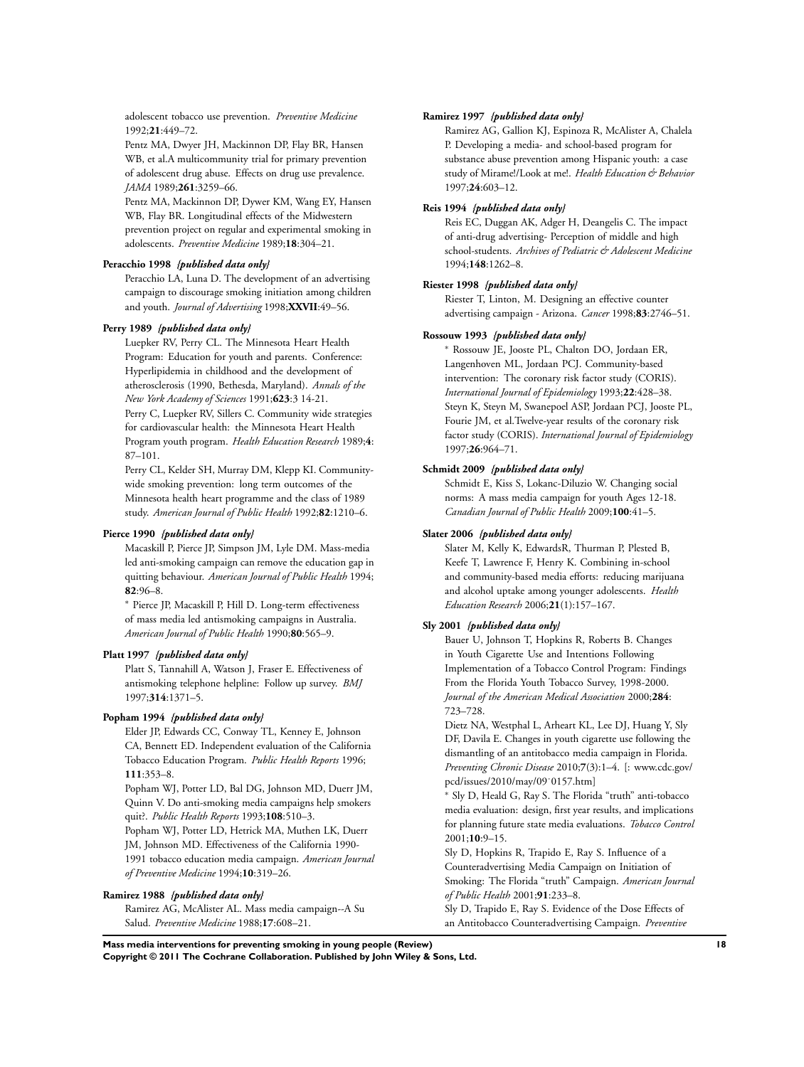adolescent tobacco use prevention. *Preventive Medicine* 1992;**21**:449–72.

Pentz MA, Dwyer JH, Mackinnon DP, Flay BR, Hansen WB, et al.A multicommunity trial for primary prevention of adolescent drug abuse. Effects on drug use prevalence. *JAMA* 1989;**261**:3259–66.

Pentz MA, Mackinnon DP, Dywer KM, Wang EY, Hansen WB, Flay BR. Longitudinal effects of the Midwestern prevention project on regular and experimental smoking in adolescents. *Preventive Medicine* 1989;**18**:304–21.

### **Peracchio 1998** *{published data only}*

Peracchio LA, Luna D. The development of an advertising campaign to discourage smoking initiation among children and youth. *Journal of Advertising* 1998;**XXVII**:49–56.

### **Perry 1989** *{published data only}*

Luepker RV, Perry CL. The Minnesota Heart Health Program: Education for youth and parents. Conference: Hyperlipidemia in childhood and the development of atherosclerosis (1990, Bethesda, Maryland). *Annals of the New York Academy of Sciences* 1991;**623**:3 14-21. Perry C, Luepker RV, Sillers C. Community wide strategies for cardiovascular health: the Minnesota Heart Health

Program youth program. *Health Education Research* 1989;**4**: 87–101.

Perry CL, Kelder SH, Murray DM, Klepp KI. Communitywide smoking prevention: long term outcomes of the Minnesota health heart programme and the class of 1989 study. *American Journal of Public Health* 1992;**82**:1210–6.

### **Pierce 1990** *{published data only}*

Macaskill P, Pierce JP, Simpson JM, Lyle DM. Mass-media led anti-smoking campaign can remove the education gap in quitting behaviour. *American Journal of Public Health* 1994; **82**:96–8.

<sup>∗</sup> Pierce JP, Macaskill P, Hill D. Long-term effectiveness of mass media led antismoking campaigns in Australia. *American Journal of Public Health* 1990;**80**:565–9.

#### **Platt 1997** *{published data only}*

Platt S, Tannahill A, Watson J, Fraser E. Effectiveness of antismoking telephone helpline: Follow up survey. *BMJ* 1997;**314**:1371–5.

#### **Popham 1994** *{published data only}*

Elder JP, Edwards CC, Conway TL, Kenney E, Johnson CA, Bennett ED. Independent evaluation of the California Tobacco Education Program. *Public Health Reports* 1996; **111**:353–8.

Popham WJ, Potter LD, Bal DG, Johnson MD, Duerr JM, Quinn V. Do anti-smoking media campaigns help smokers quit?. *Public Health Reports* 1993;**108**:510–3.

Popham WJ, Potter LD, Hetrick MA, Muthen LK, Duerr JM, Johnson MD. Effectiveness of the California 1990- 1991 tobacco education media campaign. *American Journal of Preventive Medicine* 1994;**10**:319–26.

#### **Ramirez 1988** *{published data only}*

Ramirez AG, McAlister AL. Mass media campaign--A Su Salud. *Preventive Medicine* 1988;**17**:608–21.

#### **Ramirez 1997** *{published data only}*

Ramirez AG, Gallion KJ, Espinoza R, McAlister A, Chalela P. Developing a media- and school-based program for substance abuse prevention among Hispanic youth: a case study of Mirame!/Look at me!. *Health Education & Behavior* 1997;**24**:603–12.

#### **Reis 1994** *{published data only}*

Reis EC, Duggan AK, Adger H, Deangelis C. The impact of anti-drug advertising- Perception of middle and high school-students. *Archives of Pediatric & Adolescent Medicine* 1994;**148**:1262–8.

#### **Riester 1998** *{published data only}*

Riester T, Linton, M. Designing an effective counter advertising campaign - Arizona. *Cancer* 1998;**83**:2746–51.

#### **Rossouw 1993** *{published data only}*

<sup>∗</sup> Rossouw JE, Jooste PL, Chalton DO, Jordaan ER, Langenhoven ML, Jordaan PCJ. Community-based intervention: The coronary risk factor study (CORIS). *International Journal of Epidemiology* 1993;**22**:428–38. Steyn K, Steyn M, Swanepoel ASP, Jordaan PCJ, Jooste PL, Fourie JM, et al.Twelve-year results of the coronary risk factor study (CORIS). *International Journal of Epidemiology* 1997;**26**:964–71.

#### **Schmidt 2009** *{published data only}*

Schmidt E, Kiss S, Lokanc-Diluzio W. Changing social norms: A mass media campaign for youth Ages 12-18. *Canadian Journal of Public Health* 2009;**100**:41–5.

#### **Slater 2006** *{published data only}*

Slater M, Kelly K, EdwardsR, Thurman P, Plested B, Keefe T, Lawrence F, Henry K. Combining in-school and community-based media efforts: reducing marijuana and alcohol uptake among younger adolescents. *Health Education Research* 2006;**21**(1):157–167.

#### **Sly 2001** *{published data only}*

Bauer U, Johnson T, Hopkins R, Roberts B. Changes in Youth Cigarette Use and Intentions Following Implementation of a Tobacco Control Program: Findings From the Florida Youth Tobacco Survey, 1998-2000. *Journal of the American Medical Association* 2000;**284**: 723–728.

Dietz NA, Westphal L, Arheart KL, Lee DJ, Huang Y, Sly DF, Davila E. Changes in youth cigarette use following the dismantling of an antitobacco media campaign in Florida. *Preventing Chronic Disease* 2010;**7**(3):1–4. [: www.cdc.gov/ pcd/issues/2010/may/09˙0157.htm]

Sly D, Heald G, Ray S. The Florida "truth" anti-tobacco media evaluation: design, first year results, and implications for planning future state media evaluations. *Tobacco Control* 2001;**10**:9–15.

Sly D, Hopkins R, Trapido E, Ray S. Influence of a Counteradvertising Media Campaign on Initiation of Smoking: The Florida "truth" Campaign. *American Journal of Public Health* 2001;**91**:233–8.

Sly D, Trapido E, Ray S. Evidence of the Dose Effects of an Antitobacco Counteradvertising Campaign. *Preventive*

**Mass media interventions for preventing smoking in young people (Review) 18 Copyright © 2011 The Cochrane Collaboration. Published by John Wiley & Sons, Ltd.**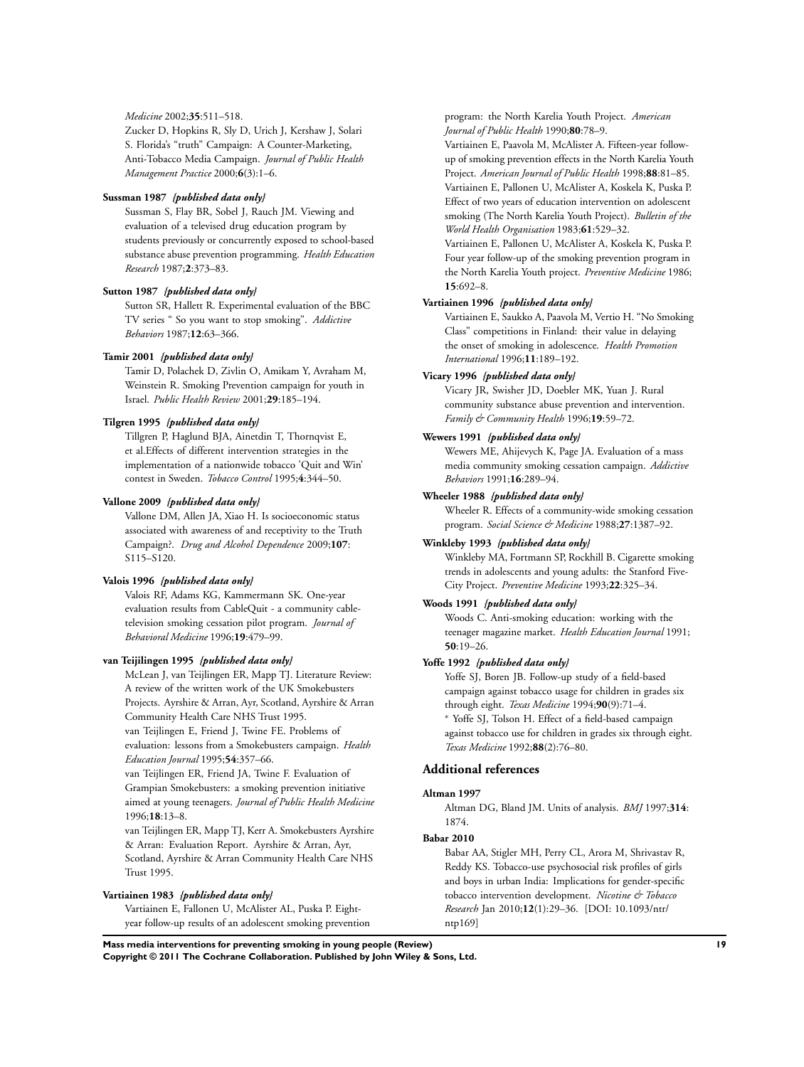### *Medicine* 2002;**35**:511–518.

Zucker D, Hopkins R, Sly D, Urich J, Kershaw J, Solari S. Florida's "truth" Campaign: A Counter-Marketing, Anti-Tobacco Media Campaign. *Journal of Public Health Management Practice* 2000;**6**(3):1–6.

#### **Sussman 1987** *{published data only}*

Sussman S, Flay BR, Sobel J, Rauch JM. Viewing and evaluation of a televised drug education program by students previously or concurrently exposed to school-based substance abuse prevention programming. *Health Education Research* 1987;**2**:373–83.

#### **Sutton 1987** *{published data only}*

Sutton SR, Hallett R. Experimental evaluation of the BBC TV series " So you want to stop smoking". *Addictive Behaviors* 1987;**12**:63–366.

#### **Tamir 2001** *{published data only}*

Tamir D, Polachek D, Zivlin O, Amikam Y, Avraham M, Weinstein R. Smoking Prevention campaign for youth in Israel. *Public Health Review* 2001;**29**:185–194.

#### **Tilgren 1995** *{published data only}*

Tillgren P, Haglund BJA, Ainetdin T, Thornqvist E, et al.Effects of different intervention strategies in the implementation of a nationwide tobacco 'Quit and Win' contest in Sweden. *Tobacco Control* 1995;**4**:344–50.

#### **Vallone 2009** *{published data only}*

Vallone DM, Allen JA, Xiao H. Is socioeconomic status associated with awareness of and receptivity to the Truth Campaign?. *Drug and Alcohol Dependence* 2009;**107**: S115–S120.

### **Valois 1996** *{published data only}*

Valois RF, Adams KG, Kammermann SK. One-year evaluation results from CableQuit - a community cabletelevision smoking cessation pilot program. *Journal of Behavioral Medicine* 1996;**19**:479–99.

#### **van Teijilingen 1995** *{published data only}*

McLean J, van Teijlingen ER, Mapp TJ. Literature Review: A review of the written work of the UK Smokebusters Projects. Ayrshire & Arran, Ayr, Scotland, Ayrshire & Arran Community Health Care NHS Trust 1995. van Teijlingen E, Friend J, Twine FE. Problems of

evaluation: lessons from a Smokebusters campaign. *Health Education Journal* 1995;**54**:357–66.

van Teijlingen ER, Friend JA, Twine F. Evaluation of Grampian Smokebusters: a smoking prevention initiative aimed at young teenagers. *Journal of Public Health Medicine* 1996;**18**:13–8.

van Teijlingen ER, Mapp TJ, Kerr A. Smokebusters Ayrshire & Arran: Evaluation Report. Ayrshire & Arran, Ayr, Scotland, Ayrshire & Arran Community Health Care NHS Trust 1995.

#### **Vartiainen 1983** *{published data only}*

Vartiainen E, Fallonen U, McAlister AL, Puska P. Eightyear follow-up results of an adolescent smoking prevention program: the North Karelia Youth Project. *American Journal of Public Health* 1990;**80**:78–9.

Vartiainen E, Paavola M, McAlister A. Fifteen-year followup of smoking prevention effects in the North Karelia Youth Project. *American Journal of Public Health* 1998;**88**:81–85. Vartiainen E, Pallonen U, McAlister A, Koskela K, Puska P. Effect of two years of education intervention on adolescent smoking (The North Karelia Youth Project). *Bulletin of the World Health Organisation* 1983;**61**:529–32.

Vartiainen E, Pallonen U, McAlister A, Koskela K, Puska P. Four year follow-up of the smoking prevention program in the North Karelia Youth project. *Preventive Medicine* 1986; **15**:692–8.

### **Vartiainen 1996** *{published data only}*

Vartiainen E, Saukko A, Paavola M, Vertio H. "No Smoking Class" competitions in Finland: their value in delaying the onset of smoking in adolescence. *Health Promotion International* 1996;**11**:189–192.

#### **Vicary 1996** *{published data only}*

Vicary JR, Swisher JD, Doebler MK, Yuan J. Rural community substance abuse prevention and intervention. *Family & Community Health* 1996;**19**:59–72.

### **Wewers 1991** *{published data only}*

Wewers ME, Ahijevych K, Page JA. Evaluation of a mass media community smoking cessation campaign. *Addictive Behaviors* 1991;**16**:289–94.

### **Wheeler 1988** *{published data only}*

Wheeler R. Effects of a community-wide smoking cessation program. *Social Science & Medicine* 1988;**27**:1387–92.

#### **Winkleby 1993** *{published data only}*

Winkleby MA, Fortmann SP, Rockhill B. Cigarette smoking trends in adolescents and young adults: the Stanford Five-City Project. *Preventive Medicine* 1993;**22**:325–34.

### **Woods 1991** *{published data only}*

Woods C. Anti-smoking education: working with the teenager magazine market. *Health Education Journal* 1991; **50**:19–26.

#### **Yoffe 1992** *{published data only}*

Yoffe SJ, Boren JB. Follow-up study of a field-based campaign against tobacco usage for children in grades six through eight. *Texas Medicine* 1994;**90**(9):71–4.

<sup>∗</sup> Yoffe SJ, Tolson H. Effect of a field-based campaign against tobacco use for children in grades six through eight. *Texas Medicine* 1992;**88**(2):76–80.

#### **Additional references**

#### **Altman 1997**

Altman DG, Bland JM. Units of analysis. *BMJ* 1997;**314**: 1874.

## **Babar 2010**

Babar AA, Stigler MH, Perry CL, Arora M, Shrivastav R, Reddy KS. Tobacco-use psychosocial risk profiles of girls and boys in urban India: Implications for gender-specific tobacco intervention development. *Nicotine & Tobacco Research* Jan 2010;**12**(1):29–36. [DOI: 10.1093/ntr/ ntp169]

**Mass media interventions for preventing smoking in young people (Review) 19 Copyright © 2011 The Cochrane Collaboration. Published by John Wiley & Sons, Ltd.**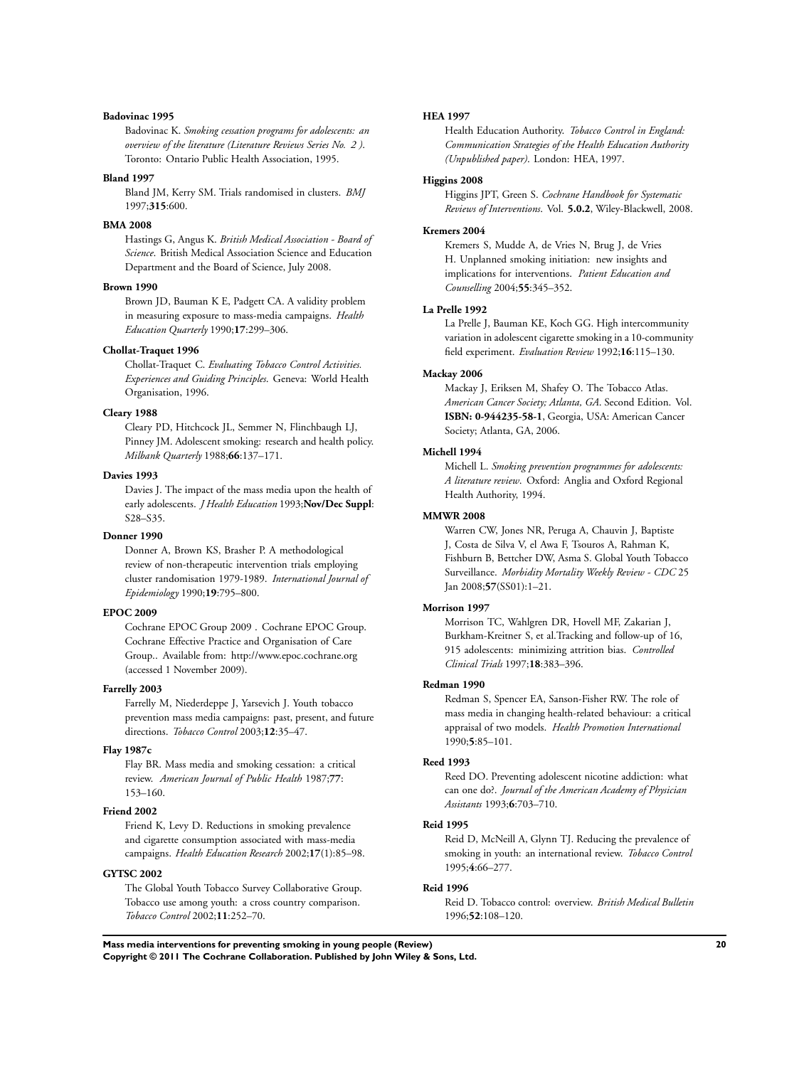#### **Badovinac 1995**

Badovinac K. *Smoking cessation programs for adolescents: an overview of the literature (Literature Reviews Series No. 2 )*. Toronto: Ontario Public Health Association, 1995.

#### **Bland 1997**

Bland JM, Kerry SM. Trials randomised in clusters. *BMJ* 1997;**315**:600.

#### **BMA 2008**

Hastings G, Angus K. *British Medical Association - Board of Science*. British Medical Association Science and Education Department and the Board of Science, July 2008.

#### **Brown 1990**

Brown JD, Bauman K E, Padgett CA. A validity problem in measuring exposure to mass-media campaigns. *Health Education Quarterly* 1990;**17**:299–306.

#### **Chollat-Traquet 1996**

Chollat-Traquet C. *Evaluating Tobacco Control Activities. Experiences and Guiding Principles*. Geneva: World Health Organisation, 1996.

### **Cleary 1988**

Cleary PD, Hitchcock JL, Semmer N, Flinchbaugh LJ, Pinney JM. Adolescent smoking: research and health policy. *Milbank Quarterly* 1988;**66**:137–171.

#### **Davies 1993**

Davies J. The impact of the mass media upon the health of early adolescents. *J Health Education* 1993;**Nov/Dec Suppl**: S28–S35.

#### **Donner 1990**

Donner A, Brown KS, Brasher P. A methodological review of non-therapeutic intervention trials employing cluster randomisation 1979-1989. *International Journal of Epidemiology* 1990;**19**:795–800.

### **EPOC 2009**

Cochrane EPOC Group 2009 . Cochrane EPOC Group. Cochrane Effective Practice and Organisation of Care Group.. Available from: http://www.epoc.cochrane.org (accessed 1 November 2009).

#### **Farrelly 2003**

Farrelly M, Niederdeppe J, Yarsevich J. Youth tobacco prevention mass media campaigns: past, present, and future directions. *Tobacco Control* 2003;**12**:35–47.

### **Flay 1987c**

Flay BR. Mass media and smoking cessation: a critical review. *American Journal of Public Health* 1987;**77**: 153–160.

#### **Friend 2002**

Friend K, Levy D. Reductions in smoking prevalence and cigarette consumption associated with mass-media campaigns. *Health Education Research* 2002;**17**(1):85–98.

#### **GYTSC 2002**

The Global Youth Tobacco Survey Collaborative Group. Tobacco use among youth: a cross country comparison. *Tobacco Control* 2002;**11**:252–70.

#### **HEA 1997**

Health Education Authority. *Tobacco Control in England: Communication Strategies of the Health Education Authority (Unpublished paper)*. London: HEA, 1997.

## **Higgins 2008**

Higgins JPT, Green S. *Cochrane Handbook for Systematic Reviews of Interventions*. Vol. **5.0.2**, Wiley-Blackwell, 2008.

#### **Kremers 2004**

Kremers S, Mudde A, de Vries N, Brug J, de Vries H. Unplanned smoking initiation: new insights and implications for interventions. *Patient Education and Counselling* 2004;**55**:345–352.

### **La Prelle 1992**

La Prelle J, Bauman KE, Koch GG. High intercommunity variation in adolescent cigarette smoking in a 10-community field experiment. *Evaluation Review* 1992;**16**:115–130.

#### **Mackay 2006**

Mackay J, Eriksen M, Shafey O. The Tobacco Atlas. *American Cancer Society; Atlanta, GA*. Second Edition. Vol. **ISBN: 0-944235-58-1**, Georgia, USA: American Cancer Society; Atlanta, GA, 2006.

### **Michell 1994**

Michell L. *Smoking prevention programmes for adolescents: A literature review*. Oxford: Anglia and Oxford Regional Health Authority, 1994.

#### **MMWR 2008**

Warren CW, Jones NR, Peruga A, Chauvin J, Baptiste J, Costa de Silva V, el Awa F, Tsouros A, Rahman K, Fishburn B, Bettcher DW, Asma S. Global Youth Tobacco Surveillance. *Morbidity Mortality Weekly Review - CDC* 25 Jan 2008;**57**(SS01):1–21.

#### **Morrison 1997**

Morrison TC, Wahlgren DR, Hovell MF, Zakarian J, Burkham-Kreitner S, et al.Tracking and follow-up of 16, 915 adolescents: minimizing attrition bias. *Controlled Clinical Trials* 1997;**18**:383–396.

#### **Redman 1990**

Redman S, Spencer EA, Sanson-Fisher RW. The role of mass media in changing health-related behaviour: a critical appraisal of two models. *Health Promotion International* 1990;**5**:85–101.

#### **Reed 1993**

Reed DO. Preventing adolescent nicotine addiction: what can one do?. *Journal of the American Academy of Physician Assistants* 1993;**6**:703–710.

#### **Reid 1995**

Reid D, McNeill A, Glynn TJ. Reducing the prevalence of smoking in youth: an international review. *Tobacco Control* 1995;**4**:66–277.

#### **Reid 1996**

Reid D. Tobacco control: overview. *British Medical Bulletin* 1996;**52**:108–120.

**Mass media interventions for preventing smoking in young people (Review) 20 Copyright © 2011 The Cochrane Collaboration. Published by John Wiley & Sons, Ltd.**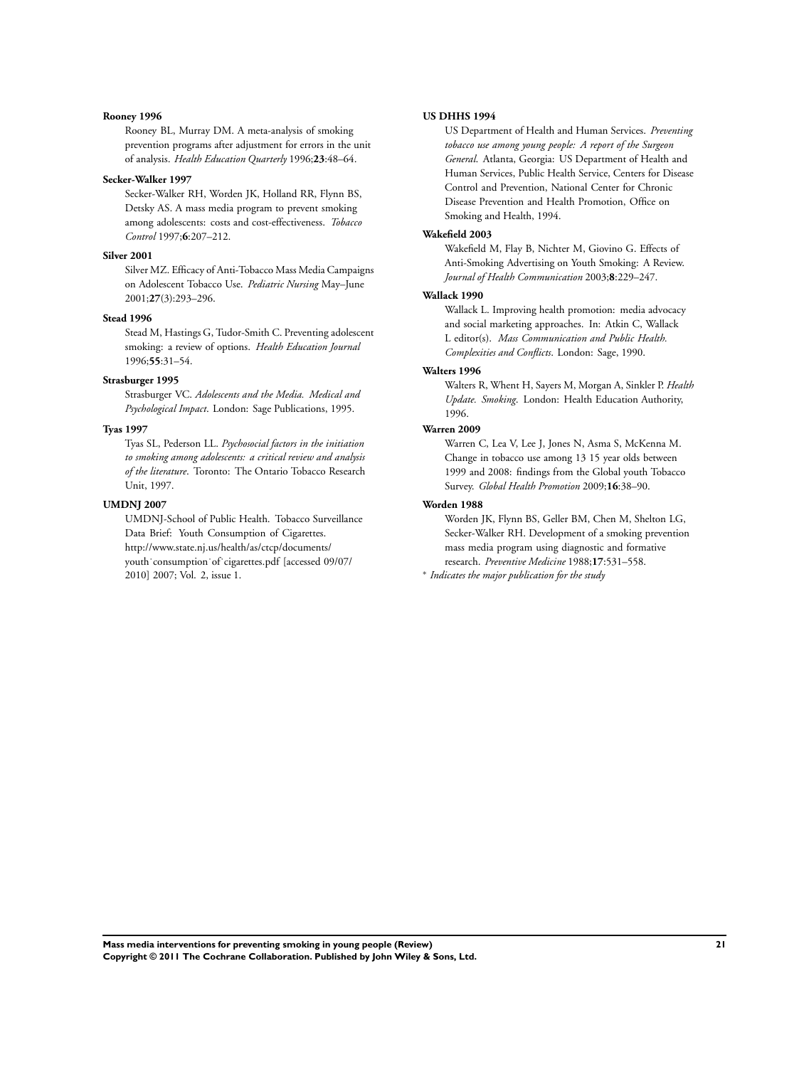#### **Rooney 1996**

Rooney BL, Murray DM. A meta-analysis of smoking prevention programs after adjustment for errors in the unit of analysis. *Health Education Quarterly* 1996;**23**:48–64.

### **Secker-Walker 1997**

Secker-Walker RH, Worden JK, Holland RR, Flynn BS, Detsky AS. A mass media program to prevent smoking among adolescents: costs and cost-effectiveness. *Tobacco Control* 1997;**6**:207–212.

### **Silver 2001**

Silver MZ. Efficacy of Anti-Tobacco Mass Media Campaigns on Adolescent Tobacco Use. *Pediatric Nursing* May–June 2001;**27**(3):293–296.

#### **Stead 1996**

Stead M, Hastings G, Tudor-Smith C. Preventing adolescent smoking: a review of options. *Health Education Journal* 1996;**55**:31–54.

#### **Strasburger 1995**

Strasburger VC. *Adolescents and the Media. Medical and Psychological Impact*. London: Sage Publications, 1995.

## **Tyas 1997**

Tyas SL, Pederson LL. *Psychosocial factors in the initiation to smoking among adolescents: a critical review and analysis of the literature*. Toronto: The Ontario Tobacco Research Unit, 1997.

## **UMDNJ 2007**

UMDNJ-School of Public Health. Tobacco Surveillance Data Brief: Youth Consumption of Cigarettes. http://www.state.nj.us/health/as/ctcp/documents/ youth˙consumption˙of˙cigarettes.pdf [accessed 09/07/ 2010] 2007; Vol. 2, issue 1.

#### **US DHHS 1994**

US Department of Health and Human Services. *Preventing tobacco use among young people: A report of the Surgeon General*. Atlanta, Georgia: US Department of Health and Human Services, Public Health Service, Centers for Disease Control and Prevention, National Center for Chronic Disease Prevention and Health Promotion, Office on Smoking and Health, 1994.

## **Wakefield 2003**

Wakefield M, Flay B, Nichter M, Giovino G. Effects of Anti-Smoking Advertising on Youth Smoking: A Review. *Journal of Health Communication* 2003;**8**:229–247.

### **Wallack 1990**

Wallack L. Improving health promotion: media advocacy and social marketing approaches. In: Atkin C, Wallack L editor(s). *Mass Communication and Public Health. Complexities and Conflicts*. London: Sage, 1990.

#### **Walters 1996**

Walters R, Whent H, Sayers M, Morgan A, Sinkler P. *Health Update. Smoking*. London: Health Education Authority, 1996.

#### **Warren 2009**

Warren C, Lea V, Lee J, Jones N, Asma S, McKenna M. Change in tobacco use among 13 15 year olds between 1999 and 2008: findings from the Global youth Tobacco Survey. *Global Health Promotion* 2009;**16**:38–90.

## **Worden 1988**

Worden JK, Flynn BS, Geller BM, Chen M, Shelton LG, Secker-Walker RH. Development of a smoking prevention mass media program using diagnostic and formative research. *Preventive Medicine* 1988;**17**:531–558.

∗ *Indicates the major publication for the study*

**Mass media interventions for preventing smoking in young people (Review) 21 Copyright © 2011 The Cochrane Collaboration. Published by John Wiley & Sons, Ltd.**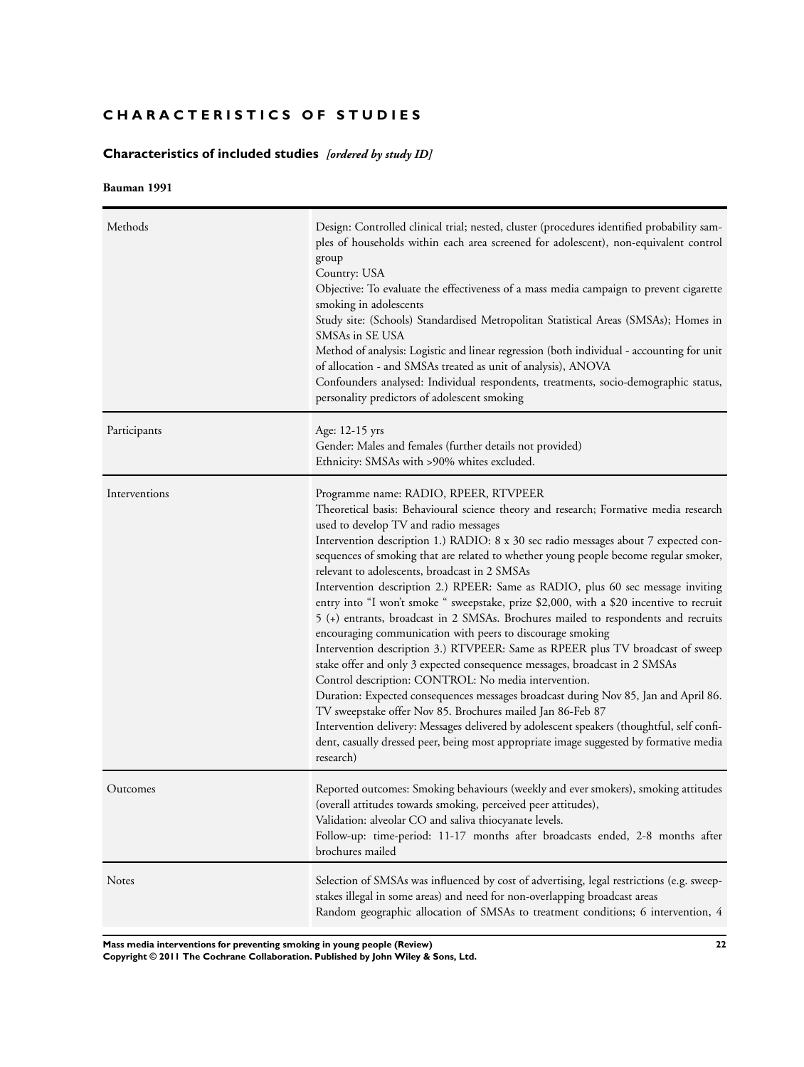## <span id="page-24-0"></span>**CHARACTERISTICS OF STUDIES**

# **Characteristics of included studies** *[ordered by study ID]*

## **Bauman 1991**

| Methods       | Design: Controlled clinical trial; nested, cluster (procedures identified probability sam-<br>ples of households within each area screened for adolescent), non-equivalent control<br>group<br>Country: USA<br>Objective: To evaluate the effectiveness of a mass media campaign to prevent cigarette<br>smoking in adolescents<br>Study site: (Schools) Standardised Metropolitan Statistical Areas (SMSAs); Homes in<br>SMSAs in SE USA<br>Method of analysis: Logistic and linear regression (both individual - accounting for unit<br>of allocation - and SMSAs treated as unit of analysis), ANOVA<br>Confounders analysed: Individual respondents, treatments, socio-demographic status,<br>personality predictors of adolescent smoking                                                                                                                                                                                                                                                                                                                                                                                                                                                                                                                                                                            |
|---------------|---------------------------------------------------------------------------------------------------------------------------------------------------------------------------------------------------------------------------------------------------------------------------------------------------------------------------------------------------------------------------------------------------------------------------------------------------------------------------------------------------------------------------------------------------------------------------------------------------------------------------------------------------------------------------------------------------------------------------------------------------------------------------------------------------------------------------------------------------------------------------------------------------------------------------------------------------------------------------------------------------------------------------------------------------------------------------------------------------------------------------------------------------------------------------------------------------------------------------------------------------------------------------------------------------------------------------|
| Participants  | Age: 12-15 yrs<br>Gender: Males and females (further details not provided)<br>Ethnicity: SMSAs with >90% whites excluded.                                                                                                                                                                                                                                                                                                                                                                                                                                                                                                                                                                                                                                                                                                                                                                                                                                                                                                                                                                                                                                                                                                                                                                                                 |
| Interventions | Programme name: RADIO, RPEER, RTVPEER<br>Theoretical basis: Behavioural science theory and research; Formative media research<br>used to develop TV and radio messages<br>Intervention description 1.) RADIO: 8 x 30 sec radio messages about 7 expected con-<br>sequences of smoking that are related to whether young people become regular smoker,<br>relevant to adolescents, broadcast in 2 SMSAs<br>Intervention description 2.) RPEER: Same as RADIO, plus 60 sec message inviting<br>entry into "I won't smoke " sweepstake, prize \$2,000, with a \$20 incentive to recruit<br>5 (+) entrants, broadcast in 2 SMSAs. Brochures mailed to respondents and recruits<br>encouraging communication with peers to discourage smoking<br>Intervention description 3.) RTVPEER: Same as RPEER plus TV broadcast of sweep<br>stake offer and only 3 expected consequence messages, broadcast in 2 SMSAs<br>Control description: CONTROL: No media intervention.<br>Duration: Expected consequences messages broadcast during Nov 85, Jan and April 86.<br>TV sweepstake offer Nov 85. Brochures mailed Jan 86-Feb 87<br>Intervention delivery: Messages delivered by adolescent speakers (thoughtful, self confi-<br>dent, casually dressed peer, being most appropriate image suggested by formative media<br>research) |
| Outcomes      | Reported outcomes: Smoking behaviours (weekly and ever smokers), smoking attitudes<br>(overall attitudes towards smoking, perceived peer attitudes),<br>Validation: alveolar CO and saliva thiocyanate levels.<br>Follow-up: time-period: 11-17 months after broadcasts ended, 2-8 months after<br>brochures mailed                                                                                                                                                                                                                                                                                                                                                                                                                                                                                                                                                                                                                                                                                                                                                                                                                                                                                                                                                                                                       |
| Notes         | Selection of SMSAs was influenced by cost of advertising, legal restrictions (e.g. sweep-<br>stakes illegal in some areas) and need for non-overlapping broadcast areas<br>Random geographic allocation of SMSAs to treatment conditions; 6 intervention, 4                                                                                                                                                                                                                                                                                                                                                                                                                                                                                                                                                                                                                                                                                                                                                                                                                                                                                                                                                                                                                                                               |

**Mass media interventions for preventing smoking in young people (Review) 22**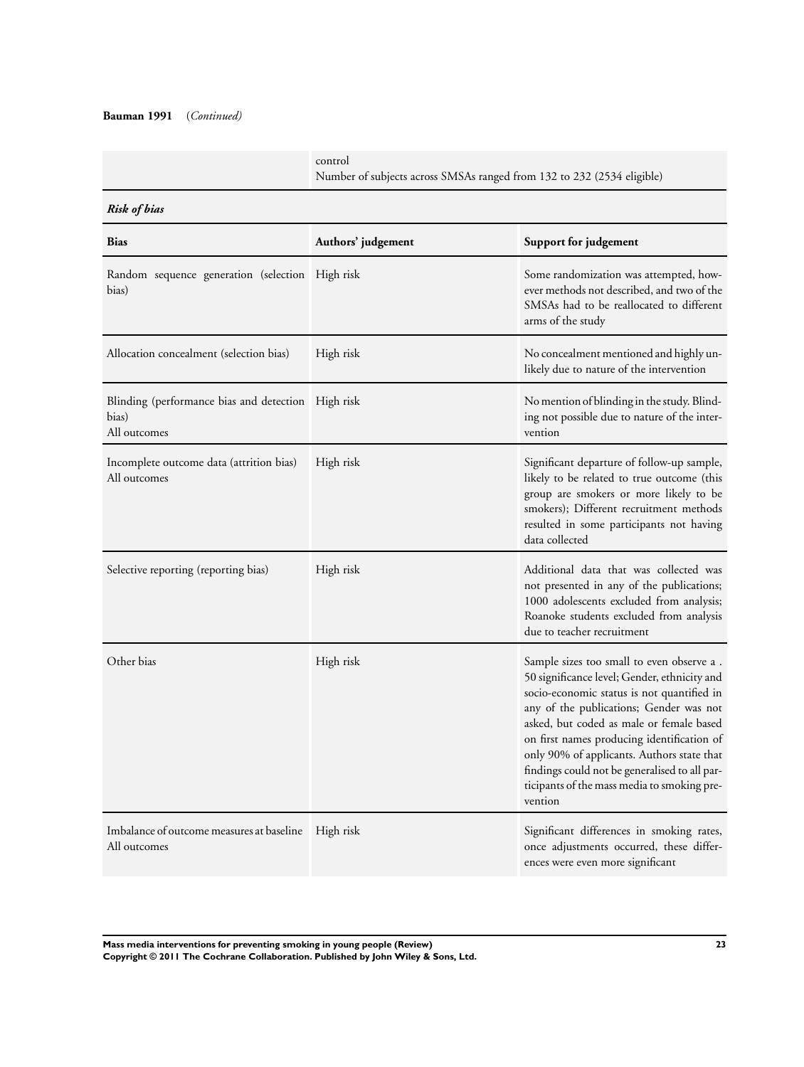control Number of subjects across SMSAs ranged from 132 to 232 (2534 eligible)

| <b>Risk of bias</b>                                                         |                    |                                                                                                                                                                                                                                                                                                                                                                                                                                       |
|-----------------------------------------------------------------------------|--------------------|---------------------------------------------------------------------------------------------------------------------------------------------------------------------------------------------------------------------------------------------------------------------------------------------------------------------------------------------------------------------------------------------------------------------------------------|
| <b>Bias</b>                                                                 | Authors' judgement | Support for judgement                                                                                                                                                                                                                                                                                                                                                                                                                 |
| Random sequence generation (selection High risk<br>bias)                    |                    | Some randomization was attempted, how-<br>ever methods not described, and two of the<br>SMSAs had to be reallocated to different<br>arms of the study                                                                                                                                                                                                                                                                                 |
| Allocation concealment (selection bias)                                     | High risk          | No concealment mentioned and highly un-<br>likely due to nature of the intervention                                                                                                                                                                                                                                                                                                                                                   |
| Blinding (performance bias and detection High risk<br>bias)<br>All outcomes |                    | No mention of blinding in the study. Blind-<br>ing not possible due to nature of the inter-<br>vention                                                                                                                                                                                                                                                                                                                                |
| Incomplete outcome data (attrition bias)<br>All outcomes                    | High risk          | Significant departure of follow-up sample,<br>likely to be related to true outcome (this<br>group are smokers or more likely to be<br>smokers); Different recruitment methods<br>resulted in some participants not having<br>data collected                                                                                                                                                                                           |
| Selective reporting (reporting bias)                                        | High risk          | Additional data that was collected was<br>not presented in any of the publications;<br>1000 adolescents excluded from analysis;<br>Roanoke students excluded from analysis<br>due to teacher recruitment                                                                                                                                                                                                                              |
| Other bias                                                                  | High risk          | Sample sizes too small to even observe a.<br>50 significance level; Gender, ethnicity and<br>socio-economic status is not quantified in<br>any of the publications; Gender was not<br>asked, but coded as male or female based<br>on first names producing identification of<br>only 90% of applicants. Authors state that<br>findings could not be generalised to all par-<br>ticipants of the mass media to smoking pre-<br>vention |
| Imbalance of outcome measures at baseline<br>All outcomes                   | High risk          | Significant differences in smoking rates,<br>once adjustments occurred, these differ-<br>ences were even more significant                                                                                                                                                                                                                                                                                                             |

#### **Mass media interventions for preventing smoking in young people (Review) 23 Copyright © 2011 The Cochrane Collaboration. Published by John Wiley & Sons, Ltd.**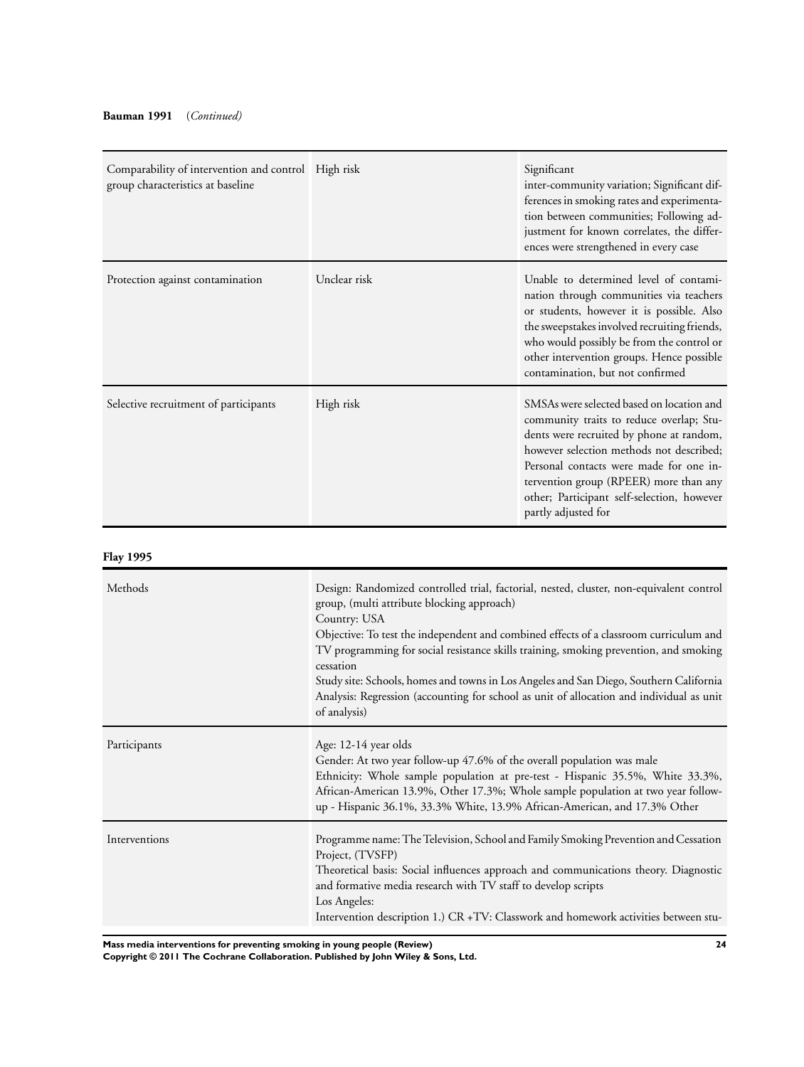| Comparability of intervention and control High risk<br>group characteristics at baseline |              | Significant<br>inter-community variation; Significant dif-<br>ferences in smoking rates and experimenta-<br>tion between communities; Following ad-<br>justment for known correlates, the differ-<br>ences were strengthened in every case                                                                                              |
|------------------------------------------------------------------------------------------|--------------|-----------------------------------------------------------------------------------------------------------------------------------------------------------------------------------------------------------------------------------------------------------------------------------------------------------------------------------------|
| Protection against contamination                                                         | Unclear risk | Unable to determined level of contami-<br>nation through communities via teachers<br>or students, however it is possible. Also<br>the sweepstakes involved recruiting friends,<br>who would possibly be from the control or<br>other intervention groups. Hence possible<br>contamination, but not confirmed                            |
| Selective recruitment of participants                                                    | High risk    | SMSAs were selected based on location and<br>community traits to reduce overlap; Stu-<br>dents were recruited by phone at random,<br>however selection methods not described;<br>Personal contacts were made for one in-<br>tervention group (RPEER) more than any<br>other; Participant self-selection, however<br>partly adjusted for |

## **Flay 1995**

| Methods       | Design: Randomized controlled trial, factorial, nested, cluster, non-equivalent control<br>group, (multi attribute blocking approach)<br>Country: USA<br>Objective: To test the independent and combined effects of a classroom curriculum and<br>TV programming for social resistance skills training, smoking prevention, and smoking<br>cessation<br>Study site: Schools, homes and towns in Los Angeles and San Diego, Southern California<br>Analysis: Regression (accounting for school as unit of allocation and individual as unit<br>of analysis) |
|---------------|------------------------------------------------------------------------------------------------------------------------------------------------------------------------------------------------------------------------------------------------------------------------------------------------------------------------------------------------------------------------------------------------------------------------------------------------------------------------------------------------------------------------------------------------------------|
| Participants  | Age: 12-14 year olds<br>Gender: At two year follow-up 47.6% of the overall population was male<br>Ethnicity: Whole sample population at pre-test - Hispanic 35.5%, White 33.3%,<br>African-American 13.9%, Other 17.3%; Whole sample population at two year follow-<br>up - Hispanic 36.1%, 33.3% White, 13.9% African-American, and 17.3% Other                                                                                                                                                                                                           |
| Interventions | Programme name: The Television, School and Family Smoking Prevention and Cessation<br>Project, (TVSFP)<br>Theoretical basis: Social influences approach and communications theory. Diagnostic<br>and formative media research with TV staff to develop scripts<br>Los Angeles:<br>Intervention description 1.) CR +TV: Classwork and homework activities between stu-                                                                                                                                                                                      |

**Mass media interventions for preventing smoking in young people (Review) 24**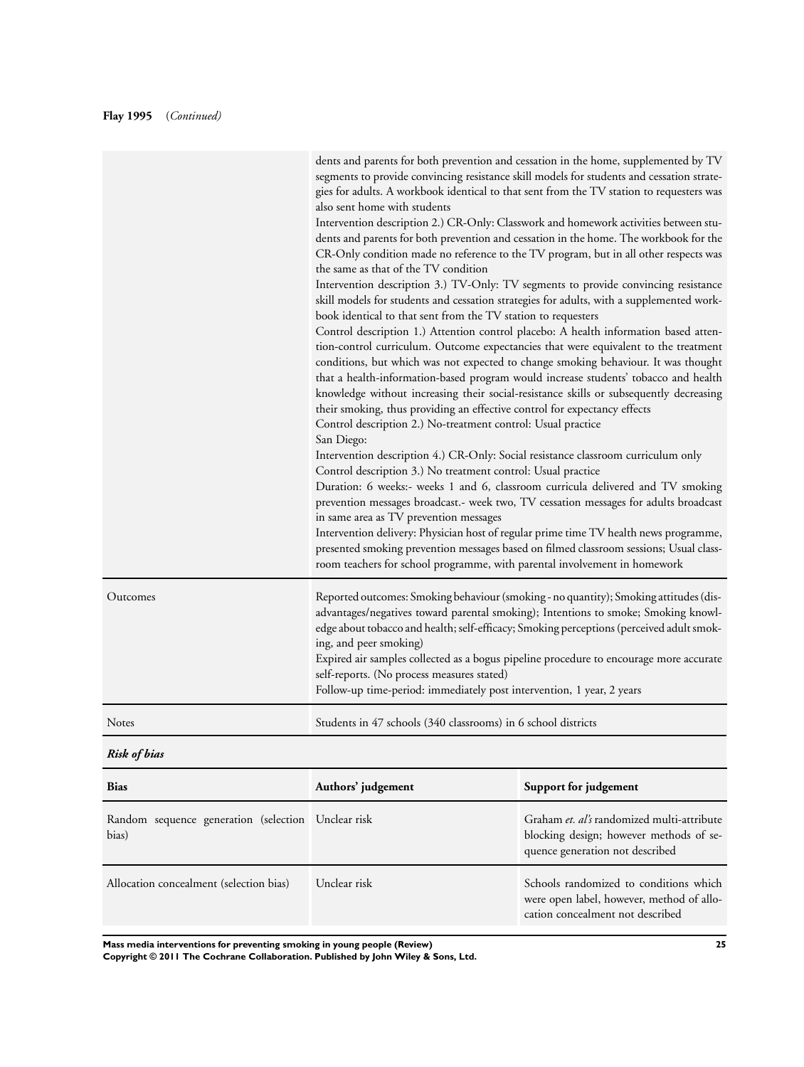| <b>Risk of bias</b> |                                                                                                                                                                                                                                                                                                                                                                                                                                                                                                                                                                                                                                                                                                                                                                                                                                                                                                                                                                                                                                                                                                                                                                                                                                                                                                                                                                                                                                                                                                                                                                                                                                                                                                                                                                                                                                                                                                                                                                                                                                                                                                                                             |
|---------------------|---------------------------------------------------------------------------------------------------------------------------------------------------------------------------------------------------------------------------------------------------------------------------------------------------------------------------------------------------------------------------------------------------------------------------------------------------------------------------------------------------------------------------------------------------------------------------------------------------------------------------------------------------------------------------------------------------------------------------------------------------------------------------------------------------------------------------------------------------------------------------------------------------------------------------------------------------------------------------------------------------------------------------------------------------------------------------------------------------------------------------------------------------------------------------------------------------------------------------------------------------------------------------------------------------------------------------------------------------------------------------------------------------------------------------------------------------------------------------------------------------------------------------------------------------------------------------------------------------------------------------------------------------------------------------------------------------------------------------------------------------------------------------------------------------------------------------------------------------------------------------------------------------------------------------------------------------------------------------------------------------------------------------------------------------------------------------------------------------------------------------------------------|
| Notes               | Students in 47 schools (340 classrooms) in 6 school districts                                                                                                                                                                                                                                                                                                                                                                                                                                                                                                                                                                                                                                                                                                                                                                                                                                                                                                                                                                                                                                                                                                                                                                                                                                                                                                                                                                                                                                                                                                                                                                                                                                                                                                                                                                                                                                                                                                                                                                                                                                                                               |
| Outcomes            | Reported outcomes: Smoking behaviour (smoking - no quantity); Smoking attitudes (dis-<br>advantages/negatives toward parental smoking); Intentions to smoke; Smoking knowl-<br>edge about tobacco and health; self-efficacy; Smoking perceptions (perceived adult smok-<br>ing, and peer smoking)<br>Expired air samples collected as a bogus pipeline procedure to encourage more accurate<br>self-reports. (No process measures stated)<br>Follow-up time-period: immediately post intervention, 1 year, 2 years                                                                                                                                                                                                                                                                                                                                                                                                                                                                                                                                                                                                                                                                                                                                                                                                                                                                                                                                                                                                                                                                                                                                                                                                                                                                                                                                                                                                                                                                                                                                                                                                                          |
|                     | dents and parents for both prevention and cessation in the home, supplemented by TV<br>segments to provide convincing resistance skill models for students and cessation strate-<br>gies for adults. A workbook identical to that sent from the TV station to requesters was<br>also sent home with students<br>Intervention description 2.) CR-Only: Classwork and homework activities between stu-<br>dents and parents for both prevention and cessation in the home. The workbook for the<br>CR-Only condition made no reference to the TV program, but in all other respects was<br>the same as that of the TV condition<br>Intervention description 3.) TV-Only: TV segments to provide convincing resistance<br>skill models for students and cessation strategies for adults, with a supplemented work-<br>book identical to that sent from the TV station to requesters<br>Control description 1.) Attention control placebo: A health information based atten-<br>tion-control curriculum. Outcome expectancies that were equivalent to the treatment<br>conditions, but which was not expected to change smoking behaviour. It was thought<br>that a health-information-based program would increase students' tobacco and health<br>knowledge without increasing their social-resistance skills or subsequently decreasing<br>their smoking, thus providing an effective control for expectancy effects<br>Control description 2.) No-treatment control: Usual practice<br>San Diego:<br>Intervention description 4.) CR-Only: Social resistance classroom curriculum only<br>Control description 3.) No treatment control: Usual practice<br>Duration: 6 weeks:- weeks 1 and 6, classroom curricula delivered and TV smoking<br>prevention messages broadcast.- week two, TV cessation messages for adults broadcast<br>in same area as TV prevention messages<br>Intervention delivery: Physician host of regular prime time TV health news programme,<br>presented smoking prevention messages based on filmed classroom sessions; Usual class-<br>room teachers for school programme, with parental involvement in homework |

| <b>Bias</b>                                                 | Authors' judgement | Support for judgement                                                                                                    |
|-------------------------------------------------------------|--------------------|--------------------------------------------------------------------------------------------------------------------------|
| Random sequence generation (selection Unclear risk<br>bias) |                    | Graham et. al's randomized multi-attribute<br>blocking design; however methods of se-<br>quence generation not described |
| Allocation concealment (selection bias)                     | Unclear risk       | Schools randomized to conditions which<br>were open label, however, method of allo-<br>cation concealment not described  |

**Mass media interventions for preventing smoking in young people (Review) 25**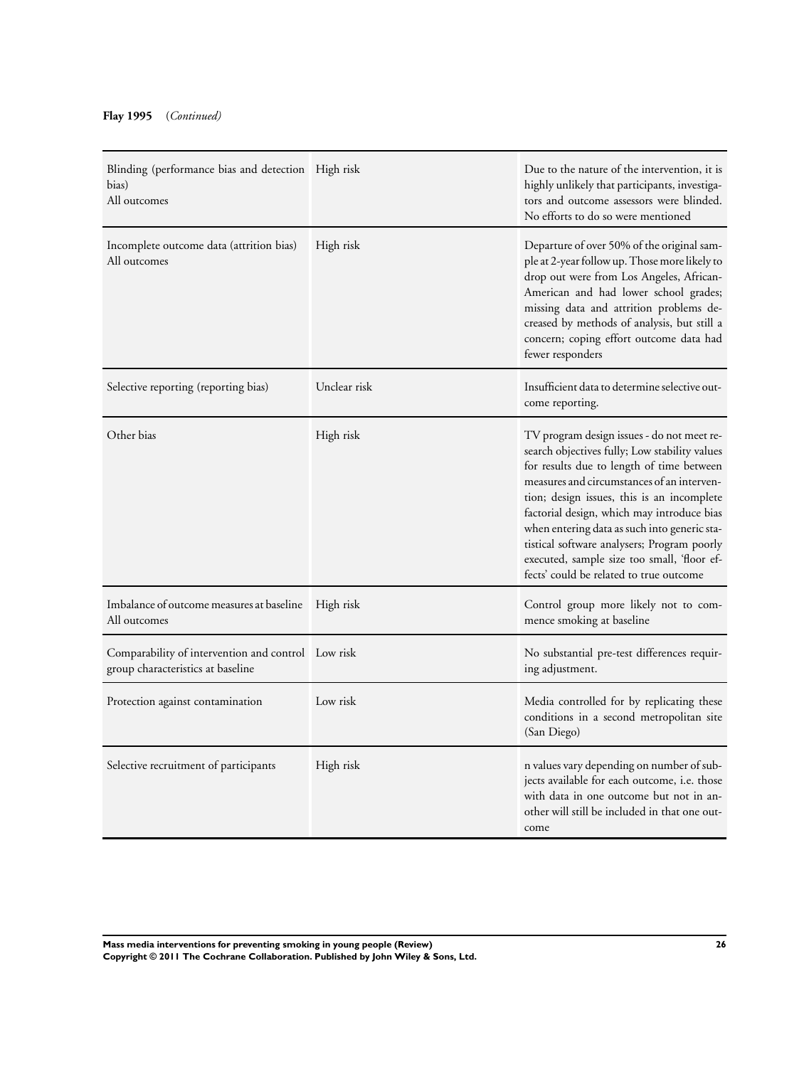## **Flay 1995** (*Continued)*

| Blinding (performance bias and detection High risk<br>bias)<br>All outcomes             |              | Due to the nature of the intervention, it is<br>highly unlikely that participants, investiga-<br>tors and outcome assessors were blinded.<br>No efforts to do so were mentioned                                                                                                                                                                                                                                                                                             |
|-----------------------------------------------------------------------------------------|--------------|-----------------------------------------------------------------------------------------------------------------------------------------------------------------------------------------------------------------------------------------------------------------------------------------------------------------------------------------------------------------------------------------------------------------------------------------------------------------------------|
| Incomplete outcome data (attrition bias)<br>All outcomes                                | High risk    | Departure of over 50% of the original sam-<br>ple at 2-year follow up. Those more likely to<br>drop out were from Los Angeles, African-<br>American and had lower school grades;<br>missing data and attrition problems de-<br>creased by methods of analysis, but still a<br>concern; coping effort outcome data had<br>fewer responders                                                                                                                                   |
| Selective reporting (reporting bias)                                                    | Unclear risk | Insufficient data to determine selective out-<br>come reporting.                                                                                                                                                                                                                                                                                                                                                                                                            |
| Other bias                                                                              | High risk    | TV program design issues - do not meet re-<br>search objectives fully; Low stability values<br>for results due to length of time between<br>measures and circumstances of an interven-<br>tion; design issues, this is an incomplete<br>factorial design, which may introduce bias<br>when entering data as such into generic sta-<br>tistical software analysers; Program poorly<br>executed, sample size too small, 'floor ef-<br>fects' could be related to true outcome |
| Imbalance of outcome measures at baseline<br>All outcomes                               | High risk    | Control group more likely not to com-<br>mence smoking at baseline                                                                                                                                                                                                                                                                                                                                                                                                          |
| Comparability of intervention and control Low risk<br>group characteristics at baseline |              | No substantial pre-test differences requir-<br>ing adjustment.                                                                                                                                                                                                                                                                                                                                                                                                              |
| Protection against contamination                                                        | Low risk     | Media controlled for by replicating these<br>conditions in a second metropolitan site<br>(San Diego)                                                                                                                                                                                                                                                                                                                                                                        |
| Selective recruitment of participants                                                   | High risk    | n values vary depending on number of sub-<br>jects available for each outcome, i.e. those<br>with data in one outcome but not in an-<br>other will still be included in that one out-<br>come                                                                                                                                                                                                                                                                               |

**Mass media interventions for preventing smoking in young people (Review) 26 Copyright © 2011 The Cochrane Collaboration. Published by John Wiley & Sons, Ltd.**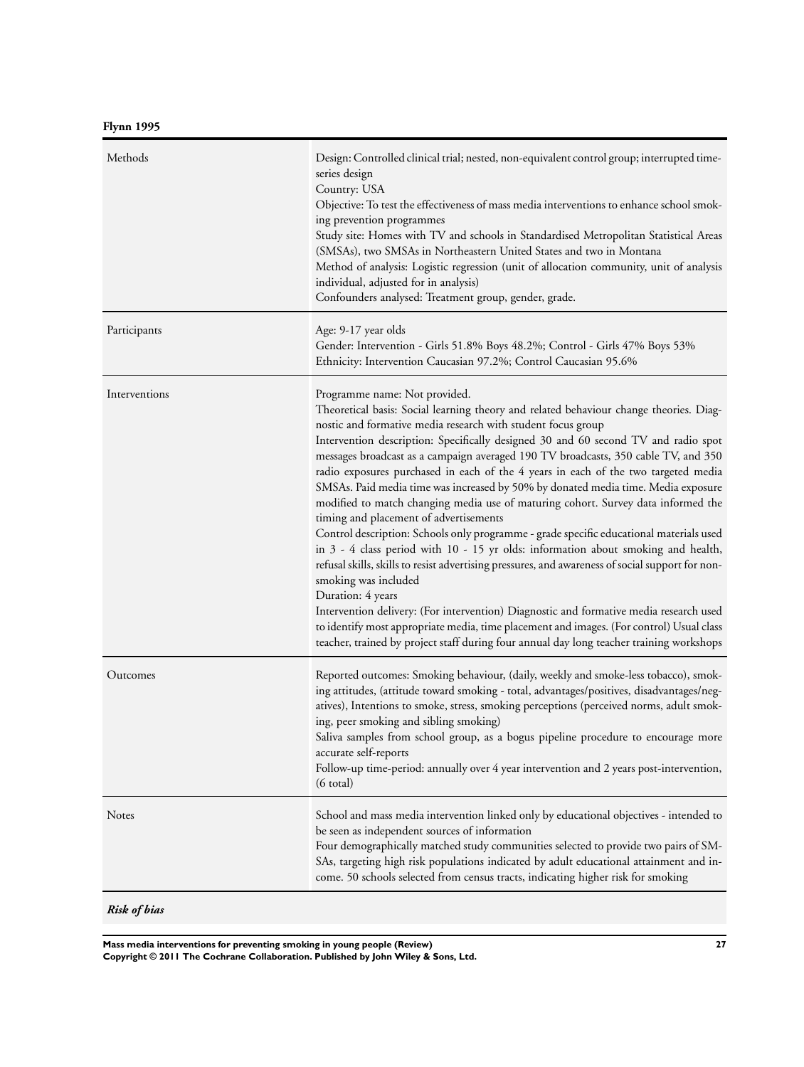**Flynn 1995**

| Methods       | Design: Controlled clinical trial; nested, non-equivalent control group; interrupted time-<br>series design<br>Country: USA<br>Objective: To test the effectiveness of mass media interventions to enhance school smok-<br>ing prevention programmes<br>Study site: Homes with TV and schools in Standardised Metropolitan Statistical Areas<br>(SMSAs), two SMSAs in Northeastern United States and two in Montana<br>Method of analysis: Logistic regression (unit of allocation community, unit of analysis<br>individual, adjusted for in analysis)<br>Confounders analysed: Treatment group, gender, grade.                                                                                                                                                                                                                                                                                                                                                                                                                                                                                                                                                                                                                                                                                 |
|---------------|--------------------------------------------------------------------------------------------------------------------------------------------------------------------------------------------------------------------------------------------------------------------------------------------------------------------------------------------------------------------------------------------------------------------------------------------------------------------------------------------------------------------------------------------------------------------------------------------------------------------------------------------------------------------------------------------------------------------------------------------------------------------------------------------------------------------------------------------------------------------------------------------------------------------------------------------------------------------------------------------------------------------------------------------------------------------------------------------------------------------------------------------------------------------------------------------------------------------------------------------------------------------------------------------------|
| Participants  | Age: 9-17 year olds<br>Gender: Intervention - Girls 51.8% Boys 48.2%; Control - Girls 47% Boys 53%<br>Ethnicity: Intervention Caucasian 97.2%; Control Caucasian 95.6%                                                                                                                                                                                                                                                                                                                                                                                                                                                                                                                                                                                                                                                                                                                                                                                                                                                                                                                                                                                                                                                                                                                           |
| Interventions | Programme name: Not provided.<br>Theoretical basis: Social learning theory and related behaviour change theories. Diag-<br>nostic and formative media research with student focus group<br>Intervention description: Specifically designed 30 and 60 second TV and radio spot<br>messages broadcast as a campaign averaged 190 TV broadcasts, 350 cable TV, and 350<br>radio exposures purchased in each of the 4 years in each of the two targeted media<br>SMSAs. Paid media time was increased by 50% by donated media time. Media exposure<br>modified to match changing media use of maturing cohort. Survey data informed the<br>timing and placement of advertisements<br>Control description: Schools only programme - grade specific educational materials used<br>in 3 - 4 class period with 10 - 15 yr olds: information about smoking and health,<br>refusal skills, skills to resist advertising pressures, and awareness of social support for non-<br>smoking was included<br>Duration: 4 years<br>Intervention delivery: (For intervention) Diagnostic and formative media research used<br>to identify most appropriate media, time placement and images. (For control) Usual class<br>teacher, trained by project staff during four annual day long teacher training workshops |
| Outcomes      | Reported outcomes: Smoking behaviour, (daily, weekly and smoke-less tobacco), smok-<br>ing attitudes, (attitude toward smoking - total, advantages/positives, disadvantages/neg-<br>atives), Intentions to smoke, stress, smoking perceptions (perceived norms, adult smok-<br>ing, peer smoking and sibling smoking)<br>Saliva samples from school group, as a bogus pipeline procedure to encourage more<br>accurate self-reports<br>Follow-up time-period: annually over 4 year intervention and 2 years post-intervention,<br>$(6 \text{ total})$                                                                                                                                                                                                                                                                                                                                                                                                                                                                                                                                                                                                                                                                                                                                            |
| Notes         | School and mass media intervention linked only by educational objectives - intended to<br>be seen as independent sources of information<br>Four demographically matched study communities selected to provide two pairs of SM-<br>SAs, targeting high risk populations indicated by adult educational attainment and in-<br>come. 50 schools selected from census tracts, indicating higher risk for smoking                                                                                                                                                                                                                                                                                                                                                                                                                                                                                                                                                                                                                                                                                                                                                                                                                                                                                     |

*Risk of bias*

**Mass media interventions for preventing smoking in young people (Review) 27**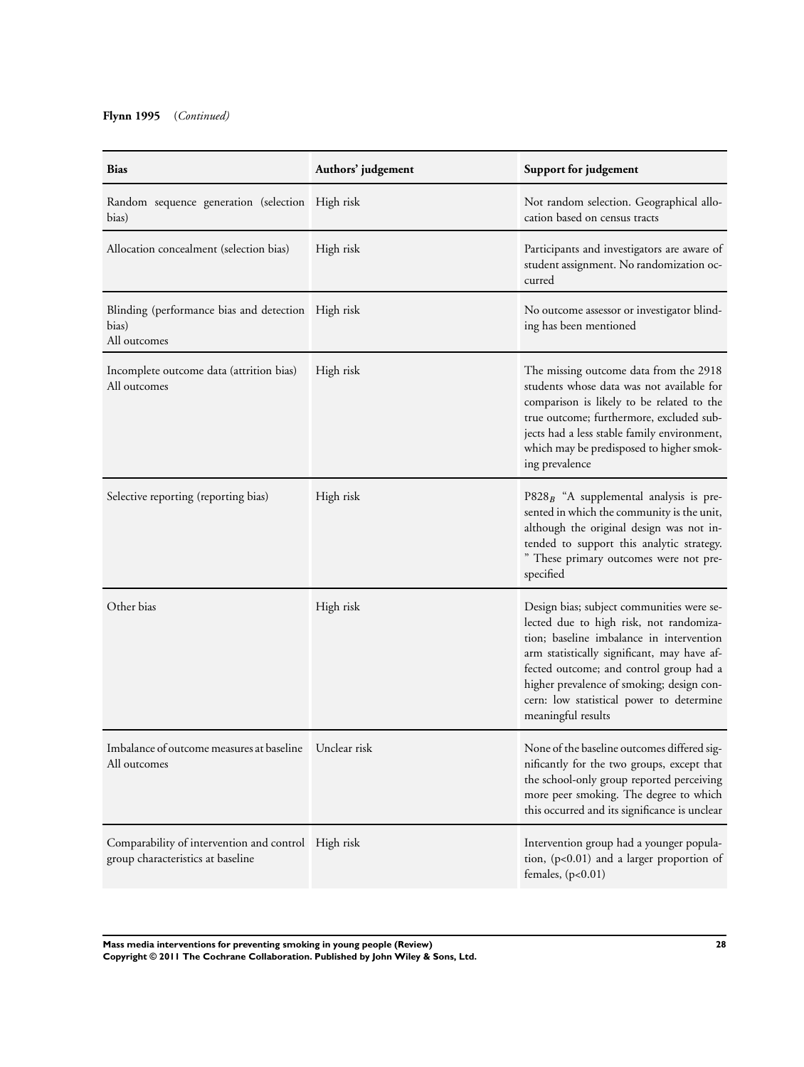| <b>Bias</b>                                                                              | Authors' judgement | Support for judgement                                                                                                                                                                                                                                                                                                                     |
|------------------------------------------------------------------------------------------|--------------------|-------------------------------------------------------------------------------------------------------------------------------------------------------------------------------------------------------------------------------------------------------------------------------------------------------------------------------------------|
| Random sequence generation (selection High risk<br>bias)                                 |                    | Not random selection. Geographical allo-<br>cation based on census tracts                                                                                                                                                                                                                                                                 |
| Allocation concealment (selection bias)                                                  | High risk          | Participants and investigators are aware of<br>student assignment. No randomization oc-<br>curred                                                                                                                                                                                                                                         |
| Blinding (performance bias and detection High risk<br>bias)<br>All outcomes              |                    | No outcome assessor or investigator blind-<br>ing has been mentioned                                                                                                                                                                                                                                                                      |
| Incomplete outcome data (attrition bias)<br>All outcomes                                 | High risk          | The missing outcome data from the 2918<br>students whose data was not available for<br>comparison is likely to be related to the<br>true outcome; furthermore, excluded sub-<br>jects had a less stable family environment,<br>which may be predisposed to higher smok-<br>ing prevalence                                                 |
| Selective reporting (reporting bias)                                                     | High risk          | $P828_B$ "A supplemental analysis is pre-<br>sented in which the community is the unit,<br>although the original design was not in-<br>tended to support this analytic strategy.<br>" These primary outcomes were not pre-<br>specified                                                                                                   |
| Other bias                                                                               | High risk          | Design bias; subject communities were se-<br>lected due to high risk, not randomiza-<br>tion; baseline imbalance in intervention<br>arm statistically significant, may have af-<br>fected outcome; and control group had a<br>higher prevalence of smoking; design con-<br>cern: low statistical power to determine<br>meaningful results |
| Imbalance of outcome measures at baseline Unclear risk<br>All outcomes                   |                    | None of the baseline outcomes differed sig-<br>nificantly for the two groups, except that<br>the school-only group reported perceiving<br>more peer smoking. The degree to which<br>this occurred and its significance is unclear                                                                                                         |
| Comparability of intervention and control High risk<br>group characteristics at baseline |                    | Intervention group had a younger popula-<br>tion, (p<0.01) and a larger proportion of<br>females, $(p<0.01)$                                                                                                                                                                                                                              |

**Mass media interventions for preventing smoking in young people (Review) 28 Copyright © 2011 The Cochrane Collaboration. Published by John Wiley & Sons, Ltd.**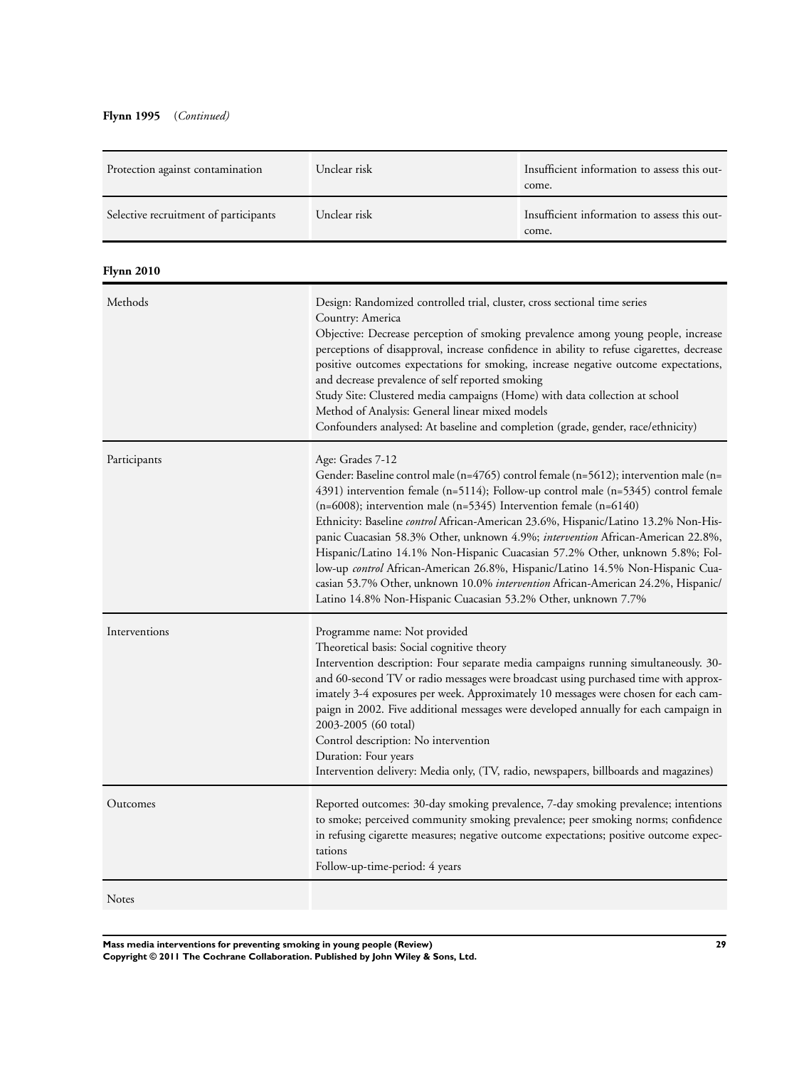## **Flynn 1995** (*Continued)*

| Protection against contamination      | Unclear risk                                                                                                                                                                                                                                                                                                                                                                                                                                                                                                                                                                                                                                                                                                                                                                | Insufficient information to assess this out-<br>come.                                                                                                                                                                                                            |
|---------------------------------------|-----------------------------------------------------------------------------------------------------------------------------------------------------------------------------------------------------------------------------------------------------------------------------------------------------------------------------------------------------------------------------------------------------------------------------------------------------------------------------------------------------------------------------------------------------------------------------------------------------------------------------------------------------------------------------------------------------------------------------------------------------------------------------|------------------------------------------------------------------------------------------------------------------------------------------------------------------------------------------------------------------------------------------------------------------|
| Selective recruitment of participants | Unclear risk                                                                                                                                                                                                                                                                                                                                                                                                                                                                                                                                                                                                                                                                                                                                                                | Insufficient information to assess this out-<br>come.                                                                                                                                                                                                            |
| <b>Flynn 2010</b>                     |                                                                                                                                                                                                                                                                                                                                                                                                                                                                                                                                                                                                                                                                                                                                                                             |                                                                                                                                                                                                                                                                  |
| Methods                               | Design: Randomized controlled trial, cluster, cross sectional time series<br>Country: America<br>Objective: Decrease perception of smoking prevalence among young people, increase<br>perceptions of disapproval, increase confidence in ability to refuse cigarettes, decrease<br>positive outcomes expectations for smoking, increase negative outcome expectations,<br>and decrease prevalence of self reported smoking<br>Study Site: Clustered media campaigns (Home) with data collection at school<br>Method of Analysis: General linear mixed models<br>Confounders analysed: At baseline and completion (grade, gender, race/ethnicity)                                                                                                                            |                                                                                                                                                                                                                                                                  |
| Participants                          | Age: Grades 7-12<br>Gender: Baseline control male (n=4765) control female (n=5612); intervention male (n=<br>4391) intervention female (n=5114); Follow-up control male (n=5345) control female<br>$(n=6008)$ ; intervention male $(n=5345)$ Intervention female $(n=6140)$<br>Ethnicity: Baseline control African-American 23.6%, Hispanic/Latino 13.2% Non-His-<br>panic Cuacasian 58.3% Other, unknown 4.9%; intervention African-American 22.8%,<br>Hispanic/Latino 14.1% Non-Hispanic Cuacasian 57.2% Other, unknown 5.8%; Fol-<br>low-up control African-American 26.8%, Hispanic/Latino 14.5% Non-Hispanic Cua-<br>casian 53.7% Other, unknown 10.0% intervention African-American 24.2%, Hispanic/<br>Latino 14.8% Non-Hispanic Cuacasian 53.2% Other, unknown 7.7% |                                                                                                                                                                                                                                                                  |
| Interventions                         | Programme name: Not provided<br>Theoretical basis: Social cognitive theory<br>Intervention description: Four separate media campaigns running simultaneously. 30-<br>and 60-second TV or radio messages were broadcast using purchased time with approx-<br>imately 3-4 exposures per week. Approximately 10 messages were chosen for each cam-<br>paign in 2002. Five additional messages were developed annually for each campaign in<br>2003-2005 (60 total)<br>Control description: No intervention<br>Duration: Four years<br>Intervention delivery: Media only, (TV, radio, newspapers, billboards and magazines)                                                                                                                                                     |                                                                                                                                                                                                                                                                  |
| Outcomes                              | tations<br>Follow-up-time-period: 4 years                                                                                                                                                                                                                                                                                                                                                                                                                                                                                                                                                                                                                                                                                                                                   | Reported outcomes: 30-day smoking prevalence, 7-day smoking prevalence; intentions<br>to smoke; perceived community smoking prevalence; peer smoking norms; confidence<br>in refusing cigarette measures; negative outcome expectations; positive outcome expec- |
| Notes                                 |                                                                                                                                                                                                                                                                                                                                                                                                                                                                                                                                                                                                                                                                                                                                                                             |                                                                                                                                                                                                                                                                  |

**Mass media interventions for preventing smoking in young people (Review) 29 Copyright © 2011 The Cochrane Collaboration. Published by John Wiley & Sons, Ltd.**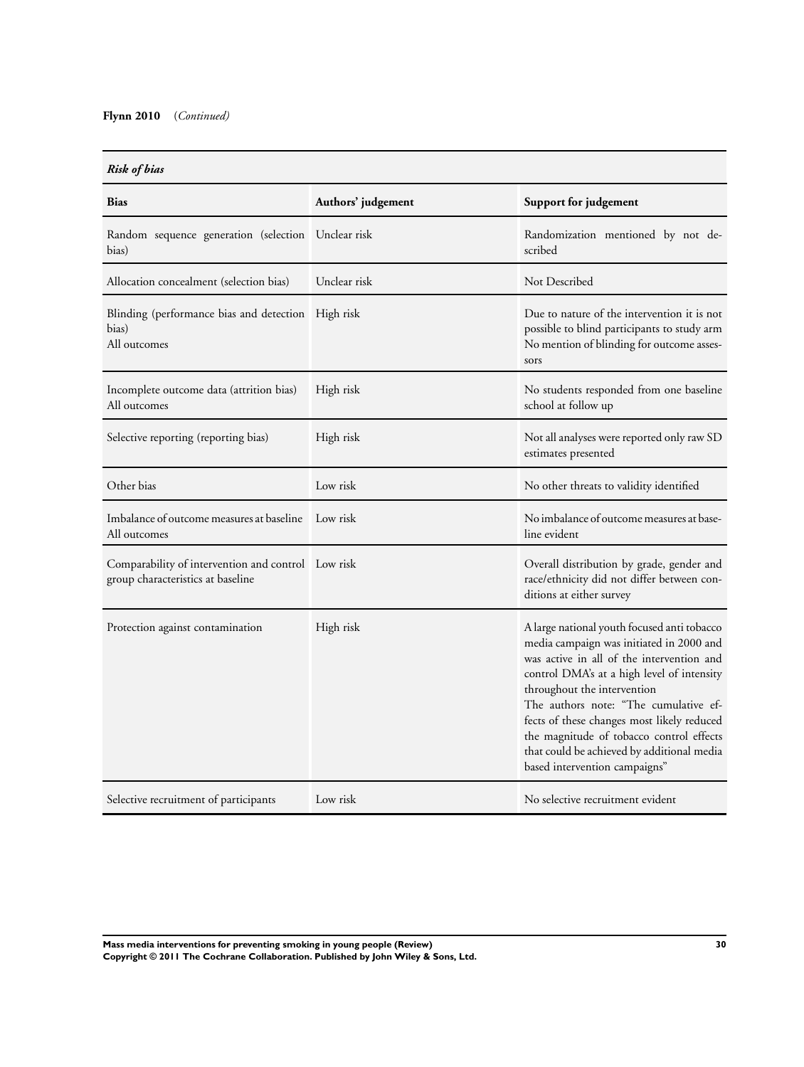## *Risk of bias*

| <b>Bias</b>                                                                             | Authors' judgement | Support for judgement                                                                                                                                                                                                                                                                                                                                                                                                               |
|-----------------------------------------------------------------------------------------|--------------------|-------------------------------------------------------------------------------------------------------------------------------------------------------------------------------------------------------------------------------------------------------------------------------------------------------------------------------------------------------------------------------------------------------------------------------------|
| Random sequence generation (selection Unclear risk<br>bias)                             |                    | Randomization mentioned by not de-<br>scribed                                                                                                                                                                                                                                                                                                                                                                                       |
| Allocation concealment (selection bias)                                                 | Unclear risk       | Not Described                                                                                                                                                                                                                                                                                                                                                                                                                       |
| Blinding (performance bias and detection High risk<br>bias)<br>All outcomes             |                    | Due to nature of the intervention it is not<br>possible to blind participants to study arm<br>No mention of blinding for outcome asses-<br>sors                                                                                                                                                                                                                                                                                     |
| Incomplete outcome data (attrition bias)<br>All outcomes                                | High risk          | No students responded from one baseline<br>school at follow up                                                                                                                                                                                                                                                                                                                                                                      |
| Selective reporting (reporting bias)                                                    | High risk          | Not all analyses were reported only raw SD<br>estimates presented                                                                                                                                                                                                                                                                                                                                                                   |
| Other bias                                                                              | Low risk           | No other threats to validity identified                                                                                                                                                                                                                                                                                                                                                                                             |
| Imbalance of outcome measures at baseline<br>All outcomes                               | Low risk           | No imbalance of outcome measures at base-<br>line evident                                                                                                                                                                                                                                                                                                                                                                           |
| Comparability of intervention and control Low risk<br>group characteristics at baseline |                    | Overall distribution by grade, gender and<br>race/ethnicity did not differ between con-<br>ditions at either survey                                                                                                                                                                                                                                                                                                                 |
| Protection against contamination                                                        | High risk          | A large national youth focused anti tobacco<br>media campaign was initiated in 2000 and<br>was active in all of the intervention and<br>control DMA's at a high level of intensity<br>throughout the intervention<br>The authors note: "The cumulative ef-<br>fects of these changes most likely reduced<br>the magnitude of tobacco control effects<br>that could be achieved by additional media<br>based intervention campaigns" |
| Selective recruitment of participants                                                   | Low risk           | No selective recruitment evident                                                                                                                                                                                                                                                                                                                                                                                                    |

**Mass media interventions for preventing smoking in young people (Review) 30 Copyright © 2011 The Cochrane Collaboration. Published by John Wiley & Sons, Ltd.**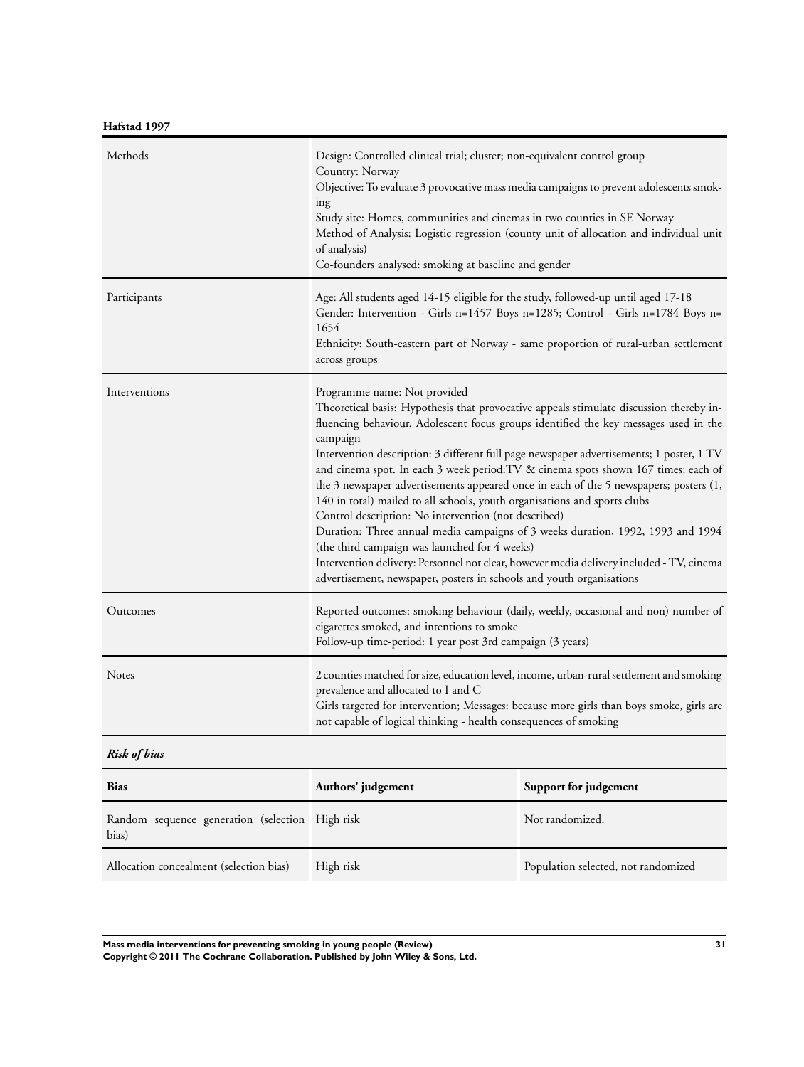| Methods       | Design: Controlled clinical trial; cluster; non-equivalent control group<br>Country: Norway<br>Objective: To evaluate 3 provocative mass media campaigns to prevent adolescents smok-<br>ing<br>Study site: Homes, communities and cinemas in two counties in SE Norway<br>Method of Analysis: Logistic regression (county unit of allocation and individual unit<br>of analysis)<br>Co-founders analysed: smoking at baseline and gender                                                                                                                                                                                                                                                                                                                                                                                                                                                                                                           |
|---------------|-----------------------------------------------------------------------------------------------------------------------------------------------------------------------------------------------------------------------------------------------------------------------------------------------------------------------------------------------------------------------------------------------------------------------------------------------------------------------------------------------------------------------------------------------------------------------------------------------------------------------------------------------------------------------------------------------------------------------------------------------------------------------------------------------------------------------------------------------------------------------------------------------------------------------------------------------------|
| Participants  | Age: All students aged 14-15 eligible for the study, followed-up until aged 17-18<br>Gender: Intervention - Girls n=1457 Boys n=1285; Control - Girls n=1784 Boys n=<br>1654<br>Ethnicity: South-eastern part of Norway - same proportion of rural-urban settlement<br>across groups                                                                                                                                                                                                                                                                                                                                                                                                                                                                                                                                                                                                                                                                |
| Interventions | Programme name: Not provided<br>Theoretical basis: Hypothesis that provocative appeals stimulate discussion thereby in-<br>fluencing behaviour. Adolescent focus groups identified the key messages used in the<br>campaign<br>Intervention description: 3 different full page newspaper advertisements; 1 poster, 1 TV<br>and cinema spot. In each 3 week period: TV & cinema spots shown 167 times; each of<br>the 3 newspaper advertisements appeared once in each of the 5 newspapers; posters (1,<br>140 in total) mailed to all schools, youth organisations and sports clubs<br>Control description: No intervention (not described)<br>Duration: Three annual media campaigns of 3 weeks duration, 1992, 1993 and 1994<br>(the third campaign was launched for 4 weeks)<br>Intervention delivery: Personnel not clear, however media delivery included - TV, cinema<br>advertisement, newspaper, posters in schools and youth organisations |
| Outcomes      | Reported outcomes: smoking behaviour (daily, weekly, occasional and non) number of<br>cigarettes smoked, and intentions to smoke<br>Follow-up time-period: 1 year post 3rd campaign (3 years)                                                                                                                                                                                                                                                                                                                                                                                                                                                                                                                                                                                                                                                                                                                                                       |
| Notes         | 2 counties matched for size, education level, income, urban-rural settlement and smoking<br>prevalence and allocated to I and C<br>Girls targeted for intervention; Messages: because more girls than boys smoke, girls are<br>not capable of logical thinking - health consequences of smoking                                                                                                                                                                                                                                                                                                                                                                                                                                                                                                                                                                                                                                                     |

# *Risk of bias*

| <b>Bias</b>                                              | Authors' judgement | Support for judgement               |
|----------------------------------------------------------|--------------------|-------------------------------------|
| Random sequence generation (selection High risk<br>bias) |                    | Not randomized.                     |
| Allocation concealment (selection bias)                  | High risk          | Population selected, not randomized |

**Mass media interventions for preventing smoking in young people (Review) 31 Copyright © 2011 The Cochrane Collaboration. Published by John Wiley & Sons, Ltd.**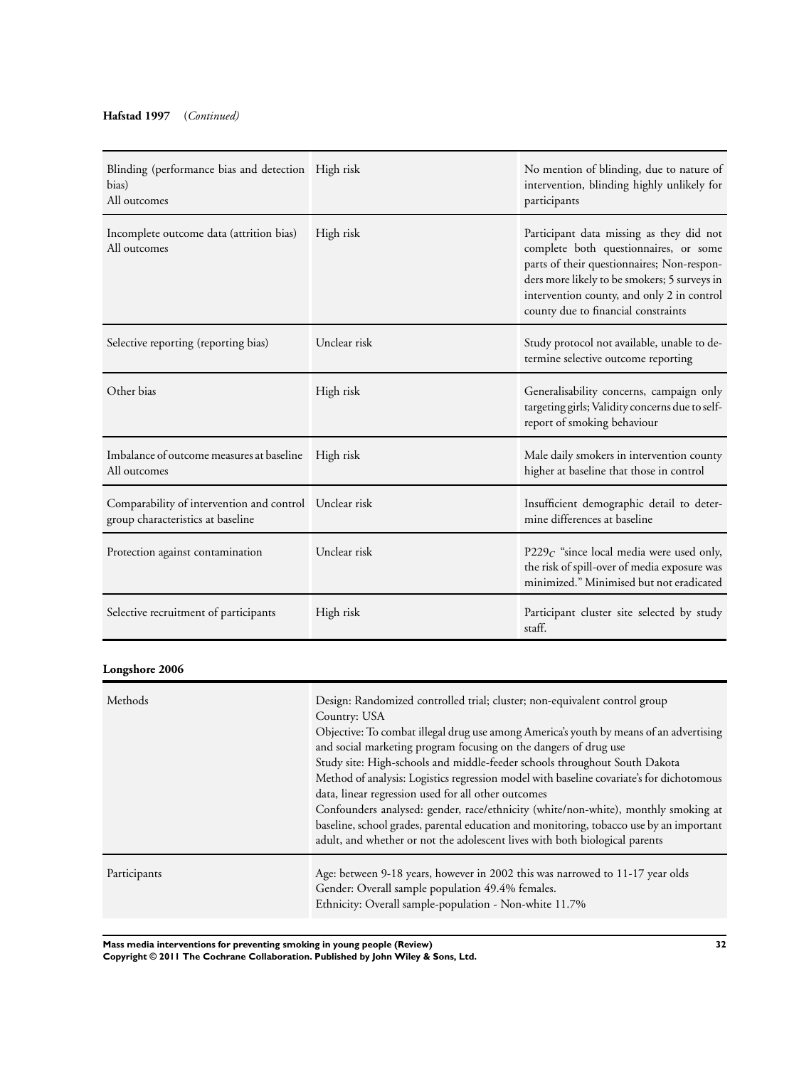## **Hafstad 1997** (*Continued)*

| Blinding (performance bias and detection High risk<br>bias)<br>All outcomes                 |              | No mention of blinding, due to nature of<br>intervention, blinding highly unlikely for<br>participants                                                                                                                                                               |
|---------------------------------------------------------------------------------------------|--------------|----------------------------------------------------------------------------------------------------------------------------------------------------------------------------------------------------------------------------------------------------------------------|
| Incomplete outcome data (attrition bias)<br>All outcomes                                    | High risk    | Participant data missing as they did not<br>complete both questionnaires, or some<br>parts of their questionnaires; Non-respon-<br>ders more likely to be smokers; 5 surveys in<br>intervention county, and only 2 in control<br>county due to financial constraints |
| Selective reporting (reporting bias)                                                        | Unclear risk | Study protocol not available, unable to de-<br>termine selective outcome reporting                                                                                                                                                                                   |
| Other bias                                                                                  | High risk    | Generalisability concerns, campaign only<br>targeting girls; Validity concerns due to self-<br>report of smoking behaviour                                                                                                                                           |
| Imbalance of outcome measures at baseline<br>All outcomes                                   | High risk    | Male daily smokers in intervention county<br>higher at baseline that those in control                                                                                                                                                                                |
| Comparability of intervention and control Unclear risk<br>group characteristics at baseline |              | Insufficient demographic detail to deter-<br>mine differences at baseline                                                                                                                                                                                            |
| Protection against contamination                                                            | Unclear risk | $P229C$ "since local media were used only,<br>the risk of spill-over of media exposure was<br>minimized." Minimised but not eradicated                                                                                                                               |
| Selective recruitment of participants                                                       | High risk    | Participant cluster site selected by study<br>staff.                                                                                                                                                                                                                 |

# **Longshore 2006**

| Methods      | Design: Randomized controlled trial; cluster; non-equivalent control group<br>Country: USA<br>Objective: To combat illegal drug use among America's youth by means of an advertising<br>and social marketing program focusing on the dangers of drug use<br>Study site: High-schools and middle-feeder schools throughout South Dakota<br>Method of analysis: Logistics regression model with baseline covariate's for dichotomous<br>data, linear regression used for all other outcomes<br>Confounders analysed: gender, race/ethnicity (white/non-white), monthly smoking at<br>baseline, school grades, parental education and monitoring, tobacco use by an important<br>adult, and whether or not the adolescent lives with both biological parents |
|--------------|-----------------------------------------------------------------------------------------------------------------------------------------------------------------------------------------------------------------------------------------------------------------------------------------------------------------------------------------------------------------------------------------------------------------------------------------------------------------------------------------------------------------------------------------------------------------------------------------------------------------------------------------------------------------------------------------------------------------------------------------------------------|
| Participants | Age: between 9-18 years, however in 2002 this was narrowed to 11-17 year olds<br>Gender: Overall sample population 49.4% females.<br>Ethnicity: Overall sample-population - Non-white 11.7%                                                                                                                                                                                                                                                                                                                                                                                                                                                                                                                                                               |

**Mass media interventions for preventing smoking in young people (Review) 32**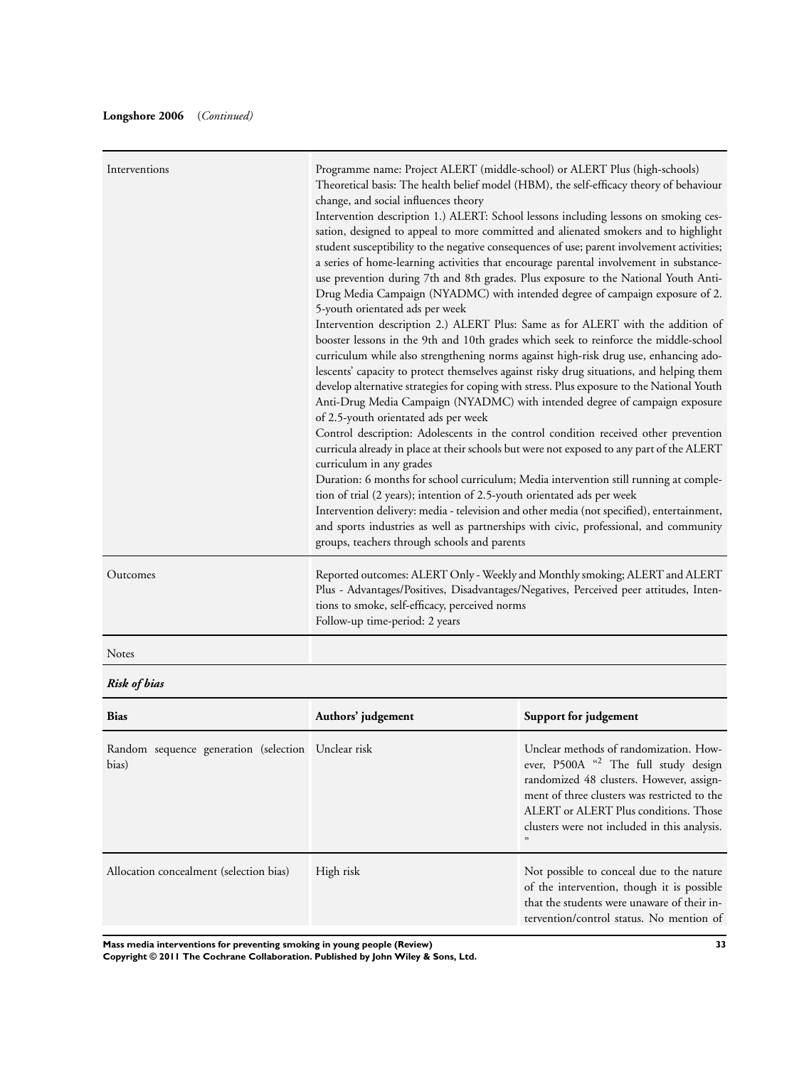| Interventions | Programme name: Project ALERT (middle-school) or ALERT Plus (high-schools)<br>Theoretical basis: The health belief model (HBM), the self-efficacy theory of behaviour<br>change, and social influences theory<br>Intervention description 1.) ALERT: School lessons including lessons on smoking ces-<br>sation, designed to appeal to more committed and alienated smokers and to highlight<br>student susceptibility to the negative consequences of use; parent involvement activities;<br>a series of home-learning activities that encourage parental involvement in substance-<br>use prevention during 7th and 8th grades. Plus exposure to the National Youth Anti-<br>Drug Media Campaign (NYADMC) with intended degree of campaign exposure of 2.<br>5-youth orientated ads per week<br>Intervention description 2.) ALERT Plus: Same as for ALERT with the addition of<br>booster lessons in the 9th and 10th grades which seek to reinforce the middle-school<br>curriculum while also strengthening norms against high-risk drug use, enhancing ado-<br>lescents' capacity to protect themselves against risky drug situations, and helping them<br>develop alternative strategies for coping with stress. Plus exposure to the National Youth<br>Anti-Drug Media Campaign (NYADMC) with intended degree of campaign exposure<br>of 2.5-youth orientated ads per week<br>Control description: Adolescents in the control condition received other prevention<br>curricula already in place at their schools but were not exposed to any part of the ALERT<br>curriculum in any grades<br>Duration: 6 months for school curriculum; Media intervention still running at comple-<br>tion of trial (2 years); intention of 2.5-youth orientated ads per week<br>Intervention delivery: media - television and other media (not specified), entertainment,<br>and sports industries as well as partnerships with civic, professional, and community<br>groups, teachers through schools and parents |
|---------------|--------------------------------------------------------------------------------------------------------------------------------------------------------------------------------------------------------------------------------------------------------------------------------------------------------------------------------------------------------------------------------------------------------------------------------------------------------------------------------------------------------------------------------------------------------------------------------------------------------------------------------------------------------------------------------------------------------------------------------------------------------------------------------------------------------------------------------------------------------------------------------------------------------------------------------------------------------------------------------------------------------------------------------------------------------------------------------------------------------------------------------------------------------------------------------------------------------------------------------------------------------------------------------------------------------------------------------------------------------------------------------------------------------------------------------------------------------------------------------------------------------------------------------------------------------------------------------------------------------------------------------------------------------------------------------------------------------------------------------------------------------------------------------------------------------------------------------------------------------------------------------------------------------------------------------------------------------------------------------------------------------------|
| Outcomes      | Reported outcomes: ALERT Only - Weekly and Monthly smoking; ALERT and ALERT<br>Plus - Advantages/Positives, Disadvantages/Negatives, Perceived peer attitudes, Inten-<br>tions to smoke, self-efficacy, perceived norms<br>Follow-up time-period: 2 years                                                                                                                                                                                                                                                                                                                                                                                                                                                                                                                                                                                                                                                                                                                                                                                                                                                                                                                                                                                                                                                                                                                                                                                                                                                                                                                                                                                                                                                                                                                                                                                                                                                                                                                                                    |
|               |                                                                                                                                                                                                                                                                                                                                                                                                                                                                                                                                                                                                                                                                                                                                                                                                                                                                                                                                                                                                                                                                                                                                                                                                                                                                                                                                                                                                                                                                                                                                                                                                                                                                                                                                                                                                                                                                                                                                                                                                              |

## Notes

## *Risk of bias*

| <b>Bias</b>                                                 | Authors' judgement | Support for judgement                                                                                                                                                                                                                                                                |
|-------------------------------------------------------------|--------------------|--------------------------------------------------------------------------------------------------------------------------------------------------------------------------------------------------------------------------------------------------------------------------------------|
| Random sequence generation (selection Unclear risk<br>bias) |                    | Unclear methods of randomization. How-<br>ever, P500A " <sup>2</sup> The full study design<br>randomized 48 clusters. However, assign-<br>ment of three clusters was restricted to the<br>ALERT or ALERT Plus conditions. Those<br>clusters were not included in this analysis.<br>, |
| Allocation concealment (selection bias)                     | High risk          | Not possible to conceal due to the nature<br>of the intervention, though it is possible<br>that the students were unaware of their in-<br>tervention/control status. No mention of                                                                                                   |

**Mass media interventions for preventing smoking in young people (Review) 33**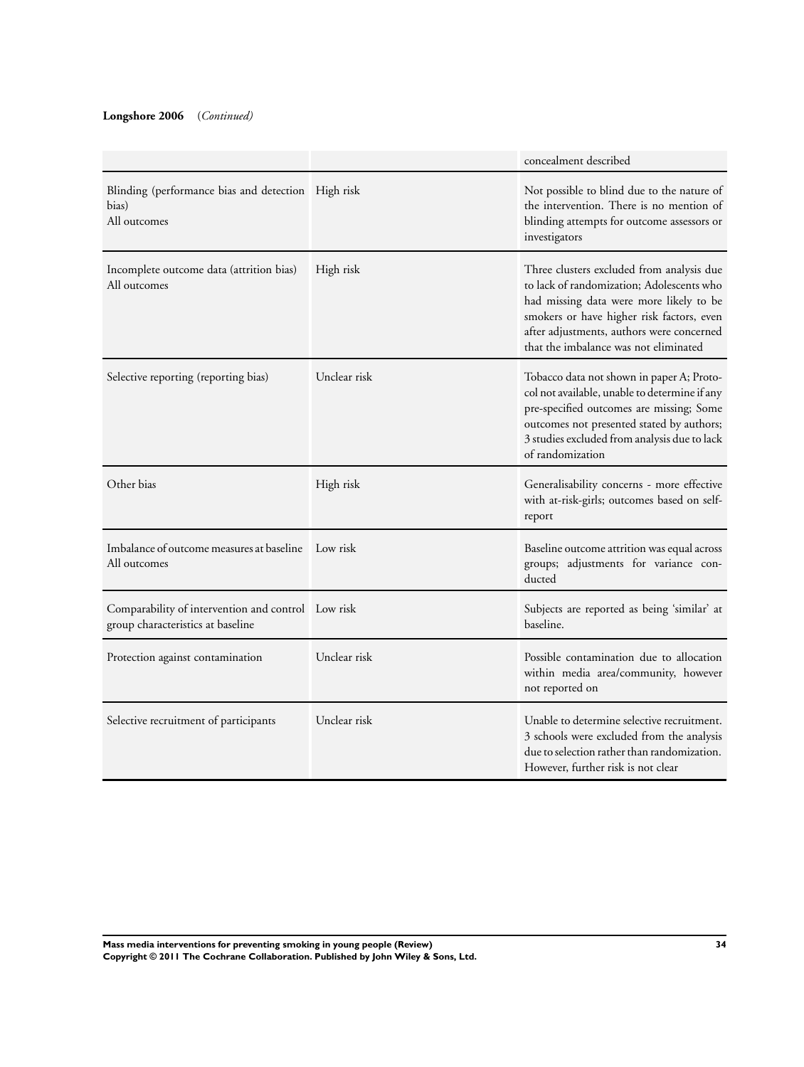|                                                                                         |              | concealment described                                                                                                                                                                                                                                                |
|-----------------------------------------------------------------------------------------|--------------|----------------------------------------------------------------------------------------------------------------------------------------------------------------------------------------------------------------------------------------------------------------------|
| Blinding (performance bias and detection High risk<br>bias)<br>All outcomes             |              | Not possible to blind due to the nature of<br>the intervention. There is no mention of<br>blinding attempts for outcome assessors or<br>investigators                                                                                                                |
| Incomplete outcome data (attrition bias)<br>All outcomes                                | High risk    | Three clusters excluded from analysis due<br>to lack of randomization; Adolescents who<br>had missing data were more likely to be<br>smokers or have higher risk factors, even<br>after adjustments, authors were concerned<br>that the imbalance was not eliminated |
| Selective reporting (reporting bias)                                                    | Unclear risk | Tobacco data not shown in paper A; Proto-<br>col not available, unable to determine if any<br>pre-specified outcomes are missing; Some<br>outcomes not presented stated by authors;<br>3 studies excluded from analysis due to lack<br>of randomization              |
| Other bias                                                                              | High risk    | Generalisability concerns - more effective<br>with at-risk-girls; outcomes based on self-<br>report                                                                                                                                                                  |
| Imbalance of outcome measures at baseline Low risk<br>All outcomes                      |              | Baseline outcome attrition was equal across<br>groups; adjustments for variance con-<br>ducted                                                                                                                                                                       |
| Comparability of intervention and control Low risk<br>group characteristics at baseline |              | Subjects are reported as being 'similar' at<br>baseline.                                                                                                                                                                                                             |
| Protection against contamination                                                        | Unclear risk | Possible contamination due to allocation<br>within media area/community, however<br>not reported on                                                                                                                                                                  |
| Selective recruitment of participants                                                   | Unclear risk | Unable to determine selective recruitment.<br>3 schools were excluded from the analysis<br>due to selection rather than randomization.<br>However, further risk is not clear                                                                                         |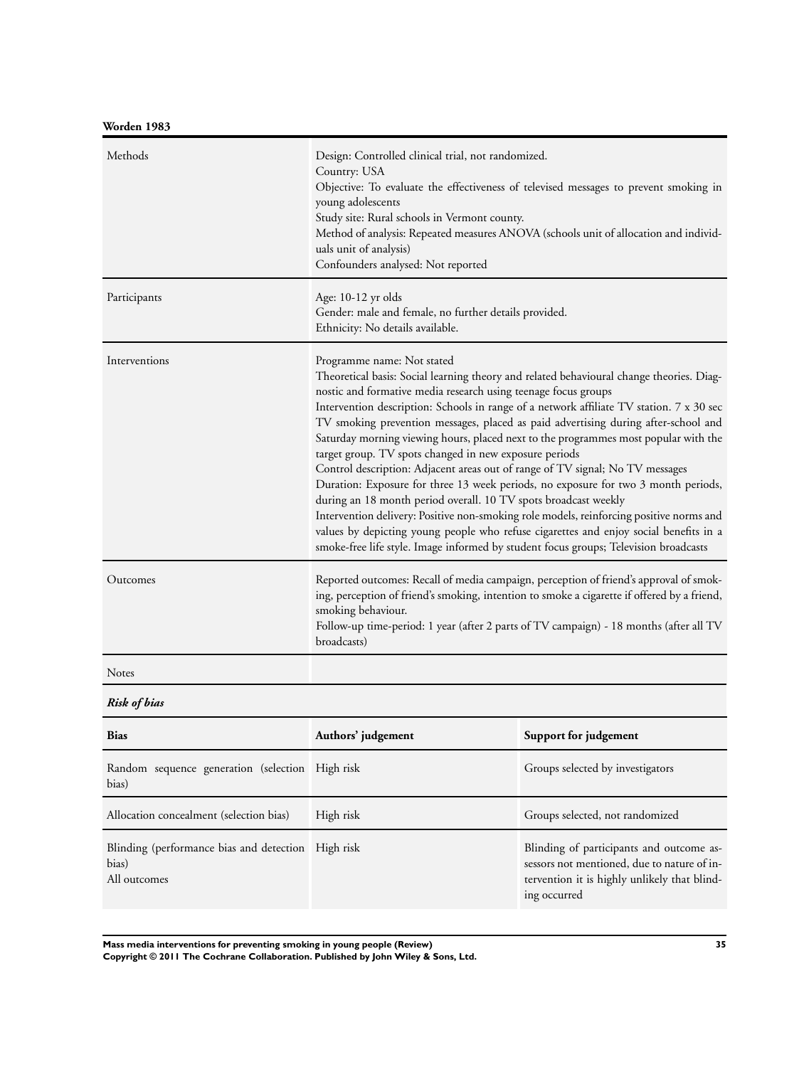**Worden 1983**

| Methods       | Design: Controlled clinical trial, not randomized.<br>Country: USA<br>Objective: To evaluate the effectiveness of televised messages to prevent smoking in<br>young adolescents<br>Study site: Rural schools in Vermont county.<br>Method of analysis: Repeated measures ANOVA (schools unit of allocation and individ-<br>uals unit of analysis)<br>Confounders analysed: Not reported                                                                                                                                                                                                                                                                                                                                                                                                                                                                                                                                                                                                                                                           |
|---------------|---------------------------------------------------------------------------------------------------------------------------------------------------------------------------------------------------------------------------------------------------------------------------------------------------------------------------------------------------------------------------------------------------------------------------------------------------------------------------------------------------------------------------------------------------------------------------------------------------------------------------------------------------------------------------------------------------------------------------------------------------------------------------------------------------------------------------------------------------------------------------------------------------------------------------------------------------------------------------------------------------------------------------------------------------|
| Participants  | Age: 10-12 yr olds<br>Gender: male and female, no further details provided.<br>Ethnicity: No details available.                                                                                                                                                                                                                                                                                                                                                                                                                                                                                                                                                                                                                                                                                                                                                                                                                                                                                                                                   |
| Interventions | Programme name: Not stated<br>Theoretical basis: Social learning theory and related behavioural change theories. Diag-<br>nostic and formative media research using teenage focus groups<br>Intervention description: Schools in range of a network affiliate TV station. 7 x 30 sec<br>TV smoking prevention messages, placed as paid advertising during after-school and<br>Saturday morning viewing hours, placed next to the programmes most popular with the<br>target group. TV spots changed in new exposure periods<br>Control description: Adjacent areas out of range of TV signal; No TV messages<br>Duration: Exposure for three 13 week periods, no exposure for two 3 month periods,<br>during an 18 month period overall. 10 TV spots broadcast weekly<br>Intervention delivery: Positive non-smoking role models, reinforcing positive norms and<br>values by depicting young people who refuse cigarettes and enjoy social benefits in a<br>smoke-free life style. Image informed by student focus groups; Television broadcasts |
| Outcomes      | Reported outcomes: Recall of media campaign, perception of friend's approval of smok-<br>ing, perception of friend's smoking, intention to smoke a cigarette if offered by a friend,<br>smoking behaviour.<br>Follow-up time-period: 1 year (after 2 parts of TV campaign) - 18 months (after all TV<br>broadcasts)                                                                                                                                                                                                                                                                                                                                                                                                                                                                                                                                                                                                                                                                                                                               |
| <b>Notes</b>  |                                                                                                                                                                                                                                                                                                                                                                                                                                                                                                                                                                                                                                                                                                                                                                                                                                                                                                                                                                                                                                                   |

*Risk of bias*

| <b>Bias</b>                                                                 | Authors' judgement | Support for judgement                                                                                                                                   |
|-----------------------------------------------------------------------------|--------------------|---------------------------------------------------------------------------------------------------------------------------------------------------------|
| Random sequence generation (selection High risk<br>bias)                    |                    | Groups selected by investigators                                                                                                                        |
| Allocation concealment (selection bias)                                     | High risk          | Groups selected, not randomized                                                                                                                         |
| Blinding (performance bias and detection High risk<br>bias)<br>All outcomes |                    | Blinding of participants and outcome as-<br>sessors not mentioned, due to nature of in-<br>tervention it is highly unlikely that blind-<br>ing occurred |

**Mass media interventions for preventing smoking in young people (Review) 35 Copyright © 2011 The Cochrane Collaboration. Published by John Wiley & Sons, Ltd.**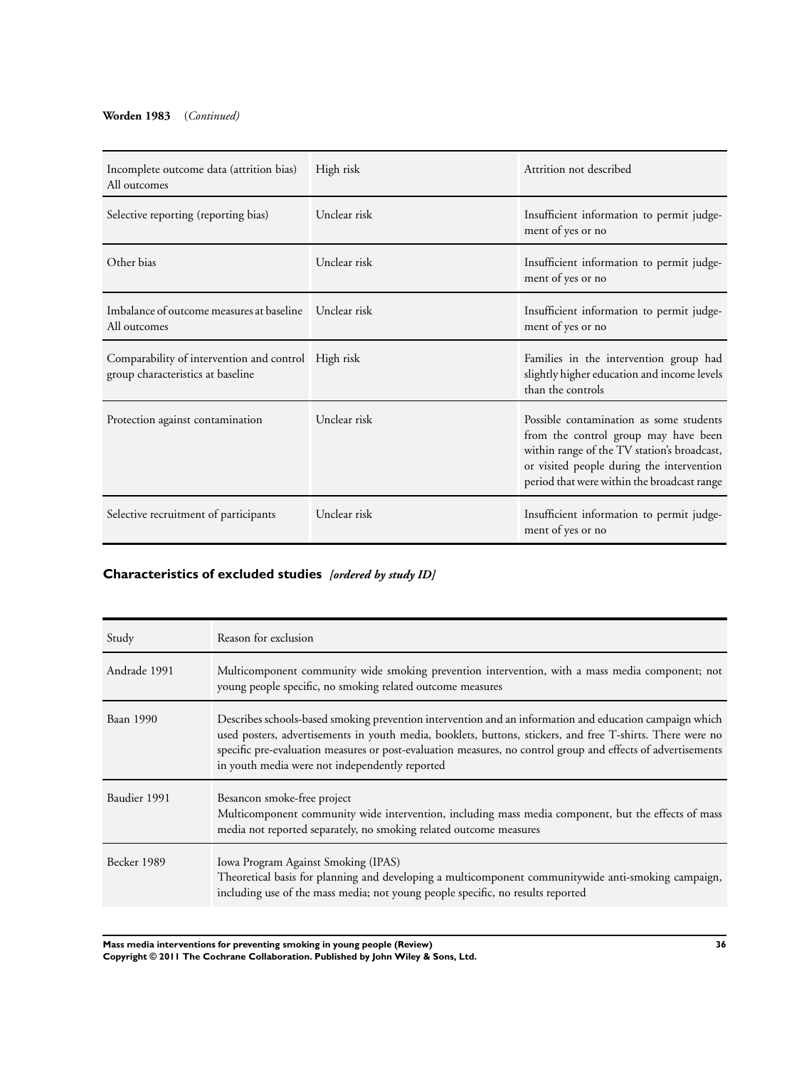## <span id="page-38-0"></span>**Worden 1983** (*Continued)*

| Incomplete outcome data (attrition bias)<br>All outcomes                                 | High risk    | Attrition not described                                                                                                                                                                                                    |
|------------------------------------------------------------------------------------------|--------------|----------------------------------------------------------------------------------------------------------------------------------------------------------------------------------------------------------------------------|
| Selective reporting (reporting bias)                                                     | Unclear risk | Insufficient information to permit judge-<br>ment of yes or no                                                                                                                                                             |
| Other bias                                                                               | Unclear risk | Insufficient information to permit judge-<br>ment of yes or no                                                                                                                                                             |
| Imbalance of outcome measures at baseline Unclear risk<br>All outcomes                   |              | Insufficient information to permit judge-<br>ment of yes or no                                                                                                                                                             |
| Comparability of intervention and control High risk<br>group characteristics at baseline |              | Families in the intervention group had<br>slightly higher education and income levels<br>than the controls                                                                                                                 |
| Protection against contamination                                                         | Unclear risk | Possible contamination as some students<br>from the control group may have been<br>within range of the TV station's broadcast,<br>or visited people during the intervention<br>period that were within the broadcast range |
| Selective recruitment of participants                                                    | Unclear risk | Insufficient information to permit judge-<br>ment of yes or no                                                                                                                                                             |

# **Characteristics of excluded studies** *[ordered by study ID]*

| Study        | Reason for exclusion                                                                                                                                                                                                                                                                                                                                                                    |
|--------------|-----------------------------------------------------------------------------------------------------------------------------------------------------------------------------------------------------------------------------------------------------------------------------------------------------------------------------------------------------------------------------------------|
| Andrade 1991 | Multicomponent community wide smoking prevention intervention, with a mass media component; not<br>young people specific, no smoking related outcome measures                                                                                                                                                                                                                           |
| Baan 1990    | Describes schools-based smoking prevention intervention and an information and education campaign which<br>used posters, advertisements in youth media, booklets, buttons, stickers, and free T-shirts. There were no<br>specific pre-evaluation measures or post-evaluation measures, no control group and effects of advertisements<br>in youth media were not independently reported |
| Baudier 1991 | Besancon smoke-free project<br>Multicomponent community wide intervention, including mass media component, but the effects of mass<br>media not reported separately, no smoking related outcome measures                                                                                                                                                                                |
| Becker 1989  | Iowa Program Against Smoking (IPAS)<br>Theoretical basis for planning and developing a multicomponent communitywide anti-smoking campaign,<br>including use of the mass media; not young people specific, no results reported                                                                                                                                                           |

**Mass media interventions for preventing smoking in young people (Review) 36 Copyright © 2011 The Cochrane Collaboration. Published by John Wiley & Sons, Ltd.**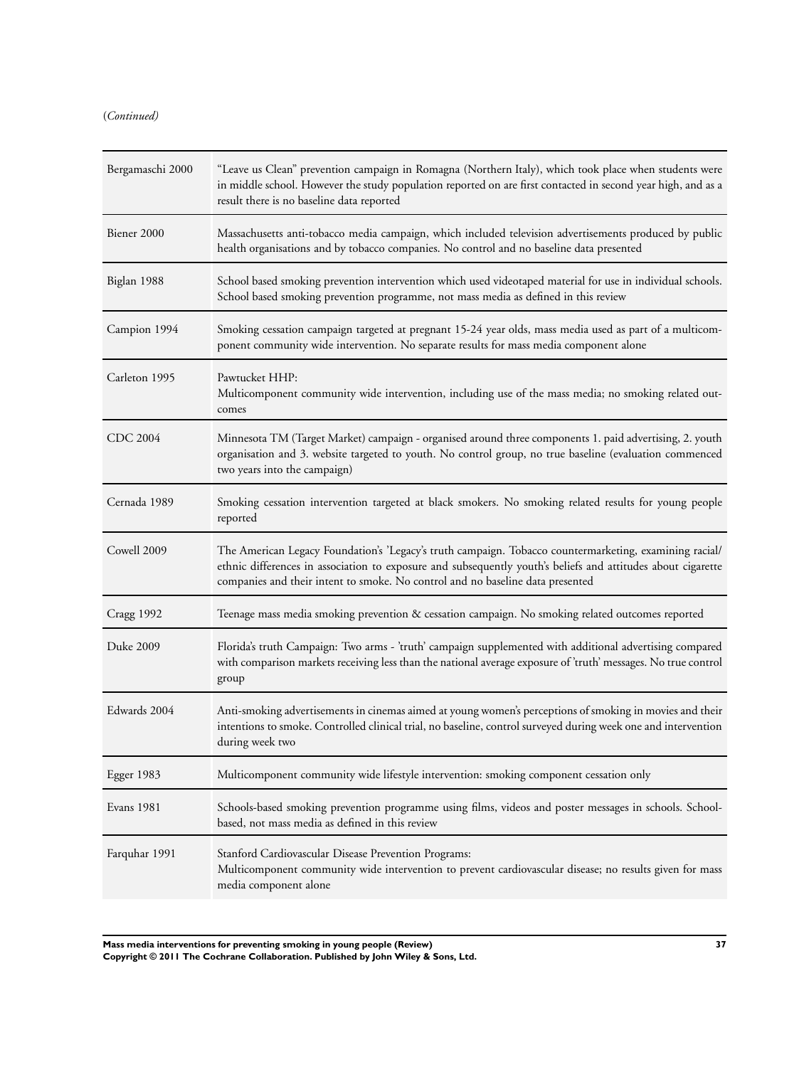| Bergamaschi 2000 | "Leave us Clean" prevention campaign in Romagna (Northern Italy), which took place when students were<br>in middle school. However the study population reported on are first contacted in second year high, and as a<br>result there is no baseline data reported                                       |
|------------------|----------------------------------------------------------------------------------------------------------------------------------------------------------------------------------------------------------------------------------------------------------------------------------------------------------|
| Biener 2000      | Massachusetts anti-tobacco media campaign, which included television advertisements produced by public<br>health organisations and by tobacco companies. No control and no baseline data presented                                                                                                       |
| Biglan 1988      | School based smoking prevention intervention which used videotaped material for use in individual schools.<br>School based smoking prevention programme, not mass media as defined in this review                                                                                                        |
| Campion 1994     | Smoking cessation campaign targeted at pregnant 15-24 year olds, mass media used as part of a multicom-<br>ponent community wide intervention. No separate results for mass media component alone                                                                                                        |
| Carleton 1995    | Pawtucket HHP:<br>Multicomponent community wide intervention, including use of the mass media; no smoking related out-<br>comes                                                                                                                                                                          |
| CDC 2004         | Minnesota TM (Target Market) campaign - organised around three components 1. paid advertising, 2. youth<br>organisation and 3. website targeted to youth. No control group, no true baseline (evaluation commenced<br>two years into the campaign)                                                       |
| Cernada 1989     | Smoking cessation intervention targeted at black smokers. No smoking related results for young people<br>reported                                                                                                                                                                                        |
| Cowell 2009      | The American Legacy Foundation's 'Legacy's truth campaign. Tobacco countermarketing, examining racial/<br>ethnic differences in association to exposure and subsequently youth's beliefs and attitudes about cigarette<br>companies and their intent to smoke. No control and no baseline data presented |
| Cragg 1992       | Teenage mass media smoking prevention & cessation campaign. No smoking related outcomes reported                                                                                                                                                                                                         |
| Duke 2009        | Florida's truth Campaign: Two arms - 'truth' campaign supplemented with additional advertising compared<br>with comparison markets receiving less than the national average exposure of 'truth' messages. No true control<br>group                                                                       |
| Edwards 2004     | Anti-smoking advertisements in cinemas aimed at young women's perceptions of smoking in movies and their<br>intentions to smoke. Controlled clinical trial, no baseline, control surveyed during week one and intervention<br>during week two                                                            |
| Egger 1983       | Multicomponent community wide lifestyle intervention: smoking component cessation only                                                                                                                                                                                                                   |
| Evans 1981       | Schools-based smoking prevention programme using films, videos and poster messages in schools. School-<br>based, not mass media as defined in this review                                                                                                                                                |
| Farquhar 1991    | Stanford Cardiovascular Disease Prevention Programs:<br>Multicomponent community wide intervention to prevent cardiovascular disease; no results given for mass<br>media component alone                                                                                                                 |

**Mass media interventions for preventing smoking in young people (Review) 37 Copyright © 2011 The Cochrane Collaboration. Published by John Wiley & Sons, Ltd.**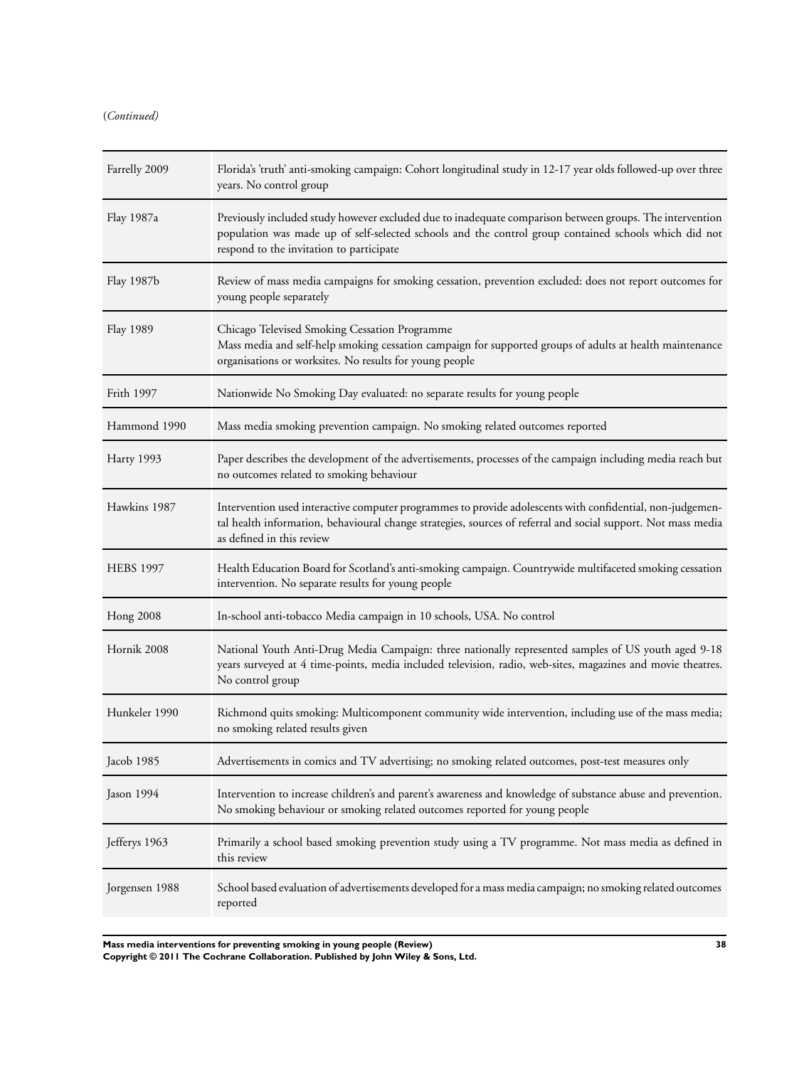| Farrelly 2009    | Florida's 'truth' anti-smoking campaign: Cohort longitudinal study in 12-17 year olds followed-up over three<br>years. No control group                                                                                                                       |
|------------------|---------------------------------------------------------------------------------------------------------------------------------------------------------------------------------------------------------------------------------------------------------------|
| Flay 1987a       | Previously included study however excluded due to inadequate comparison between groups. The intervention<br>population was made up of self-selected schools and the control group contained schools which did not<br>respond to the invitation to participate |
| Flay 1987b       | Review of mass media campaigns for smoking cessation, prevention excluded: does not report outcomes for<br>young people separately                                                                                                                            |
| <b>Flay 1989</b> | Chicago Televised Smoking Cessation Programme<br>Mass media and self-help smoking cessation campaign for supported groups of adults at health maintenance<br>organisations or worksites. No results for young people                                          |
| Frith 1997       | Nationwide No Smoking Day evaluated: no separate results for young people                                                                                                                                                                                     |
| Hammond 1990     | Mass media smoking prevention campaign. No smoking related outcomes reported                                                                                                                                                                                  |
| Harty 1993       | Paper describes the development of the advertisements, processes of the campaign including media reach but<br>no outcomes related to smoking behaviour                                                                                                        |
| Hawkins 1987     | Intervention used interactive computer programmes to provide adolescents with confidential, non-judgemen-<br>tal health information, behavioural change strategies, sources of referral and social support. Not mass media<br>as defined in this review       |
| <b>HEBS 1997</b> | Health Education Board for Scotland's anti-smoking campaign. Countrywide multifaceted smoking cessation<br>intervention. No separate results for young people                                                                                                 |
| <b>Hong 2008</b> | In-school anti-tobacco Media campaign in 10 schools, USA. No control                                                                                                                                                                                          |
| Hornik 2008      | National Youth Anti-Drug Media Campaign: three nationally represented samples of US youth aged 9-18<br>years surveyed at 4 time-points, media included television, radio, web-sites, magazines and movie theatres.<br>No control group                        |
| Hunkeler 1990    | Richmond quits smoking: Multicomponent community wide intervention, including use of the mass media;<br>no smoking related results given                                                                                                                      |
| Jacob 1985       | Advertisements in comics and TV advertising; no smoking related outcomes, post-test measures only                                                                                                                                                             |
| Jason 1994       | Intervention to increase children's and parent's awareness and knowledge of substance abuse and prevention.<br>No smoking behaviour or smoking related outcomes reported for young people                                                                     |
| Jefferys 1963    | Primarily a school based smoking prevention study using a TV programme. Not mass media as defined in<br>this review                                                                                                                                           |
| Jorgensen 1988   | School based evaluation of advertisements developed for a mass media campaign; no smoking related outcomes<br>reported                                                                                                                                        |

**Mass media interventions for preventing smoking in young people (Review) 38 Copyright © 2011 The Cochrane Collaboration. Published by John Wiley & Sons, Ltd.**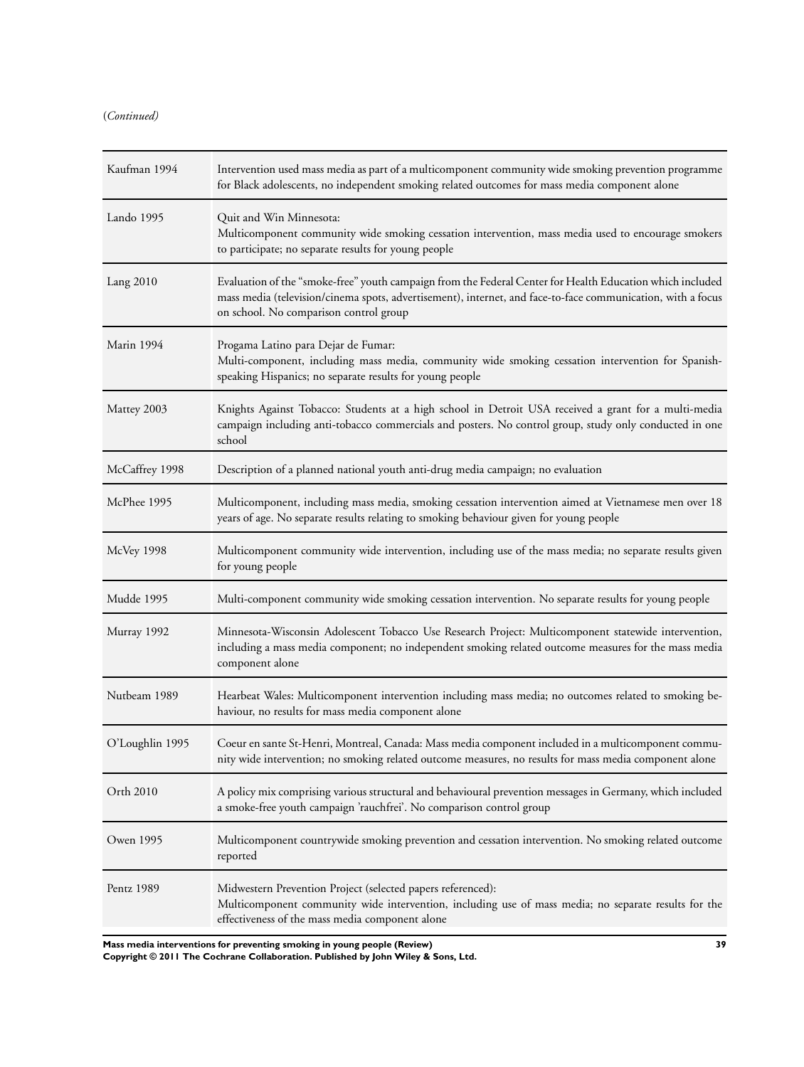| Kaufman 1994    | Intervention used mass media as part of a multicomponent community wide smoking prevention programme<br>for Black adolescents, no independent smoking related outcomes for mass media component alone                                                              |
|-----------------|--------------------------------------------------------------------------------------------------------------------------------------------------------------------------------------------------------------------------------------------------------------------|
| Lando 1995      | Quit and Win Minnesota:<br>Multicomponent community wide smoking cessation intervention, mass media used to encourage smokers<br>to participate; no separate results for young people                                                                              |
| Lang $2010$     | Evaluation of the "smoke-free" youth campaign from the Federal Center for Health Education which included<br>mass media (television/cinema spots, advertisement), internet, and face-to-face communication, with a focus<br>on school. No comparison control group |
| Marin 1994      | Progama Latino para Dejar de Fumar:<br>Multi-component, including mass media, community wide smoking cessation intervention for Spanish-<br>speaking Hispanics; no separate results for young people                                                               |
| Mattey 2003     | Knights Against Tobacco: Students at a high school in Detroit USA received a grant for a multi-media<br>campaign including anti-tobacco commercials and posters. No control group, study only conducted in one<br>school                                           |
| McCaffrey 1998  | Description of a planned national youth anti-drug media campaign; no evaluation                                                                                                                                                                                    |
| McPhee 1995     | Multicomponent, including mass media, smoking cessation intervention aimed at Vietnamese men over 18<br>years of age. No separate results relating to smoking behaviour given for young people                                                                     |
| McVey 1998      | Multicomponent community wide intervention, including use of the mass media; no separate results given<br>for young people                                                                                                                                         |
| Mudde 1995      | Multi-component community wide smoking cessation intervention. No separate results for young people                                                                                                                                                                |
| Murray 1992     | Minnesota-Wisconsin Adolescent Tobacco Use Research Project: Multicomponent statewide intervention,<br>including a mass media component; no independent smoking related outcome measures for the mass media<br>component alone                                     |
| Nutbeam 1989    | Hearbeat Wales: Multicomponent intervention including mass media; no outcomes related to smoking be-<br>haviour, no results for mass media component alone                                                                                                         |
| O'Loughlin 1995 | Coeur en sante St-Henri, Montreal, Canada: Mass media component included in a multicomponent commu-<br>nity wide intervention; no smoking related outcome measures, no results for mass media component alone                                                      |
| Orth 2010       | A policy mix comprising various structural and behavioural prevention messages in Germany, which included<br>a smoke-free youth campaign 'rauchfrei'. No comparison control group                                                                                  |
| Owen 1995       | Multicomponent countrywide smoking prevention and cessation intervention. No smoking related outcome<br>reported                                                                                                                                                   |
| Pentz 1989      | Midwestern Prevention Project (selected papers referenced):<br>Multicomponent community wide intervention, including use of mass media; no separate results for the<br>effectiveness of the mass media component alone                                             |

**Mass media interventions for preventing smoking in young people (Review) 39 Copyright © 2011 The Cochrane Collaboration. Published by John Wiley & Sons, Ltd.**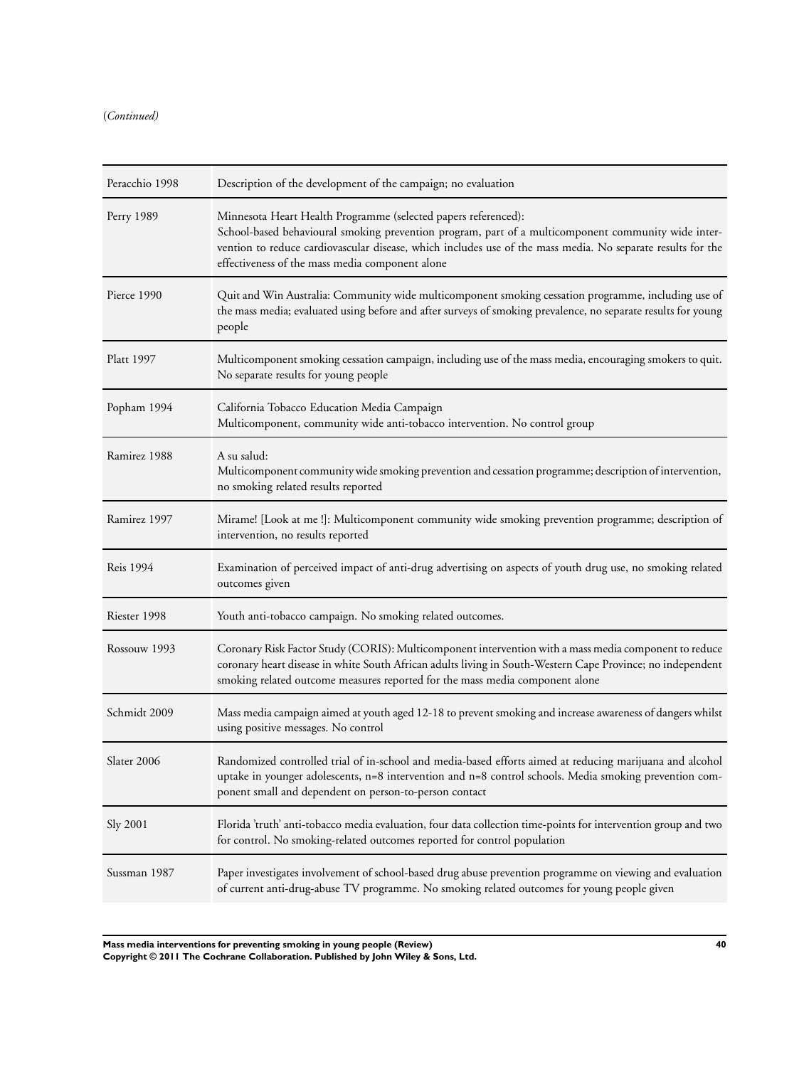| Peracchio 1998 | Description of the development of the campaign; no evaluation                                                                                                                                                                                                                                                                           |
|----------------|-----------------------------------------------------------------------------------------------------------------------------------------------------------------------------------------------------------------------------------------------------------------------------------------------------------------------------------------|
| Perry 1989     | Minnesota Heart Health Programme (selected papers referenced):<br>School-based behavioural smoking prevention program, part of a multicomponent community wide inter-<br>vention to reduce cardiovascular disease, which includes use of the mass media. No separate results for the<br>effectiveness of the mass media component alone |
| Pierce 1990    | Quit and Win Australia: Community wide multicomponent smoking cessation programme, including use of<br>the mass media; evaluated using before and after surveys of smoking prevalence, no separate results for young<br>people                                                                                                          |
| Platt 1997     | Multicomponent smoking cessation campaign, including use of the mass media, encouraging smokers to quit.<br>No separate results for young people                                                                                                                                                                                        |
| Popham 1994    | California Tobacco Education Media Campaign<br>Multicomponent, community wide anti-tobacco intervention. No control group                                                                                                                                                                                                               |
| Ramirez 1988   | A su salud:<br>Multicomponent community wide smoking prevention and cessation programme; description of intervention,<br>no smoking related results reported                                                                                                                                                                            |
| Ramirez 1997   | Mirame! [Look at me!]: Multicomponent community wide smoking prevention programme; description of<br>intervention, no results reported                                                                                                                                                                                                  |
| Reis 1994      | Examination of perceived impact of anti-drug advertising on aspects of youth drug use, no smoking related<br>outcomes given                                                                                                                                                                                                             |
| Riester 1998   | Youth anti-tobacco campaign. No smoking related outcomes.                                                                                                                                                                                                                                                                               |
| Rossouw 1993   | Coronary Risk Factor Study (CORIS): Multicomponent intervention with a mass media component to reduce<br>coronary heart disease in white South African adults living in South-Western Cape Province; no independent<br>smoking related outcome measures reported for the mass media component alone                                     |
| Schmidt 2009   | Mass media campaign aimed at youth aged 12-18 to prevent smoking and increase awareness of dangers whilst<br>using positive messages. No control                                                                                                                                                                                        |
| Slater 2006    | Randomized controlled trial of in-school and media-based efforts aimed at reducing marijuana and alcohol<br>uptake in younger adolescents, n=8 intervention and n=8 control schools. Media smoking prevention com-<br>ponent small and dependent on person-to-person contact                                                            |
| Sly 2001       | Florida 'truth' anti-tobacco media evaluation, four data collection time-points for intervention group and two<br>for control. No smoking-related outcomes reported for control population                                                                                                                                              |
| Sussman 1987   | Paper investigates involvement of school-based drug abuse prevention programme on viewing and evaluation<br>of current anti-drug-abuse TV programme. No smoking related outcomes for young people given                                                                                                                                 |

**Mass media interventions for preventing smoking in young people (Review) 40 Copyright © 2011 The Cochrane Collaboration. Published by John Wiley & Sons, Ltd.**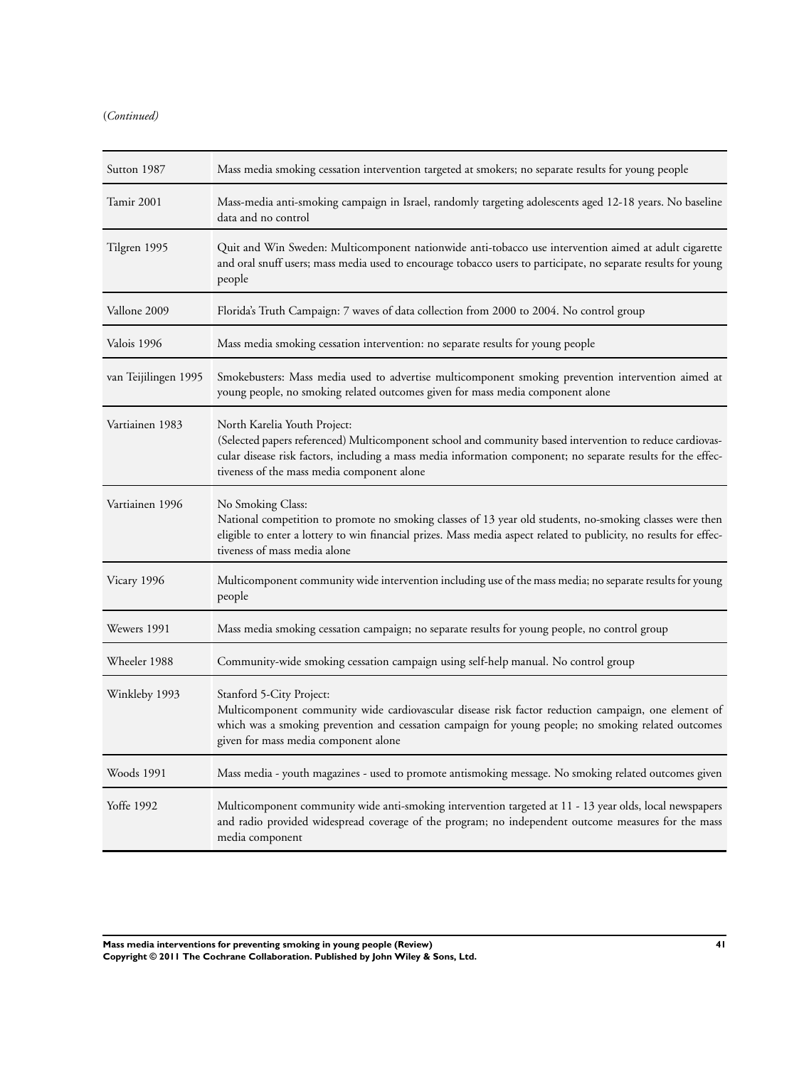| Sutton 1987          | Mass media smoking cessation intervention targeted at smokers; no separate results for young people                                                                                                                                                                                                    |
|----------------------|--------------------------------------------------------------------------------------------------------------------------------------------------------------------------------------------------------------------------------------------------------------------------------------------------------|
| Tamir 2001           | Mass-media anti-smoking campaign in Israel, randomly targeting adolescents aged 12-18 years. No baseline<br>data and no control                                                                                                                                                                        |
| Tilgren 1995         | Quit and Win Sweden: Multicomponent nationwide anti-tobacco use intervention aimed at adult cigarette<br>and oral snuff users; mass media used to encourage tobacco users to participate, no separate results for young<br>people                                                                      |
| Vallone 2009         | Florida's Truth Campaign: 7 waves of data collection from 2000 to 2004. No control group                                                                                                                                                                                                               |
| Valois 1996          | Mass media smoking cessation intervention: no separate results for young people                                                                                                                                                                                                                        |
| van Teijilingen 1995 | Smokebusters: Mass media used to advertise multicomponent smoking prevention intervention aimed at<br>young people, no smoking related outcomes given for mass media component alone                                                                                                                   |
| Vartiainen 1983      | North Karelia Youth Project:<br>(Selected papers referenced) Multicomponent school and community based intervention to reduce cardiovas-<br>cular disease risk factors, including a mass media information component; no separate results for the effec-<br>tiveness of the mass media component alone |
| Vartiainen 1996      | No Smoking Class:<br>National competition to promote no smoking classes of 13 year old students, no-smoking classes were then<br>eligible to enter a lottery to win financial prizes. Mass media aspect related to publicity, no results for effec-<br>tiveness of mass media alone                    |
| Vicary 1996          | Multicomponent community wide intervention including use of the mass media; no separate results for young<br>people                                                                                                                                                                                    |
| Wewers 1991          | Mass media smoking cessation campaign; no separate results for young people, no control group                                                                                                                                                                                                          |
| Wheeler 1988         | Community-wide smoking cessation campaign using self-help manual. No control group                                                                                                                                                                                                                     |
| Winkleby 1993        | Stanford 5-City Project:<br>Multicomponent community wide cardiovascular disease risk factor reduction campaign, one element of<br>which was a smoking prevention and cessation campaign for young people; no smoking related outcomes<br>given for mass media component alone                         |
| <b>Woods</b> 1991    | Mass media - youth magazines - used to promote antismoking message. No smoking related outcomes given                                                                                                                                                                                                  |
| Yoffe 1992           | Multicomponent community wide anti-smoking intervention targeted at 11 - 13 year olds, local newspapers<br>and radio provided widespread coverage of the program; no independent outcome measures for the mass<br>media component                                                                      |

**Mass media interventions for preventing smoking in young people (Review) 41 Copyright © 2011 The Cochrane Collaboration. Published by John Wiley & Sons, Ltd.**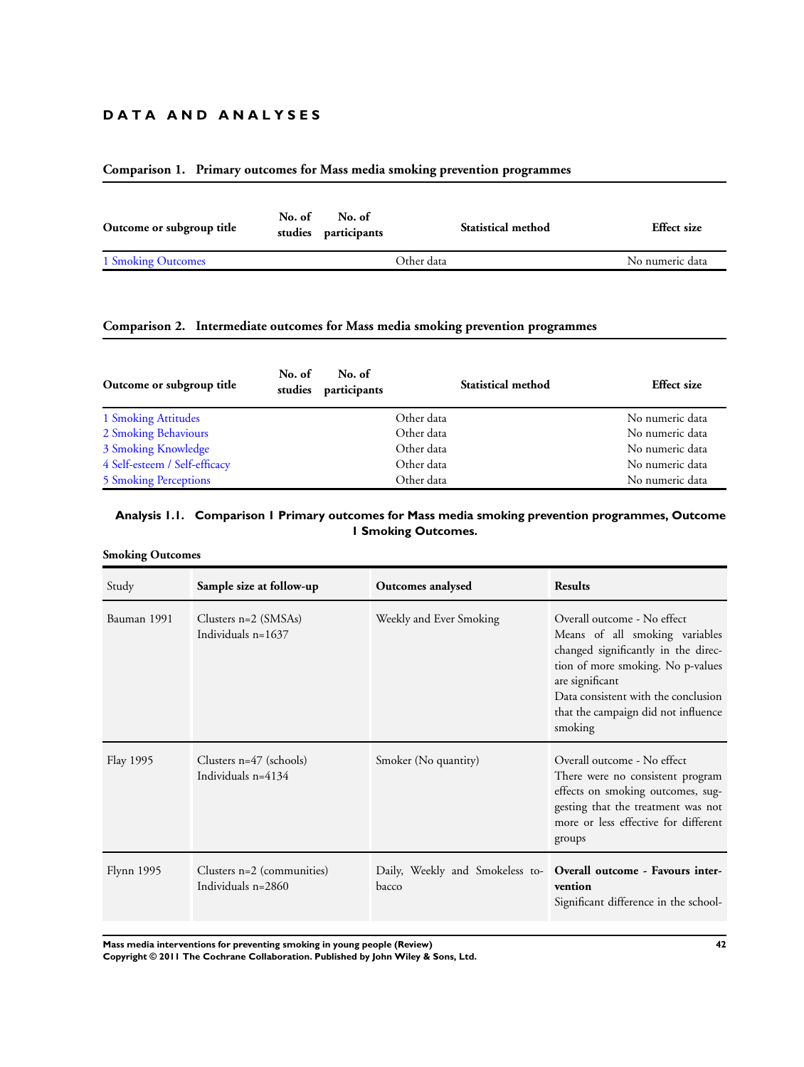## <span id="page-44-0"></span>**D A T A A N D A N A L Y S E S**

## **Comparison 1. Primary outcomes for Mass media smoking prevention programmes**

| Outcome or subgroup title | No. of | No. of<br>studies participants | <b>Statistical method</b> | <b>Effect</b> size |
|---------------------------|--------|--------------------------------|---------------------------|--------------------|
| 1 Smoking Outcomes        |        |                                | Other data                | No numeric data    |

## **Comparison 2. Intermediate outcomes for Mass media smoking prevention programmes**

| Outcome or subgroup title     | No. of<br>studies | No. of<br>participants | <b>Statistical method</b> | <b>Effect</b> size |
|-------------------------------|-------------------|------------------------|---------------------------|--------------------|
| 1 Smoking Attitudes           |                   |                        | Other data                | No numeric data    |
| 2 Smoking Behaviours          |                   |                        | Other data                | No numeric data    |
| 3 Smoking Knowledge           |                   |                        | Other data                | No numeric data    |
| 4 Self-esteem / Self-efficacy |                   |                        | Other data                | No numeric data    |
| 5 Smoking Perceptions         |                   |                        | Other data                | No numeric data    |

## **Analysis 1.1. Comparison 1 Primary outcomes for Mass media smoking prevention programmes, Outcome 1 Smoking Outcomes.**

## **Smoking Outcomes**

| Study             | Sample size at follow-up                           | Outcomes analysed                        | <b>Results</b>                                                                                                                                                                                                                                        |
|-------------------|----------------------------------------------------|------------------------------------------|-------------------------------------------------------------------------------------------------------------------------------------------------------------------------------------------------------------------------------------------------------|
| Bauman 1991       | Clusters $n=2$ (SMSAs)<br>Individuals $n=1637$     | Weekly and Ever Smoking                  | Overall outcome - No effect<br>Means of all smoking variables<br>changed significantly in the direc-<br>tion of more smoking. No p-values<br>are significant<br>Data consistent with the conclusion<br>that the campaign did not influence<br>smoking |
| Flay 1995         | Clusters $n=47$ (schools)<br>Individuals n=4134    | Smoker (No quantity)                     | Overall outcome - No effect<br>There were no consistent program<br>effects on smoking outcomes, sug-<br>gesting that the treatment was not<br>more or less effective for different<br>groups                                                          |
| <b>Flynn 1995</b> | Clusters n=2 (communities)<br>Individuals $n=2860$ | Daily, Weekly and Smokeless to-<br>bacco | Overall outcome - Favours inter-<br>vention<br>Significant difference in the school-                                                                                                                                                                  |

**Mass media interventions for preventing smoking in young people (Review) 42**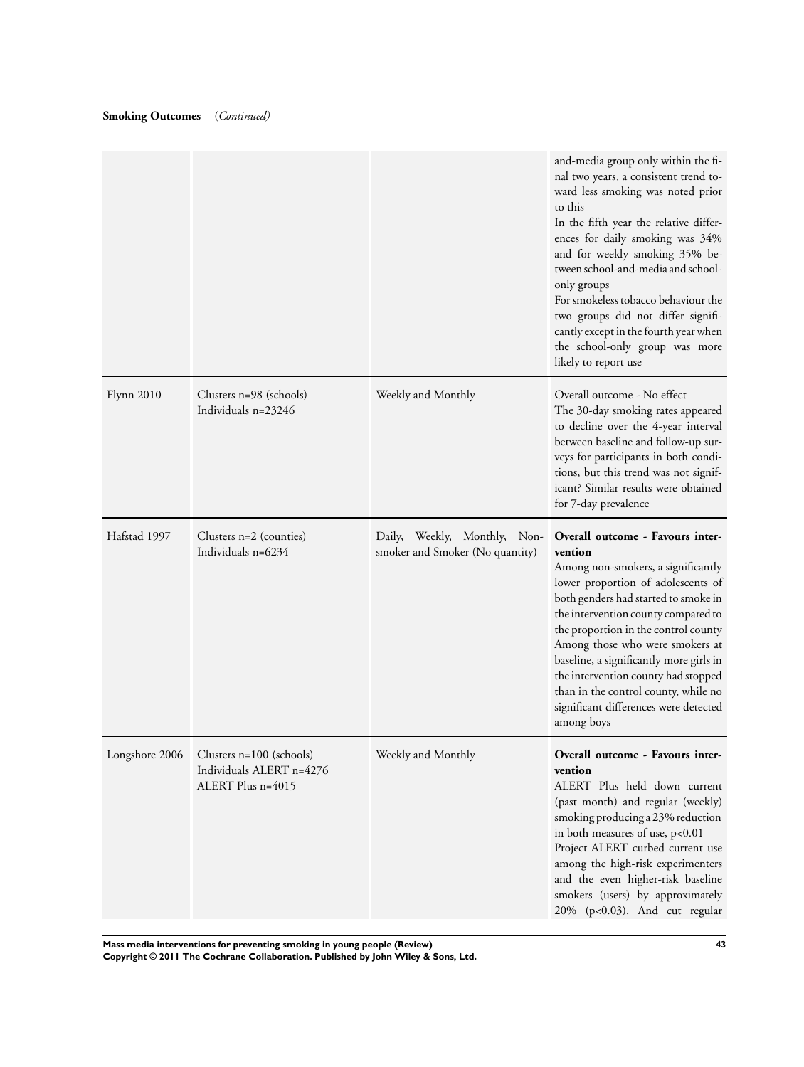## **Smoking Outcomes** (*Continued)*

|                |                                                                             |                                                                 | and-media group only within the fi-<br>nal two years, a consistent trend to-<br>ward less smoking was noted prior<br>to this<br>In the fifth year the relative differ-<br>ences for daily smoking was 34%<br>and for weekly smoking 35% be-<br>tween school-and-media and school-<br>only groups<br>For smokeless tobacco behaviour the<br>two groups did not differ signifi-<br>cantly except in the fourth year when<br>the school-only group was more<br>likely to report use |
|----------------|-----------------------------------------------------------------------------|-----------------------------------------------------------------|----------------------------------------------------------------------------------------------------------------------------------------------------------------------------------------------------------------------------------------------------------------------------------------------------------------------------------------------------------------------------------------------------------------------------------------------------------------------------------|
| Flynn 2010     | Clusters n=98 (schools)<br>Individuals n=23246                              | Weekly and Monthly                                              | Overall outcome - No effect<br>The 30-day smoking rates appeared<br>to decline over the 4-year interval<br>between baseline and follow-up sur-<br>veys for participants in both condi-<br>tions, but this trend was not signif-<br>icant? Similar results were obtained<br>for 7-day prevalence                                                                                                                                                                                  |
| Hafstad 1997   | Clusters n=2 (counties)<br>Individuals n=6234                               | Daily, Weekly, Monthly, Non-<br>smoker and Smoker (No quantity) | Overall outcome - Favours inter-<br>vention<br>Among non-smokers, a significantly<br>lower proportion of adolescents of<br>both genders had started to smoke in<br>the intervention county compared to<br>the proportion in the control county<br>Among those who were smokers at<br>baseline, a significantly more girls in<br>the intervention county had stopped<br>than in the control county, while no<br>significant differences were detected<br>among boys               |
| Longshore 2006 | Clusters $n=100$ (schools)<br>Individuals ALERT n=4276<br>ALERT Plus n=4015 | Weekly and Monthly                                              | Overall outcome - Favours inter-<br>vention<br>ALERT Plus held down current<br>(past month) and regular (weekly)<br>smoking producing a 23% reduction<br>in both measures of use, p<0.01<br>Project ALERT curbed current use<br>among the high-risk experimenters<br>and the even higher-risk baseline<br>smokers (users) by approximately<br>20% (p<0.03). And cut regular                                                                                                      |

**Mass media interventions for preventing smoking in young people (Review) 43 Copyright © 2011 The Cochrane Collaboration. Published by John Wiley & Sons, Ltd.**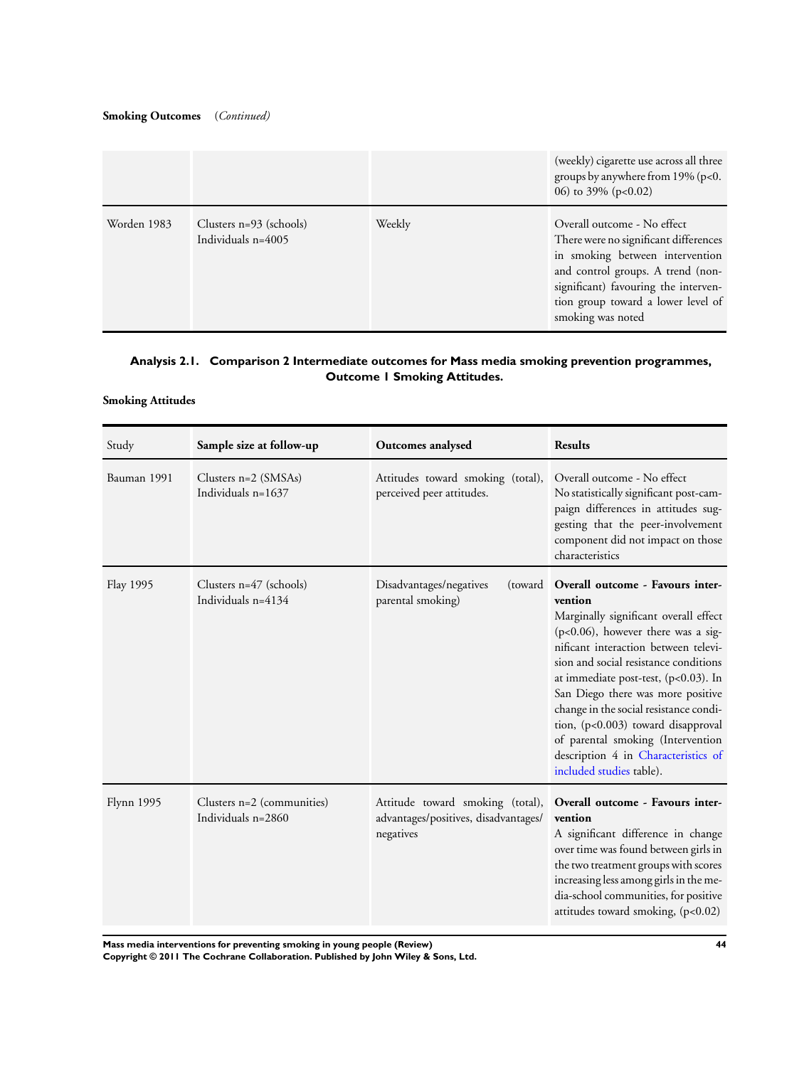## <span id="page-46-0"></span>**Smoking Outcomes** (*Continued)*

|             |                                                 |        | (weekly) cigarette use across all three<br>groups by anywhere from 19% (p<0.<br>06) to $39\%$ (p<0.02)                                                                                                                                          |
|-------------|-------------------------------------------------|--------|-------------------------------------------------------------------------------------------------------------------------------------------------------------------------------------------------------------------------------------------------|
| Worden 1983 | Clusters $n=93$ (schools)<br>Individuals n=4005 | Weekly | Overall outcome - No effect<br>There were no significant differences<br>in smoking between intervention<br>and control groups. A trend (non-<br>significant) favouring the interven-<br>tion group toward a lower level of<br>smoking was noted |

## **Analysis 2.1. Comparison 2 Intermediate outcomes for Mass media smoking prevention programmes, Outcome 1 Smoking Attitudes.**

## **Smoking Attitudes**

| Study       | Sample size at follow-up                         | Outcomes analysed                                                                     | <b>Results</b>                                                                                                                                                                                                                                                                                                                                                                                                                                                                                 |
|-------------|--------------------------------------------------|---------------------------------------------------------------------------------------|------------------------------------------------------------------------------------------------------------------------------------------------------------------------------------------------------------------------------------------------------------------------------------------------------------------------------------------------------------------------------------------------------------------------------------------------------------------------------------------------|
| Bauman 1991 | Clusters $n=2$ (SMSAs)<br>Individuals $n=1637$   | Attitudes toward smoking (total),<br>perceived peer attitudes.                        | Overall outcome - No effect<br>No statistically significant post-cam-<br>paign differences in attitudes sug-<br>gesting that the peer-involvement<br>component did not impact on those<br>characteristics                                                                                                                                                                                                                                                                                      |
| Flay 1995   | Clusters n=47 (schools)<br>Individuals n=4134    | Disadvantages/negatives<br>parental smoking)                                          | (toward Overall outcome - Favours inter-<br>vention<br>Marginally significant overall effect<br>$(p<0.06)$ , however there was a sig-<br>nificant interaction between televi-<br>sion and social resistance conditions<br>at immediate post-test, $(p<0.03)$ . In<br>San Diego there was more positive<br>change in the social resistance condi-<br>tion, (p<0.003) toward disapproval<br>of parental smoking (Intervention<br>description 4 in Characteristics of<br>included studies table). |
| Flynn 1995  | Clusters n=2 (communities)<br>Individuals n=2860 | Attitude toward smoking (total),<br>advantages/positives, disadvantages/<br>negatives | Overall outcome - Favours inter-<br>vention<br>A significant difference in change<br>over time was found between girls in<br>the two treatment groups with scores<br>increasing less among girls in the me-<br>dia-school communities, for positive<br>attitudes toward smoking, (p<0.02)                                                                                                                                                                                                      |

**Mass media interventions for preventing smoking in young people (Review) 44**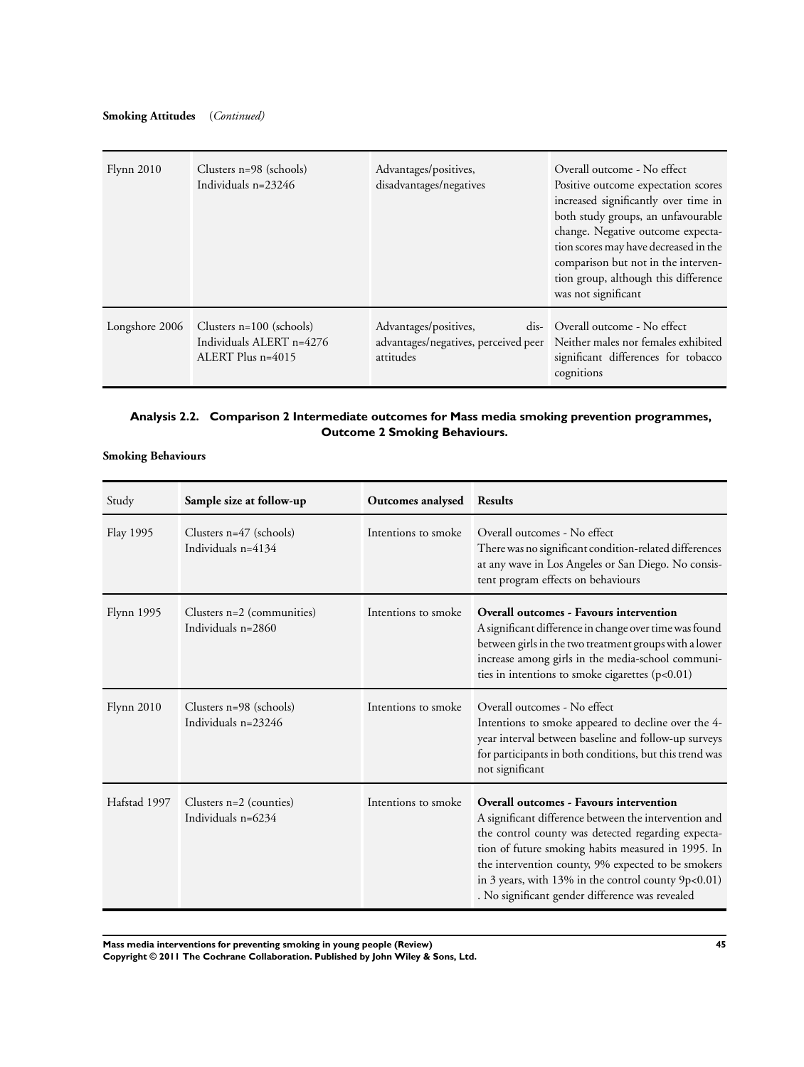## <span id="page-47-0"></span>**Smoking Attitudes** (*Continued)*

| Flynn 2010     | Clusters $n=98$ (schools)<br>Individuals n=23246                              | Advantages/positives,<br>disadvantages/negatives                           | Overall outcome - No effect<br>Positive outcome expectation scores<br>increased significantly over time in<br>both study groups, an unfavourable<br>change. Negative outcome expecta-<br>tion scores may have decreased in the<br>comparison but not in the interven-<br>tion group, although this difference<br>was not significant |
|----------------|-------------------------------------------------------------------------------|----------------------------------------------------------------------------|--------------------------------------------------------------------------------------------------------------------------------------------------------------------------------------------------------------------------------------------------------------------------------------------------------------------------------------|
| Longshore 2006 | Clusters $n=100$ (schools)<br>Individuals ALERT n=4276<br>ALERT Plus $n=4015$ | Advantages/positives,<br>advantages/negatives, perceived peer<br>attitudes | dis- Overall outcome - No effect<br>Neither males nor females exhibited<br>significant differences for tobacco<br>cognitions                                                                                                                                                                                                         |

## **Analysis 2.2. Comparison 2 Intermediate outcomes for Mass media smoking prevention programmes, Outcome 2 Smoking Behaviours.**

## **Smoking Behaviours**

| Study             | Sample size at follow-up                           | Outcomes analysed   | Results                                                                                                                                                                                                                                                                                                                                                                             |
|-------------------|----------------------------------------------------|---------------------|-------------------------------------------------------------------------------------------------------------------------------------------------------------------------------------------------------------------------------------------------------------------------------------------------------------------------------------------------------------------------------------|
| Flay 1995         | Clusters $n=47$ (schools)<br>Individuals n=4134    | Intentions to smoke | Overall outcomes - No effect<br>There was no significant condition-related differences<br>at any wave in Los Angeles or San Diego. No consis-<br>tent program effects on behaviours                                                                                                                                                                                                 |
| <b>Flynn 1995</b> | Clusters n=2 (communities)<br>Individuals $n=2860$ | Intentions to smoke | <b>Overall outcomes - Favours intervention</b><br>A significant difference in change over time was found<br>between girls in the two treatment groups with a lower<br>increase among girls in the media-school communi-<br>ties in intentions to smoke cigarettes (p<0.01)                                                                                                          |
| Flynn 2010        | Clusters n=98 (schools)<br>Individuals n=23246     | Intentions to smoke | Overall outcomes - No effect<br>Intentions to smoke appeared to decline over the 4-<br>year interval between baseline and follow-up surveys<br>for participants in both conditions, but this trend was<br>not significant                                                                                                                                                           |
| Hafstad 1997      | Clusters n=2 (counties)<br>Individuals n=6234      | Intentions to smoke | <b>Overall outcomes - Favours intervention</b><br>A significant difference between the intervention and<br>the control county was detected regarding expecta-<br>tion of future smoking habits measured in 1995. In<br>the intervention county, 9% expected to be smokers<br>in 3 years, with 13% in the control county 9p<0.01)<br>. No significant gender difference was revealed |

**Mass media interventions for preventing smoking in young people (Review) 45 Copyright © 2011 The Cochrane Collaboration. Published by John Wiley & Sons, Ltd.**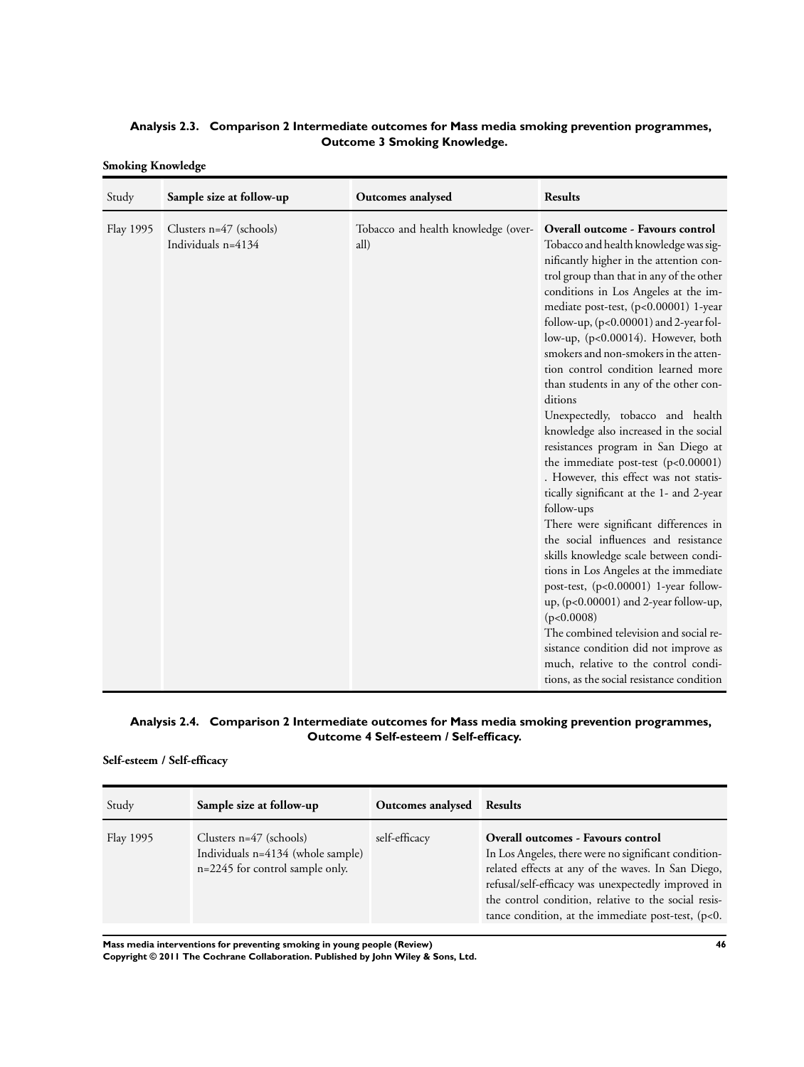## <span id="page-48-0"></span>**Analysis 2.3. Comparison 2 Intermediate outcomes for Mass media smoking prevention programmes, Outcome 3 Smoking Knowledge.**

## **Smoking Knowledge**

| Study     | Sample size at follow-up                      | Outcomes analysed                           | <b>Results</b>                                                                                                                                                                                                                                                                                                                                                                                                                                                                                                                                                                                                                                                                                                                                                                                                                                                                                                                                                                                                                                                                                                                                                                       |
|-----------|-----------------------------------------------|---------------------------------------------|--------------------------------------------------------------------------------------------------------------------------------------------------------------------------------------------------------------------------------------------------------------------------------------------------------------------------------------------------------------------------------------------------------------------------------------------------------------------------------------------------------------------------------------------------------------------------------------------------------------------------------------------------------------------------------------------------------------------------------------------------------------------------------------------------------------------------------------------------------------------------------------------------------------------------------------------------------------------------------------------------------------------------------------------------------------------------------------------------------------------------------------------------------------------------------------|
| Flay 1995 | Clusters n=47 (schools)<br>Individuals n=4134 | Tobacco and health knowledge (over-<br>all) | Overall outcome - Favours control<br>Tobacco and health knowledge was sig-<br>nificantly higher in the attention con-<br>trol group than that in any of the other<br>conditions in Los Angeles at the im-<br>mediate post-test, (p<0.00001) 1-year<br>follow-up, (p<0.00001) and 2-year fol-<br>low-up, (p<0.00014). However, both<br>smokers and non-smokers in the atten-<br>tion control condition learned more<br>than students in any of the other con-<br>ditions<br>Unexpectedly, tobacco and health<br>knowledge also increased in the social<br>resistances program in San Diego at<br>the immediate post-test $(p<0.00001)$<br>. However, this effect was not statis-<br>tically significant at the 1- and 2-year<br>follow-ups<br>There were significant differences in<br>the social influences and resistance<br>skills knowledge scale between condi-<br>tions in Los Angeles at the immediate<br>post-test, (p<0.00001) 1-year follow-<br>up, (p<0.00001) and 2-year follow-up,<br>(p<0.0008)<br>The combined television and social re-<br>sistance condition did not improve as<br>much, relative to the control condi-<br>tions, as the social resistance condition |

| Analysis 2.4. Comparison 2 Intermediate outcomes for Mass media smoking prevention programmes, |
|------------------------------------------------------------------------------------------------|
| Outcome 4 Self-esteem / Self-efficacy.                                                         |

## **Self-esteem / Self-efficacy**

| Study     | Sample size at follow-up                                                                          | Outcomes analysed | <b>Results</b>                                                                                                                                                                                                                                                                                                          |
|-----------|---------------------------------------------------------------------------------------------------|-------------------|-------------------------------------------------------------------------------------------------------------------------------------------------------------------------------------------------------------------------------------------------------------------------------------------------------------------------|
| Flay 1995 | Clusters $n=47$ (schools)<br>Individuals n=4134 (whole sample)<br>n=2245 for control sample only. | self-efficacy     | Overall outcomes - Favours control<br>In Los Angeles, there were no significant condition-<br>related effects at any of the waves. In San Diego,<br>refusal/self-efficacy was unexpectedly improved in<br>the control condition, relative to the social resis-<br>tance condition, at the immediate post-test, $(p<0$ . |

**Mass media interventions for preventing smoking in young people (Review) 46**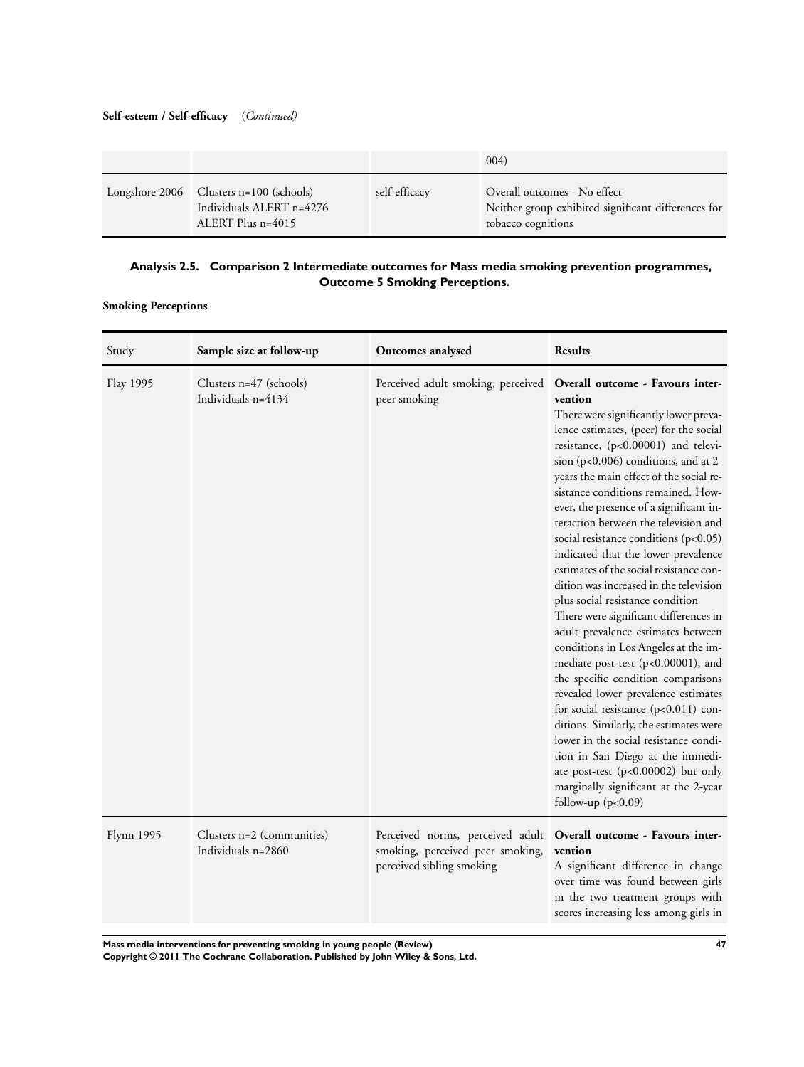## <span id="page-49-0"></span>**Self-esteem / Self-efficacy** (*Continued)*

|                |                                                                           |               | 004)                                                                                                      |
|----------------|---------------------------------------------------------------------------|---------------|-----------------------------------------------------------------------------------------------------------|
| Longshore 2006 | Clusters n=100 (schools)<br>Individuals ALERT n=4276<br>ALERT Plus n=4015 | self-efficacy | Overall outcomes - No effect<br>Neither group exhibited significant differences for<br>tobacco cognitions |

## **Analysis 2.5. Comparison 2 Intermediate outcomes for Mass media smoking prevention programmes, Outcome 5 Smoking Perceptions.**

## **Smoking Perceptions**

| Study             | Sample size at follow-up                         | Outcomes analysed                                                                                 | <b>Results</b>                                                                                                                                                                                                                                                                                                                                                                                                                                                                                                                                                                                                                                                                                                                                                                                                                                                                                                                                                                                                                                                                                            |
|-------------------|--------------------------------------------------|---------------------------------------------------------------------------------------------------|-----------------------------------------------------------------------------------------------------------------------------------------------------------------------------------------------------------------------------------------------------------------------------------------------------------------------------------------------------------------------------------------------------------------------------------------------------------------------------------------------------------------------------------------------------------------------------------------------------------------------------------------------------------------------------------------------------------------------------------------------------------------------------------------------------------------------------------------------------------------------------------------------------------------------------------------------------------------------------------------------------------------------------------------------------------------------------------------------------------|
| <b>Flay 1995</b>  | Clusters n=47 (schools)<br>Individuals $n=4134$  | Perceived adult smoking, perceived<br>peer smoking                                                | Overall outcome - Favours inter-<br>vention<br>There were significantly lower preva-<br>lence estimates, (peer) for the social<br>resistance, (p<0.00001) and televi-<br>sion (p<0.006) conditions, and at 2-<br>years the main effect of the social re-<br>sistance conditions remained. How-<br>ever, the presence of a significant in-<br>teraction between the television and<br>social resistance conditions (p<0.05)<br>indicated that the lower prevalence<br>estimates of the social resistance con-<br>dition was increased in the television<br>plus social resistance condition<br>There were significant differences in<br>adult prevalence estimates between<br>conditions in Los Angeles at the im-<br>mediate post-test (p<0.00001), and<br>the specific condition comparisons<br>revealed lower prevalence estimates<br>for social resistance (p<0.011) con-<br>ditions. Similarly, the estimates were<br>lower in the social resistance condi-<br>tion in San Diego at the immedi-<br>ate post-test (p<0.00002) but only<br>marginally significant at the 2-year<br>follow-up $(p<0.09)$ |
| <b>Flynn 1995</b> | Clusters n=2 (communities)<br>Individuals n=2860 | Perceived norms, perceived adult<br>smoking, perceived peer smoking,<br>perceived sibling smoking | Overall outcome - Favours inter-<br>vention<br>A significant difference in change<br>over time was found between girls<br>in the two treatment groups with<br>scores increasing less among girls in                                                                                                                                                                                                                                                                                                                                                                                                                                                                                                                                                                                                                                                                                                                                                                                                                                                                                                       |

**Mass media interventions for preventing smoking in young people (Review) 47**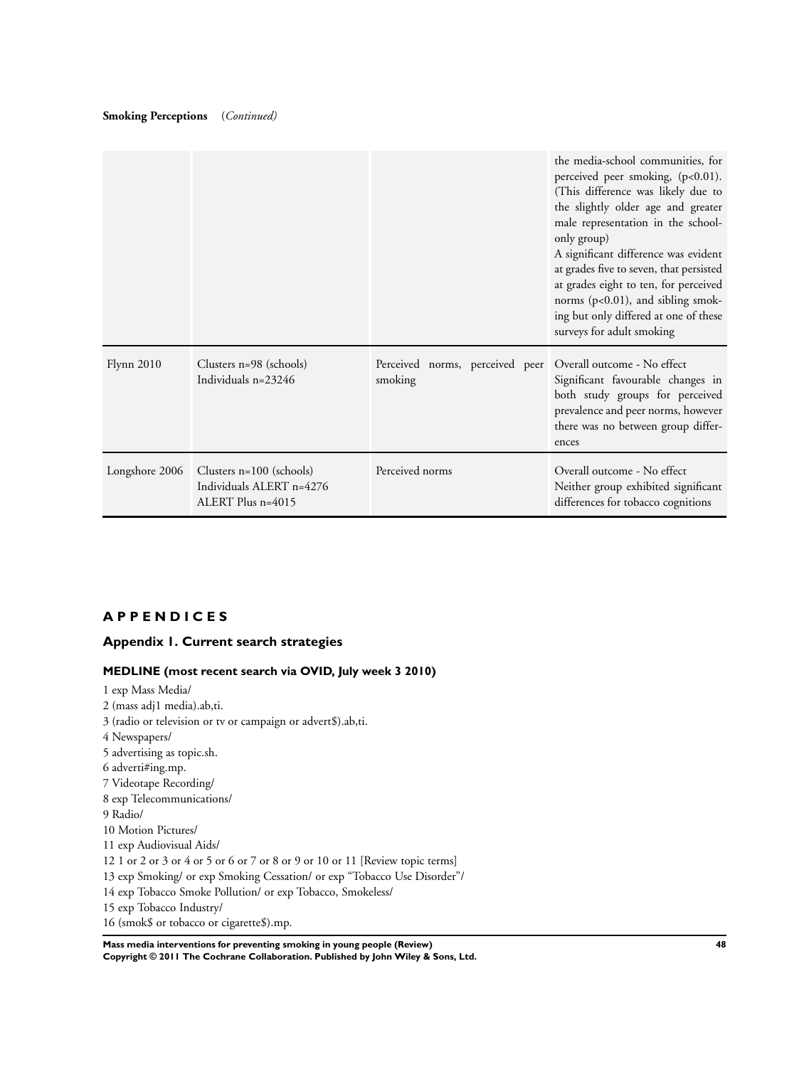## <span id="page-50-0"></span>**Smoking Perceptions** (*Continued)*

|                |                                                                             |                                                                        | the media-school communities, for<br>perceived peer smoking, (p<0.01).<br>(This difference was likely due to<br>the slightly older age and greater<br>male representation in the school-<br>only group)<br>A significant difference was evident<br>at grades five to seven, that persisted<br>at grades eight to ten, for perceived<br>norms $(p<0.01)$ , and sibling smok-<br>ing but only differed at one of these<br>surveys for adult smoking |
|----------------|-----------------------------------------------------------------------------|------------------------------------------------------------------------|---------------------------------------------------------------------------------------------------------------------------------------------------------------------------------------------------------------------------------------------------------------------------------------------------------------------------------------------------------------------------------------------------------------------------------------------------|
| Flynn 2010     | Clusters n=98 (schools)<br>Individuals n=23246                              | Perceived norms, perceived peer Overall outcome - No effect<br>smoking | Significant favourable changes in<br>both study groups for perceived<br>prevalence and peer norms, however<br>there was no between group differ-<br>ences                                                                                                                                                                                                                                                                                         |
| Longshore 2006 | Clusters $n=100$ (schools)<br>Individuals ALERT n=4276<br>ALERT Plus n=4015 | Perceived norms                                                        | Overall outcome - No effect<br>Neither group exhibited significant<br>differences for tobacco cognitions                                                                                                                                                                                                                                                                                                                                          |

## **A P P E N D I C E S**

## **Appendix 1. Current search strategies**

## **MEDLINE (most recent search via OVID, July week 3 2010)**

1 exp Mass Media/ 2 (mass adj1 media).ab,ti. 3 (radio or television or tv or campaign or advert\$).ab,ti. 4 Newspapers/ 5 advertising as topic.sh. 6 adverti#ing.mp. 7 Videotape Recording/ 8 exp Telecommunications/ 9 Radio/ 10 Motion Pictures/ 11 exp Audiovisual Aids/ 12 1 or 2 or 3 or 4 or 5 or 6 or 7 or 8 or 9 or 10 or 11 [Review topic terms] 13 exp Smoking/ or exp Smoking Cessation/ or exp "Tobacco Use Disorder"/ 14 exp Tobacco Smoke Pollution/ or exp Tobacco, Smokeless/ 15 exp Tobacco Industry/ 16 (smok\$ or tobacco or cigarette\$).mp.

**Mass media interventions for preventing smoking in young people (Review) 48 Copyright © 2011 The Cochrane Collaboration. Published by John Wiley & Sons, Ltd.**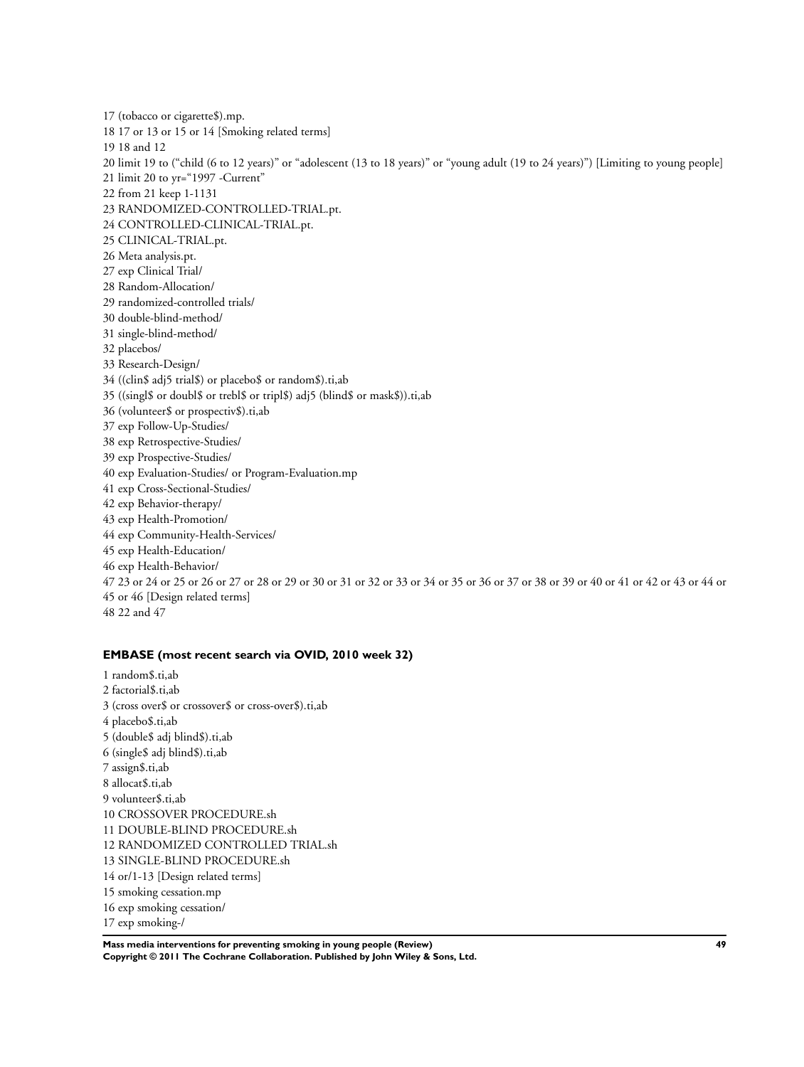17 (tobacco or cigarette\$).mp. 18 17 or 13 or 15 or 14 [Smoking related terms] 19 18 and 12 20 limit 19 to ("child (6 to 12 years)" or "adolescent (13 to 18 years)" or "young adult (19 to 24 years)") [Limiting to young people] 21 limit 20 to yr="1997 -Current" 22 from 21 keep 1-1131 23 RANDOMIZED-CONTROLLED-TRIAL.pt. 24 CONTROLLED-CLINICAL-TRIAL.pt. 25 CLINICAL-TRIAL.pt. 26 Meta analysis.pt. 27 exp Clinical Trial/ 28 Random-Allocation/ 29 randomized-controlled trials/ 30 double-blind-method/ 31 single-blind-method/ 32 placebos/ 33 Research-Design/ 34 ((clin\$ adj5 trial\$) or placebo\$ or random\$).ti,ab 35 ((singl\$ or doubl\$ or trebl\$ or tripl\$) adj5 (blind\$ or mask\$)).ti,ab 36 (volunteer\$ or prospectiv\$).ti,ab 37 exp Follow-Up-Studies/ 38 exp Retrospective-Studies/ 39 exp Prospective-Studies/ 40 exp Evaluation-Studies/ or Program-Evaluation.mp 41 exp Cross-Sectional-Studies/ 42 exp Behavior-therapy/ 43 exp Health-Promotion/ 44 exp Community-Health-Services/ 45 exp Health-Education/ 46 exp Health-Behavior/ 47 23 or 24 or 25 or 26 or 27 or 28 or 29 or 30 or 31 or 32 or 33 or 34 or 35 or 36 or 37 or 38 or 39 or 40 or 41 or 42 or 43 or 44 or 45 or 46 [Design related terms] 48 22 and 47

## **EMBASE (most recent search via OVID, 2010 week 32)**

1 random\$.ti,ab 2 factorial\$.ti,ab 3 (cross over\$ or crossover\$ or cross-over\$).ti,ab 4 placebo\$.ti,ab 5 (double\$ adj blind\$).ti,ab 6 (single\$ adj blind\$).ti,ab 7 assign\$.ti,ab 8 allocat\$.ti,ab 9 volunteer\$.ti,ab 10 CROSSOVER PROCEDURE.sh 11 DOUBLE-BLIND PROCEDURE.sh 12 RANDOMIZED CONTROLLED TRIAL.sh 13 SINGLE-BLIND PROCEDURE.sh 14 or/1-13 [Design related terms] 15 smoking cessation.mp 16 exp smoking cessation/ 17 exp smoking-/

**Mass media interventions for preventing smoking in young people (Review) 49 Copyright © 2011 The Cochrane Collaboration. Published by John Wiley & Sons, Ltd.**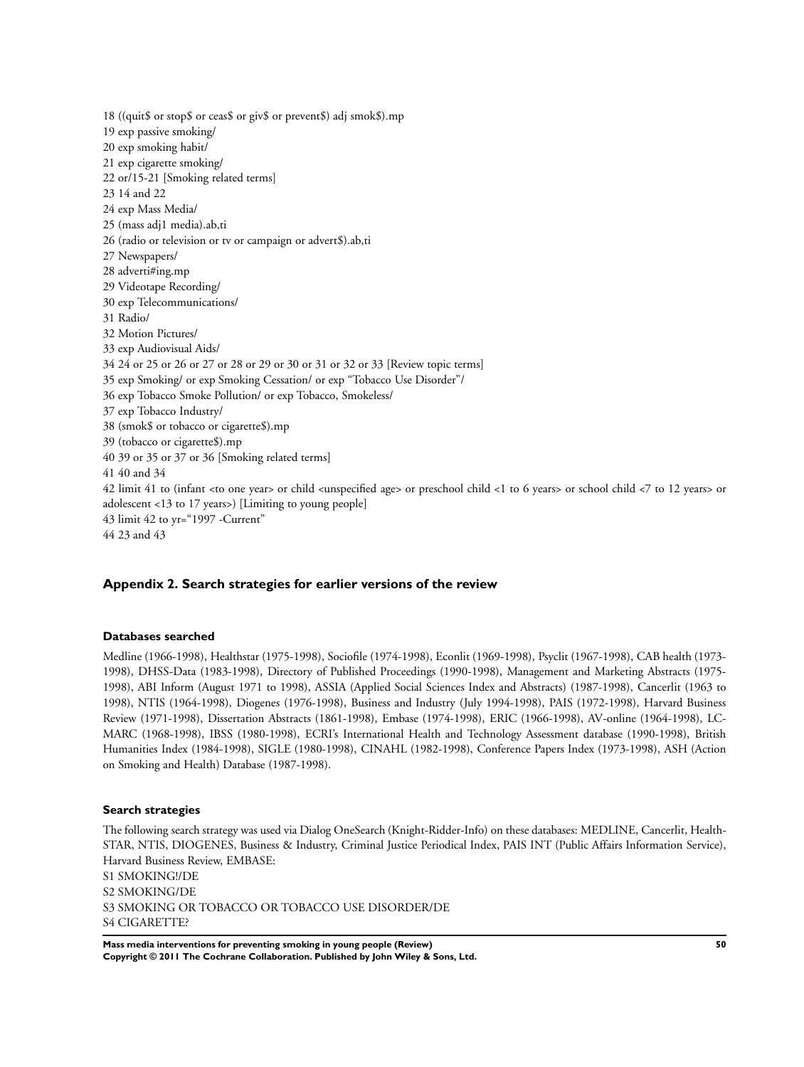<span id="page-52-0"></span>18 ((quit\$ or stop\$ or ceas\$ or giv\$ or prevent\$) adj smok\$).mp 19 exp passive smoking/ 20 exp smoking habit/ 21 exp cigarette smoking/ 22 or/15-21 [Smoking related terms] 23 14 and 22 24 exp Mass Media/ 25 (mass adj1 media).ab,ti 26 (radio or television or tv or campaign or advert\$).ab,ti 27 Newspapers/ 28 adverti#ing.mp 29 Videotape Recording/ 30 exp Telecommunications/ 31 Radio/ 32 Motion Pictures/ 33 exp Audiovisual Aids/ 34 24 or 25 or 26 or 27 or 28 or 29 or 30 or 31 or 32 or 33 [Review topic terms] 35 exp Smoking/ or exp Smoking Cessation/ or exp "Tobacco Use Disorder"/ 36 exp Tobacco Smoke Pollution/ or exp Tobacco, Smokeless/ 37 exp Tobacco Industry/ 38 (smok\$ or tobacco or cigarette\$).mp 39 (tobacco or cigarette\$).mp 40 39 or 35 or 37 or 36 [Smoking related terms] 41 40 and 34 42 limit 41 to (infant <to one year> or child <unspecified age> or preschool child <1 to 6 years> or school child <7 to 12 years> or adolescent <13 to 17 years>) [Limiting to young people] 43 limit 42 to yr="1997 -Current" 44 23 and 43

## **Appendix 2. Search strategies for earlier versions of the review**

### **Databases searched**

Medline (1966-1998), Healthstar (1975-1998), Sociofile (1974-1998), Econlit (1969-1998), Psyclit (1967-1998), CAB health (1973- 1998), DHSS-Data (1983-1998), Directory of Published Proceedings (1990-1998), Management and Marketing Abstracts (1975- 1998), ABI Inform (August 1971 to 1998), ASSIA (Applied Social Sciences Index and Abstracts) (1987-1998), Cancerlit (1963 to 1998), NTIS (1964-1998), Diogenes (1976-1998), Business and Industry (July 1994-1998), PAIS (1972-1998), Harvard Business Review (1971-1998), Dissertation Abstracts (1861-1998), Embase (1974-1998), ERIC (1966-1998), AV-online (1964-1998), LC-MARC (1968-1998), IBSS (1980-1998), ECRI's International Health and Technology Assessment database (1990-1998), British Humanities Index (1984-1998), SIGLE (1980-1998), CINAHL (1982-1998), Conference Papers Index (1973-1998), ASH (Action on Smoking and Health) Database (1987-1998).

### **Search strategies**

The following search strategy was used via Dialog OneSearch (Knight-Ridder-Info) on these databases: MEDLINE, Cancerlit, Health-STAR, NTIS, DIOGENES, Business & Industry, Criminal Justice Periodical Index, PAIS INT (Public Affairs Information Service), Harvard Business Review, EMBASE: S1 SMOKING!/DE S2 SMOKING/DE S3 SMOKING OR TOBACCO OR TOBACCO USE DISORDER/DE S4 CIGARETTE?

**Mass media interventions for preventing smoking in young people (Review) 50 Copyright © 2011 The Cochrane Collaboration. Published by John Wiley & Sons, Ltd.**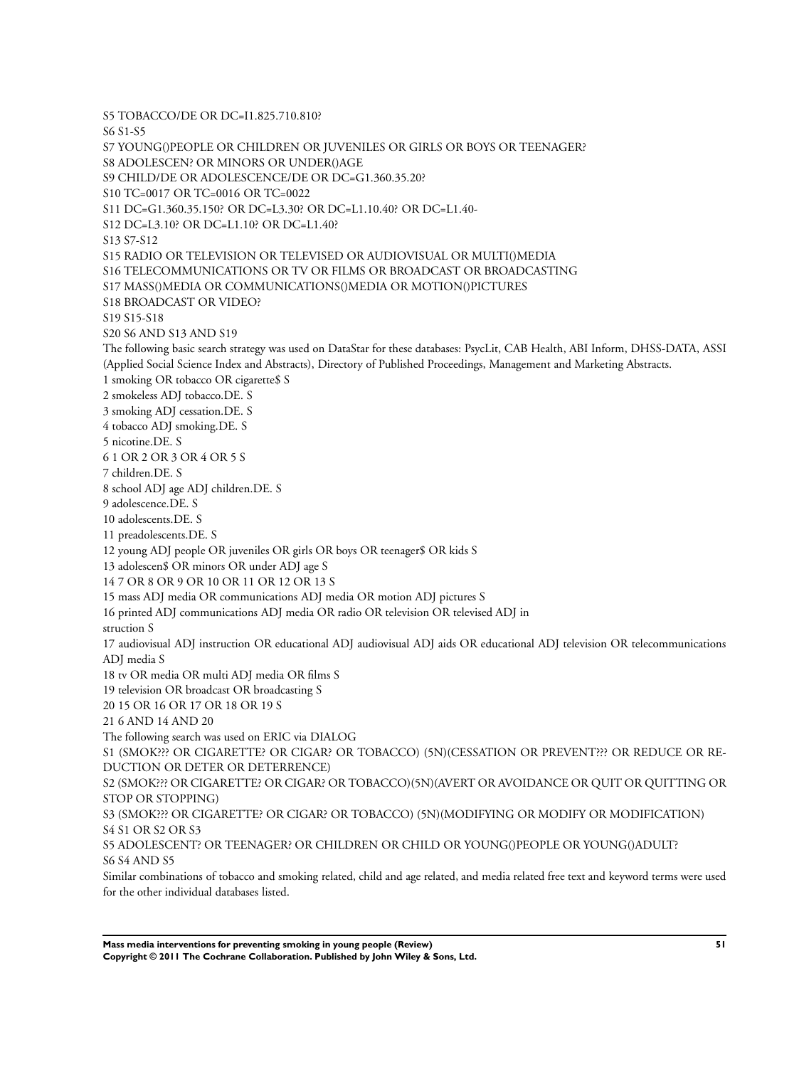S5 TOBACCO/DE OR DC=I1.825.710.810? S6 S1-S5 S7 YOUNG()PEOPLE OR CHILDREN OR JUVENILES OR GIRLS OR BOYS OR TEENAGER? S8 ADOLESCEN? OR MINORS OR UNDER()AGE S9 CHILD/DE OR ADOLESCENCE/DE OR DC=G1.360.35.20? S10 TC=0017 OR TC=0016 OR TC=0022 S11 DC=G1.360.35.150? OR DC=L3.30? OR DC=L1.10.40? OR DC=L1.40- S12 DC=L3.10? OR DC=L1.10? OR DC=L1.40? S13 S7-S12 S15 RADIO OR TELEVISION OR TELEVISED OR AUDIOVISUAL OR MULTI()MEDIA S16 TELECOMMUNICATIONS OR TV OR FILMS OR BROADCAST OR BROADCASTING S17 MASS()MEDIA OR COMMUNICATIONS()MEDIA OR MOTION()PICTURES S18 BROADCAST OR VIDEO? S19 S15-S18 S20 S6 AND S13 AND S19 The following basic search strategy was used on DataStar for these databases: PsycLit, CAB Health, ABI Inform, DHSS-DATA, ASSI (Applied Social Science Index and Abstracts), Directory of Published Proceedings, Management and Marketing Abstracts. 1 smoking OR tobacco OR cigarette\$ S 2 smokeless ADJ tobacco.DE. S 3 smoking ADJ cessation.DE. S 4 tobacco ADJ smoking.DE. S 5 nicotine.DE. S 6 1 OR 2 OR 3 OR 4 OR 5 S 7 children.DE. S 8 school ADJ age ADJ children.DE. S 9 adolescence.DE. S 10 adolescents.DE. S 11 preadolescents.DE. S 12 young ADJ people OR juveniles OR girls OR boys OR teenager\$ OR kids S 13 adolescen\$ OR minors OR under ADJ age S 14 7 OR 8 OR 9 OR 10 OR 11 OR 12 OR 13 S 15 mass ADJ media OR communications ADJ media OR motion ADJ pictures S 16 printed ADJ communications ADJ media OR radio OR television OR televised ADJ in struction S 17 audiovisual ADJ instruction OR educational ADJ audiovisual ADJ aids OR educational ADJ television OR telecommunications ADJ media S 18 tv OR media OR multi ADJ media OR films S 19 television OR broadcast OR broadcasting S 20 15 OR 16 OR 17 OR 18 OR 19 S 21 6 AND 14 AND 20 The following search was used on ERIC via DIALOG S1 (SMOK??? OR CIGARETTE? OR CIGAR? OR TOBACCO) (5N)(CESSATION OR PREVENT??? OR REDUCE OR RE-DUCTION OR DETER OR DETERRENCE) S2 (SMOK??? OR CIGARETTE? OR CIGAR? OR TOBACCO)(5N)(AVERT OR AVOIDANCE OR QUIT OR QUITTING OR STOP OR STOPPING) S3 (SMOK??? OR CIGARETTE? OR CIGAR? OR TOBACCO) (5N)(MODIFYING OR MODIFY OR MODIFICATION) S4 S1 OR S2 OR S3 S5 ADOLESCENT? OR TEENAGER? OR CHILDREN OR CHILD OR YOUNG()PEOPLE OR YOUNG()ADULT? S6 S4 AND S5 Similar combinations of tobacco and smoking related, child and age related, and media related free text and keyword terms were used for the other individual databases listed.

**Mass media interventions for preventing smoking in young people (Review) 51 Copyright © 2011 The Cochrane Collaboration. Published by John Wiley & Sons, Ltd.**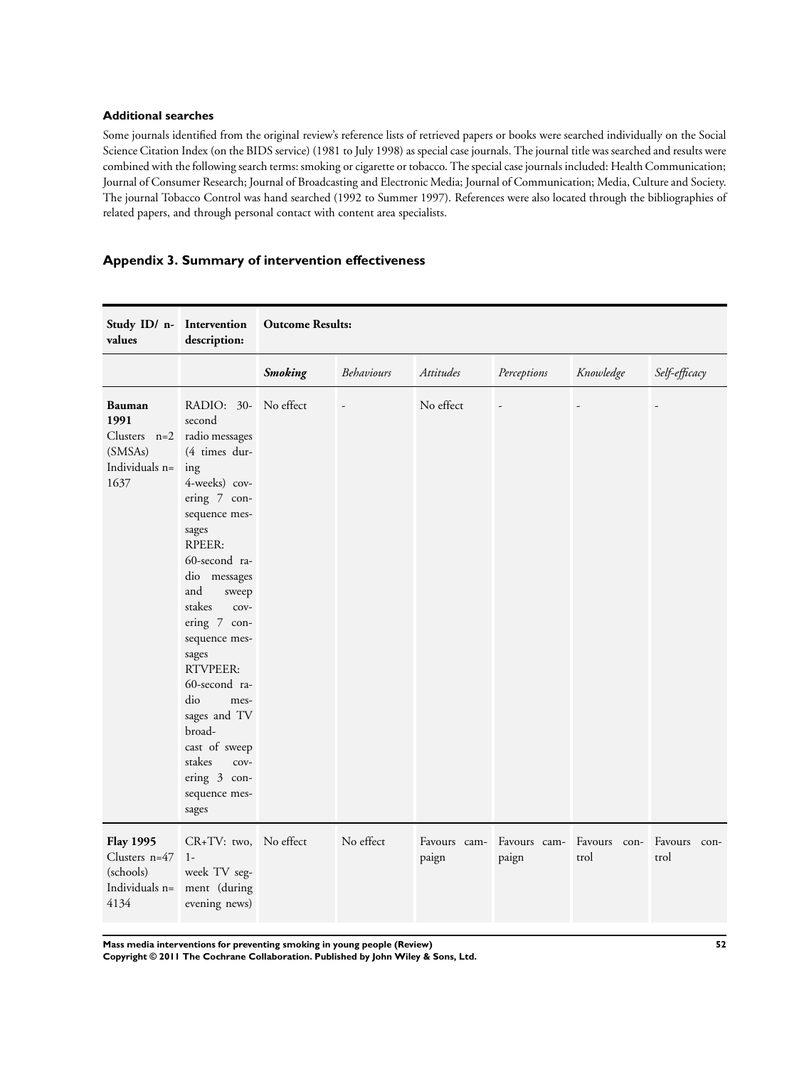### <span id="page-54-0"></span>**Additional searches**

Some journals identified from the original review's reference lists of retrieved papers or books were searched individually on the Social Science Citation Index (on the BIDS service) (1981 to July 1998) as special case journals. The journal title was searched and results were combined with the following search terms: smoking or cigarette or tobacco. The special case journals included: Health Communication; Journal of Consumer Research; Journal of Broadcasting and Electronic Media; Journal of Communication; Media, Culture and Society. The journal Tobacco Control was hand searched (1992 to Summer 1997). References were also located through the bibliographies of related papers, and through personal contact with content area specialists.

## **Appendix 3. Summary of intervention effectiveness**

| Study ID/ n- Intervention<br>values                                        | description:                                                                                                                                                                                                                                                                                                                                                                                                  | <b>Outcome Results:</b> |                   |           |                                            |              |                         |
|----------------------------------------------------------------------------|---------------------------------------------------------------------------------------------------------------------------------------------------------------------------------------------------------------------------------------------------------------------------------------------------------------------------------------------------------------------------------------------------------------|-------------------------|-------------------|-----------|--------------------------------------------|--------------|-------------------------|
|                                                                            |                                                                                                                                                                                                                                                                                                                                                                                                               | <b>Smoking</b>          | <b>Behaviours</b> | Attitudes | Perceptions                                | Knowledge    | Self-efficacy           |
| Bauman<br>1991<br>$Clusters$ $n=2$<br>(SMSAs)<br>Individuals n=<br>1637    | RADIO: 30- No effect<br>second<br>radio messages<br>(4 times dur-<br>ing<br>4-weeks) cov-<br>ering 7 con-<br>sequence mes-<br>sages<br>RPEER:<br>60-second ra-<br>dio messages<br>and<br>sweep<br>stakes<br>cov-<br>ering 7 con-<br>sequence mes-<br>sages<br>RTVPEER:<br>60-second ra-<br>dio<br>mes-<br>sages and TV<br>broad-<br>cast of sweep<br>stakes<br>cov-<br>ering 3 con-<br>sequence mes-<br>sages |                         |                   | No effect |                                            |              | $\overline{a}$          |
| <b>Flay 1995</b><br>Clusters $n=47$<br>(schools)<br>Individuals n=<br>4134 | CR+TV: two, No effect<br>$1-$<br>week TV seg-<br>ment (during<br>evening news)                                                                                                                                                                                                                                                                                                                                |                         | No effect         | paign     | Favours cam- Favours cam- Favours<br>paign | con-<br>trol | Favours<br>con-<br>trol |

**Mass media interventions for preventing smoking in young people (Review) 52**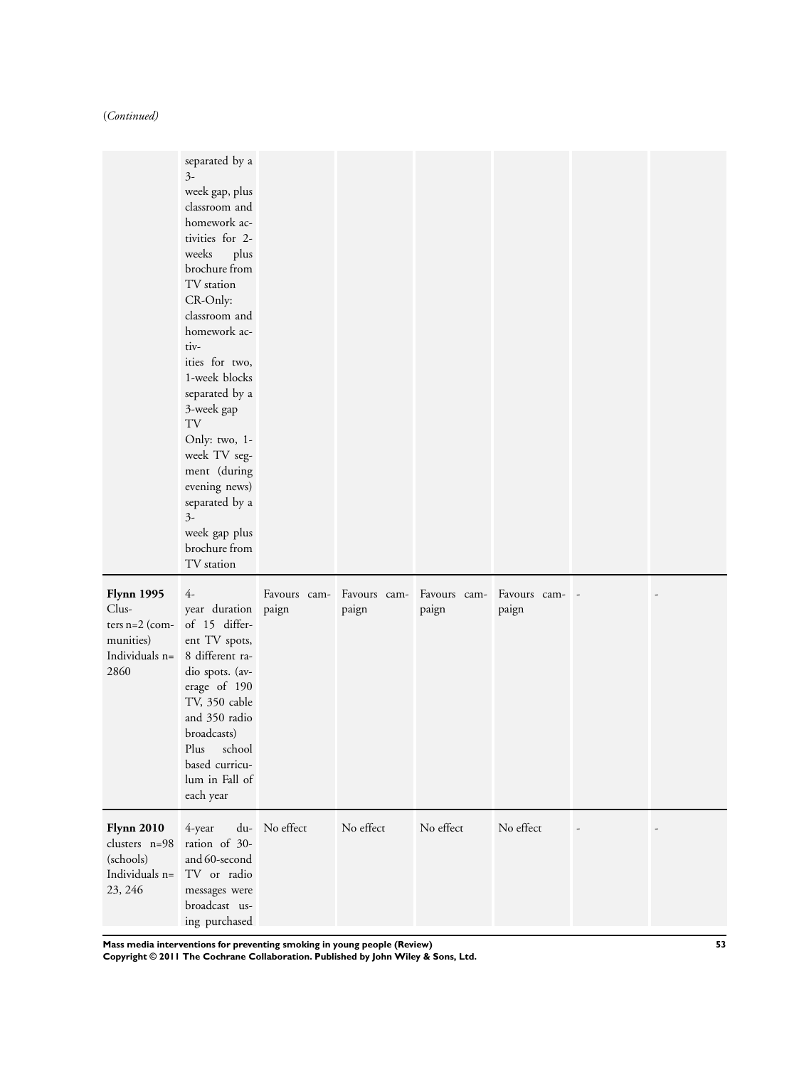|                                                                                       | separated by a<br>$3-$<br>week gap, plus<br>classroom and<br>homework ac-<br>tivities for 2-<br>weeks<br>plus<br>brochure from<br>TV station<br>CR-Only:<br>classroom and<br>homework ac-<br>tiv-<br>ities for two,<br>1-week blocks<br>separated by a<br>3-week gap<br>TV<br>Only: two, 1-<br>week TV seg-<br>ment (during<br>evening news)<br>separated by a<br>$3-$<br>week gap plus<br>brochure from<br>TV station |              |                       |           |                                      |                          |
|---------------------------------------------------------------------------------------|------------------------------------------------------------------------------------------------------------------------------------------------------------------------------------------------------------------------------------------------------------------------------------------------------------------------------------------------------------------------------------------------------------------------|--------------|-----------------------|-----------|--------------------------------------|--------------------------|
| <b>Flynn 1995</b><br>Clus-<br>$ters n=2 (com-$<br>munities)<br>Individuals n=<br>2860 | $4-$<br>year duration paign<br>of 15 differ-<br>ent TV spots,<br>8 different ra-<br>dio spots. (av-<br>erage of 190<br>TV, 350 cable<br>and 350 radio<br>broadcasts)<br>Plus<br>school<br>based curricu-<br>lum in Fall of<br>each year                                                                                                                                                                                | Favours cam- | Favours cam-<br>paign | paign     | Favours cam- Favours cam- -<br>paign | $\overline{a}$           |
| <b>Flynn 2010</b><br>clusters n=98<br>(schools)<br>Individuals n=<br>23, 246          | 4-year<br>du-<br>ration of 30-<br>and 60-second<br>TV or radio<br>messages were<br>broadcast us-<br>ing purchased                                                                                                                                                                                                                                                                                                      | No effect    | No effect             | No effect | No effect                            | $\overline{\phantom{a}}$ |

**Mass media interventions for preventing smoking in young people (Review) 53**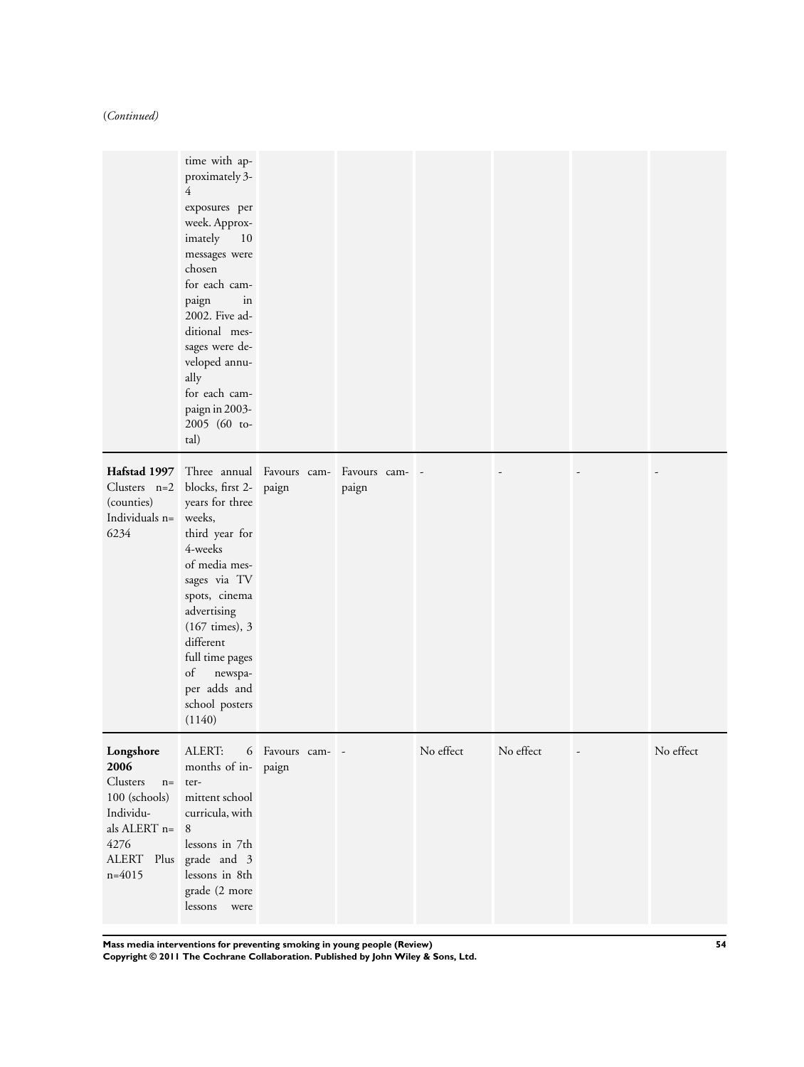|                                                                                                                            | time with ap-<br>proximately 3-<br>4<br>exposures per<br>week. Approx-<br>imately<br>10<br>messages were<br>chosen<br>for each cam-<br>paign<br>in<br>2002. Five ad-<br>ditional mes-<br>sages were de-<br>veloped annu-<br>ally<br>for each cam-<br>paign in 2003-<br>2005 (60 to-<br>tal)           |                  |                         |           |           |           |
|----------------------------------------------------------------------------------------------------------------------------|-------------------------------------------------------------------------------------------------------------------------------------------------------------------------------------------------------------------------------------------------------------------------------------------------------|------------------|-------------------------|-----------|-----------|-----------|
| Hafstad 1997<br>Clusters n=2<br>(counties)<br>Individuals n=<br>6234                                                       | Three annual Favours cam-<br>blocks, first 2- paign<br>years for three<br>weeks,<br>third year for<br>4-weeks<br>of media mes-<br>sages via TV<br>spots, cinema<br>advertising<br>(167 times), 3<br>different<br>full time pages<br>$\sigma$ f<br>newspa-<br>per adds and<br>school posters<br>(1140) |                  | Favours cam- -<br>paign |           |           |           |
| Longshore<br>2006<br>Clusters<br>$n=$<br>100 (schools)<br>Individu-<br>als ALERT n=<br>4276<br>ALERT<br>Plus<br>$n = 4015$ | ALERT:<br>months of in- paign<br>ter-<br>mittent school<br>curricula, with<br>8<br>lessons in 7th<br>grade and 3<br>lessons in 8th<br>grade (2 more<br>lessons were                                                                                                                                   | 6 Favours cam- - |                         | No effect | No effect | No effect |

**Mass media interventions for preventing smoking in young people (Review) 54**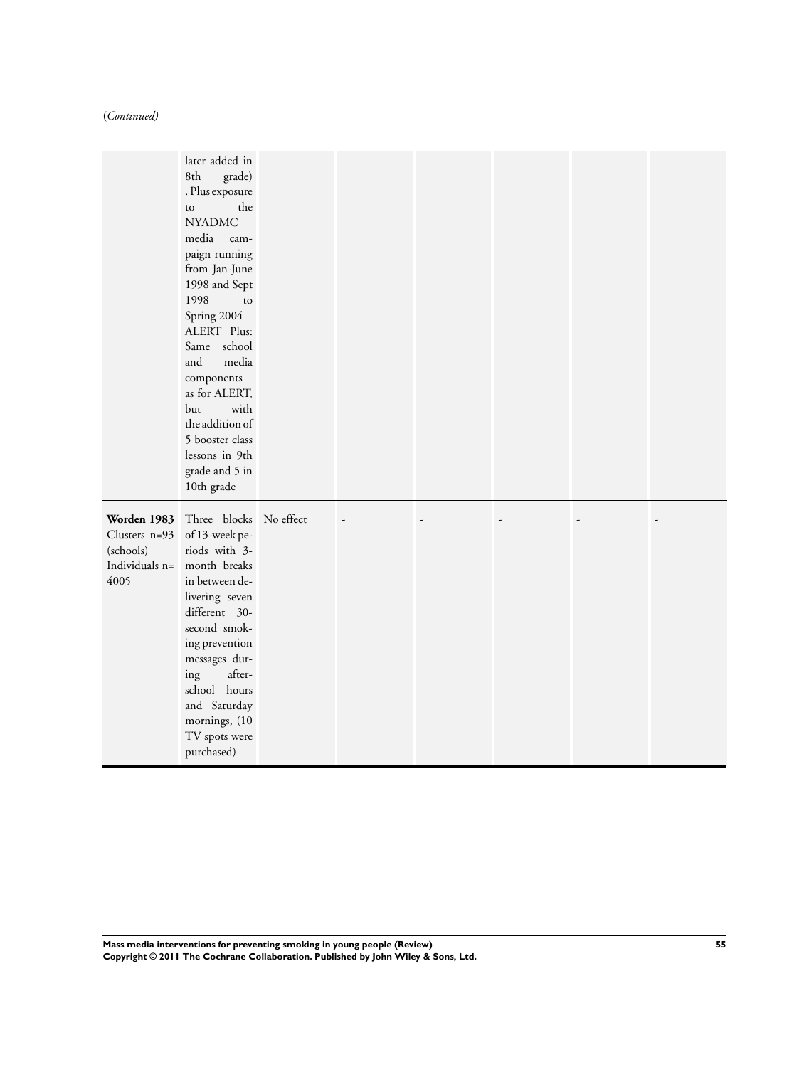|                                                      | later added in<br>8th<br>grade)<br>. Plus exposure<br>the<br>$\rm{to}$<br><b>NYADMC</b><br>media<br>cam-<br>paign running<br>from Jan-June<br>1998 and Sept<br>1998<br>to<br>Spring 2004<br>ALERT Plus:<br>Same school<br>media<br>and<br>components<br>as for ALERT,<br>with<br>but<br>the addition of<br>5 booster class<br>lessons in 9th<br>grade and 5 in<br>10th grade |  |  |  |
|------------------------------------------------------|------------------------------------------------------------------------------------------------------------------------------------------------------------------------------------------------------------------------------------------------------------------------------------------------------------------------------------------------------------------------------|--|--|--|
| Clusters n=93<br>(schools)<br>Individuals n=<br>4005 | Worden 1983 Three blocks No effect<br>of 13-week pe-<br>riods with 3-<br>month breaks<br>in between de-<br>livering seven<br>different 30-<br>second smok-<br>ing prevention<br>messages dur-<br>after-<br>ing<br>school hours<br>and Saturday<br>mornings, (10<br>TV spots were<br>purchased)                                                                               |  |  |  |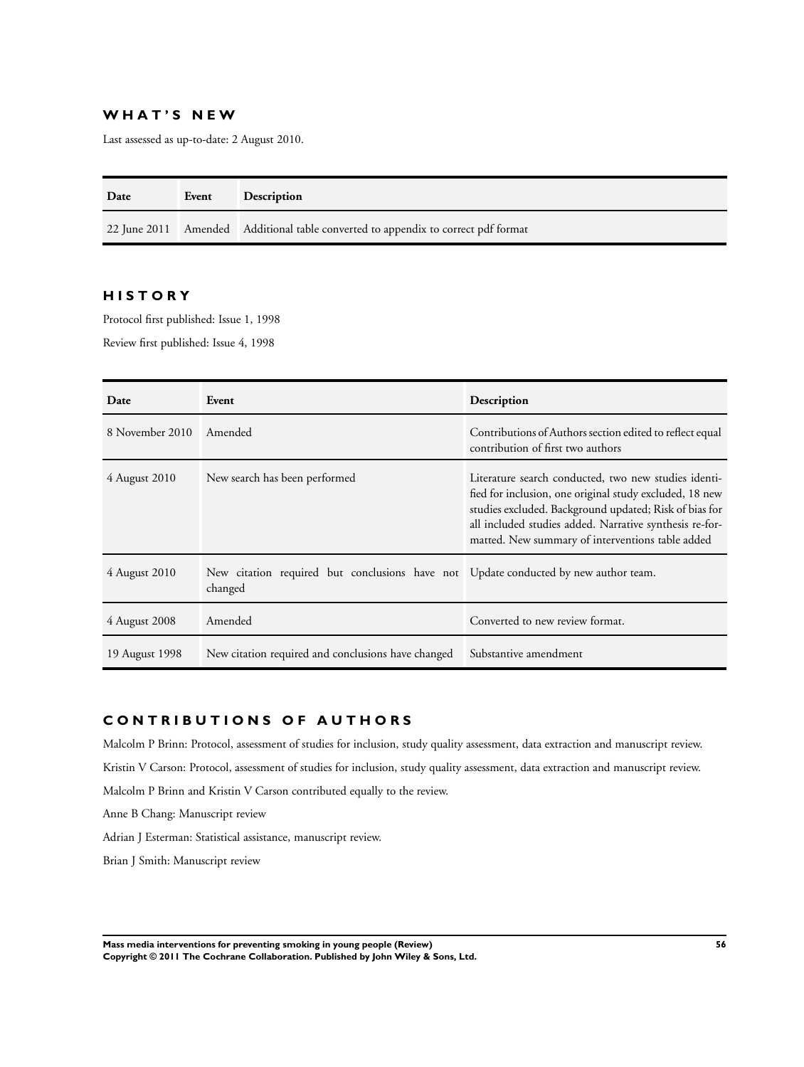## **W H A T ' S N E W**

Last assessed as up-to-date: 2 August 2010.

| Date | Event | Description                                                                       |
|------|-------|-----------------------------------------------------------------------------------|
|      |       | 22 June 2011 Amended Additional table converted to appendix to correct pdf format |

## **H I S T O R Y**

Protocol first published: Issue 1, 1998

Review first published: Issue 4, 1998

| Date            | Event                                                                                          | Description                                                                                                                                                                                                                                                                              |
|-----------------|------------------------------------------------------------------------------------------------|------------------------------------------------------------------------------------------------------------------------------------------------------------------------------------------------------------------------------------------------------------------------------------------|
| 8 November 2010 | Amended                                                                                        | Contributions of Authors section edited to reflect equal<br>contribution of first two authors                                                                                                                                                                                            |
| 4 August 2010   | New search has been performed                                                                  | Literature search conducted, two new studies identi-<br>fied for inclusion, one original study excluded, 18 new<br>studies excluded. Background updated; Risk of bias for<br>all included studies added. Narrative synthesis re-for-<br>matted. New summary of interventions table added |
| 4 August 2010   | New citation required but conclusions have not Update conducted by new author team.<br>changed |                                                                                                                                                                                                                                                                                          |
| 4 August 2008   | Amended                                                                                        | Converted to new review format.                                                                                                                                                                                                                                                          |
| 19 August 1998  | New citation required and conclusions have changed                                             | Substantive amendment                                                                                                                                                                                                                                                                    |

## **C O N T R I B U T I O N S O F A U T H O R S**

Malcolm P Brinn: Protocol, assessment of studies for inclusion, study quality assessment, data extraction and manuscript review. Kristin V Carson: Protocol, assessment of studies for inclusion, study quality assessment, data extraction and manuscript review. Malcolm P Brinn and Kristin V Carson contributed equally to the review.

Anne B Chang: Manuscript review

Adrian J Esterman: Statistical assistance, manuscript review.

Brian J Smith: Manuscript review